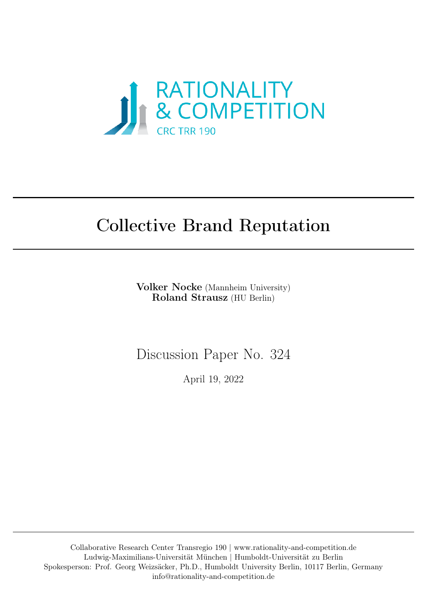

# Collective Brand Reputation

Volker Nocke (Mannheim University) Roland Strausz (HU Berlin)

Discussion Paper No. 324

April 19, 2022

Collaborative Research Center Transregio 190 | [www.rationality-and-competition.de](https://rationality-and-competition.de) Ludwig-Maximilians-Universität München | Humboldt-Universität zu Berlin Spokesperson: Prof. Georg Weizsäcker, Ph.D., Humboldt University Berlin, 10117 Berlin, Germany [info@rationality-and-competition.de](mailto: info@rationality-and-competition.de)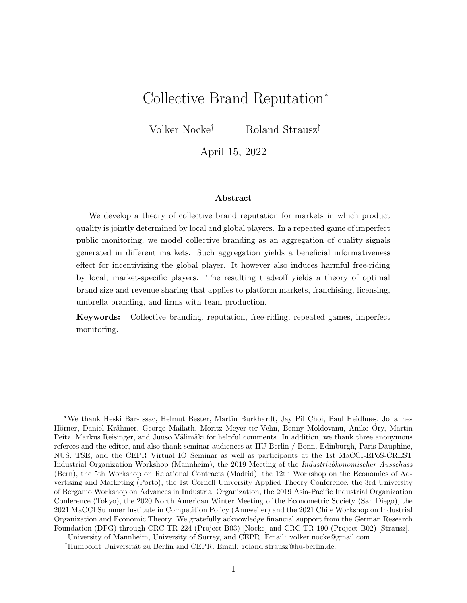## Collective Brand Reputation\*

Volker Nocke<sup>†</sup> Roland Strausz<sup>‡</sup>

April 15, 2022

#### Abstract

We develop a theory of collective brand reputation for markets in which product quality is jointly determined by local and global players. In a repeated game of imperfect public monitoring, we model collective branding as an aggregation of quality signals generated in different markets. Such aggregation yields a beneficial informativeness effect for incentivizing the global player. It however also induces harmful free-riding by local, market-specific players. The resulting tradeoff yields a theory of optimal brand size and revenue sharing that applies to platform markets, franchising, licensing, umbrella branding, and firms with team production.

Keywords: Collective branding, reputation, free-riding, repeated games, imperfect monitoring.

<sup>\*</sup>We thank Heski Bar-Issac, Helmut Bester, Martin Burkhardt, Jay Pil Choi, Paul Heidhues, Johannes Hörner, Daniel Krähmer, George Mailath, Moritz Meyer-ter-Vehn, Benny Moldovanu, Aniko Ory, Martin Peitz, Markus Reisinger, and Juuso Välimäki for helpful comments. In addition, we thank three anonymous referees and the editor, and also thank seminar audiences at HU Berlin / Bonn, Edinburgh, Paris-Dauphine, NUS, TSE, and the CEPR Virtual IO Seminar as well as participants at the 1st MaCCI-EPoS-CREST Industrial Organization Workshop (Mannheim), the 2019 Meeting of the *Industrie*ökonomischer Ausschuss (Bern), the 5th Workshop on Relational Contracts (Madrid), the 12th Workshop on the Economics of Advertising and Marketing (Porto), the 1st Cornell University Applied Theory Conference, the 3rd University of Bergamo Workshop on Advances in Industrial Organization, the 2019 Asia-Pacific Industrial Organization Conference (Tokyo), the 2020 North American Winter Meeting of the Econometric Society (San Diego), the 2021 MaCCI Summer Institute in Competition Policy (Annweiler) and the 2021 Chile Workshop on Industrial Organization and Economic Theory. We gratefully acknowledge financial support from the German Research Foundation (DFG) through CRC TR 224 (Project B03) [Nocke] and CRC TR 190 (Project B02) [Strausz].

University of Mannheim, University of Surrey, and CEPR. Email: volker.nocke@gmail.com.

<sup>&</sup>lt;sup>‡</sup>Humboldt Universität zu Berlin and CEPR. Email: roland.strausz@hu-berlin.de.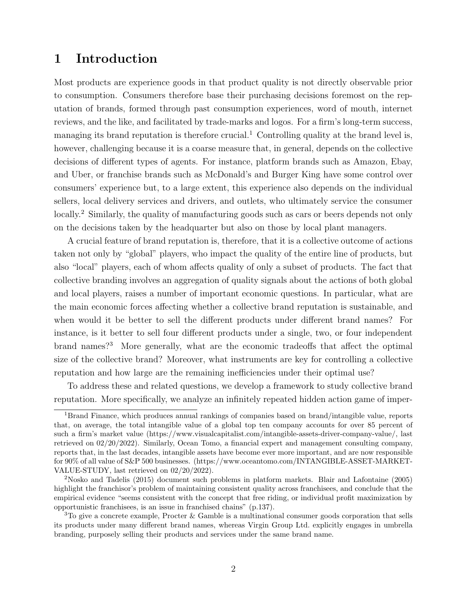#### 1 Introduction

Most products are experience goods in that product quality is not directly observable prior to consumption. Consumers therefore base their purchasing decisions foremost on the reputation of brands, formed through past consumption experiences, word of mouth, internet reviews, and the like, and facilitated by trade-marks and logos. For a firm's long-term success, managing its brand reputation is therefore crucial.<sup>1</sup> Controlling quality at the brand level is, however, challenging because it is a coarse measure that, in general, depends on the collective decisions of different types of agents. For instance, platform brands such as Amazon, Ebay, and Uber, or franchise brands such as McDonald's and Burger King have some control over consumers' experience but, to a large extent, this experience also depends on the individual sellers, local delivery services and drivers, and outlets, who ultimately service the consumer locally.<sup>2</sup> Similarly, the quality of manufacturing goods such as cars or beers depends not only on the decisions taken by the headquarter but also on those by local plant managers.

A crucial feature of brand reputation is, therefore, that it is a collective outcome of actions taken not only by "global" players, who impact the quality of the entire line of products, but also "local" players, each of whom affects quality of only a subset of products. The fact that collective branding involves an aggregation of quality signals about the actions of both global and local players, raises a number of important economic questions. In particular, what are the main economic forces affecting whether a collective brand reputation is sustainable, and when would it be better to sell the different products under different brand names? For instance, is it better to sell four different products under a single, two, or four independent brand names?<sup>3</sup> More generally, what are the economic tradeoffs that affect the optimal size of the collective brand? Moreover, what instruments are key for controlling a collective reputation and how large are the remaining inefficiencies under their optimal use?

To address these and related questions, we develop a framework to study collective brand reputation. More specifically, we analyze an infinitely repeated hidden action game of imper-

<sup>&</sup>lt;sup>1</sup>Brand Finance, which produces annual rankings of companies based on brand/intangible value, reports that, on average, the total intangible value of a global top ten company accounts for over 85 percent of such a firm's market value (https://www.visualcapitalist.com/intangible-assets-driver-company-value/, last retrieved on 02/20/2022). Similarly, Ocean Tomo, a financial expert and management consulting company, reports that, in the last decades, intangible assets have become ever more important, and are now responsible for 90% of all value of S&P 500 businesses. (https://www.oceantomo.com/INTANGIBLE-ASSET-MARKET-VALUE-STUDY, last retrieved on 02/20/2022).

<sup>2</sup>Nosko and Tadelis (2015) document such problems in platform markets. Blair and Lafontaine (2005) highlight the franchisor's problem of maintaining consistent quality across franchisees, and conclude that the empirical evidence "seems consistent with the concept that free riding, or individual profit maximization by opportunistic franchisees, is an issue in franchised chains" (p.137).

 $3T<sub>3</sub>$  give a concrete example, Procter & Gamble is a multinational consumer goods corporation that sells its products under many different brand names, whereas Virgin Group Ltd. explicitly engages in umbrella branding, purposely selling their products and services under the same brand name.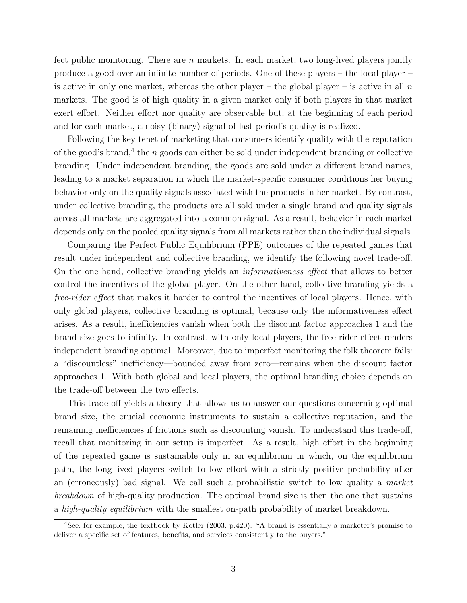fect public monitoring. There are n markets. In each market, two long-lived players jointly produce a good over an infinite number of periods. One of these players – the local player – is active in only one market, whereas the other player – the global player – is active in all  $n$ markets. The good is of high quality in a given market only if both players in that market exert effort. Neither effort nor quality are observable but, at the beginning of each period and for each market, a noisy (binary) signal of last period's quality is realized.

Following the key tenet of marketing that consumers identify quality with the reputation of the good's brand,<sup>4</sup> the  $n$  goods can either be sold under independent branding or collective branding. Under independent branding, the goods are sold under  $n$  different brand names, leading to a market separation in which the market-specific consumer conditions her buying behavior only on the quality signals associated with the products in her market. By contrast, under collective branding, the products are all sold under a single brand and quality signals across all markets are aggregated into a common signal. As a result, behavior in each market depends only on the pooled quality signals from all markets rather than the individual signals.

Comparing the Perfect Public Equilibrium (PPE) outcomes of the repeated games that result under independent and collective branding, we identify the following novel trade-off. On the one hand, collective branding yields an informativeness effect that allows to better control the incentives of the global player. On the other hand, collective branding yields a free-rider effect that makes it harder to control the incentives of local players. Hence, with only global players, collective branding is optimal, because only the informativeness effect arises. As a result, inefficiencies vanish when both the discount factor approaches 1 and the brand size goes to infinity. In contrast, with only local players, the free-rider effect renders independent branding optimal. Moreover, due to imperfect monitoring the folk theorem fails: a "discountless" inefficiency—bounded away from zero—remains when the discount factor approaches 1. With both global and local players, the optimal branding choice depends on the trade-off between the two effects.

This trade-off yields a theory that allows us to answer our questions concerning optimal brand size, the crucial economic instruments to sustain a collective reputation, and the remaining inefficiencies if frictions such as discounting vanish. To understand this trade-off, recall that monitoring in our setup is imperfect. As a result, high effort in the beginning of the repeated game is sustainable only in an equilibrium in which, on the equilibrium path, the long-lived players switch to low effort with a strictly positive probability after an (erroneously) bad signal. We call such a probabilistic switch to low quality a market breakdown of high-quality production. The optimal brand size is then the one that sustains a high-quality equilibrium with the smallest on-path probability of market breakdown.

<sup>4</sup>See, for example, the textbook by Kotler (2003, p.420): "A brand is essentially a marketer's promise to deliver a specific set of features, benefits, and services consistently to the buyers."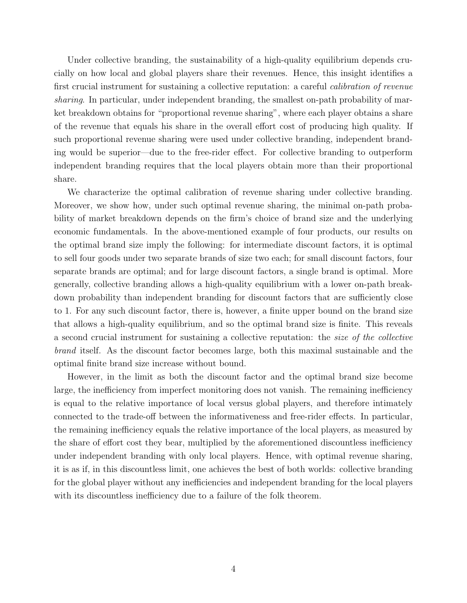Under collective branding, the sustainability of a high-quality equilibrium depends crucially on how local and global players share their revenues. Hence, this insight identifies a first crucial instrument for sustaining a collective reputation: a careful *calibration of revenue* sharing. In particular, under independent branding, the smallest on-path probability of market breakdown obtains for "proportional revenue sharing", where each player obtains a share of the revenue that equals his share in the overall effort cost of producing high quality. If such proportional revenue sharing were used under collective branding, independent branding would be superior—due to the free-rider effect. For collective branding to outperform independent branding requires that the local players obtain more than their proportional share.

We characterize the optimal calibration of revenue sharing under collective branding. Moreover, we show how, under such optimal revenue sharing, the minimal on-path probability of market breakdown depends on the firm's choice of brand size and the underlying economic fundamentals. In the above-mentioned example of four products, our results on the optimal brand size imply the following: for intermediate discount factors, it is optimal to sell four goods under two separate brands of size two each; for small discount factors, four separate brands are optimal; and for large discount factors, a single brand is optimal. More generally, collective branding allows a high-quality equilibrium with a lower on-path breakdown probability than independent branding for discount factors that are sufficiently close to 1. For any such discount factor, there is, however, a finite upper bound on the brand size that allows a high-quality equilibrium, and so the optimal brand size is finite. This reveals a second crucial instrument for sustaining a collective reputation: the size of the collective brand itself. As the discount factor becomes large, both this maximal sustainable and the optimal finite brand size increase without bound.

However, in the limit as both the discount factor and the optimal brand size become large, the inefficiency from imperfect monitoring does not vanish. The remaining inefficiency is equal to the relative importance of local versus global players, and therefore intimately connected to the trade-off between the informativeness and free-rider effects. In particular, the remaining inefficiency equals the relative importance of the local players, as measured by the share of effort cost they bear, multiplied by the aforementioned discountless inefficiency under independent branding with only local players. Hence, with optimal revenue sharing, it is as if, in this discountless limit, one achieves the best of both worlds: collective branding for the global player without any inefficiencies and independent branding for the local players with its discountless inefficiency due to a failure of the folk theorem.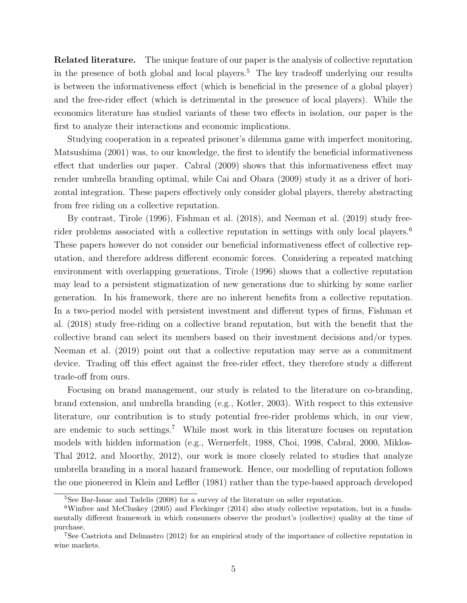Related literature. The unique feature of our paper is the analysis of collective reputation in the presence of both global and local players.<sup>5</sup> The key tradeoff underlying our results is between the informativeness effect (which is beneficial in the presence of a global player) and the free-rider effect (which is detrimental in the presence of local players). While the economics literature has studied variants of these two effects in isolation, our paper is the first to analyze their interactions and economic implications.

Studying cooperation in a repeated prisoner's dilemma game with imperfect monitoring, Matsushima (2001) was, to our knowledge, the first to identify the beneficial informativeness effect that underlies our paper. Cabral (2009) shows that this informativeness effect may render umbrella branding optimal, while Cai and Obara (2009) study it as a driver of horizontal integration. These papers effectively only consider global players, thereby abstracting from free riding on a collective reputation.

By contrast, Tirole (1996), Fishman et al. (2018), and Neeman et al. (2019) study freerider problems associated with a collective reputation in settings with only local players.<sup>6</sup> These papers however do not consider our beneficial informativeness effect of collective reputation, and therefore address different economic forces. Considering a repeated matching environment with overlapping generations, Tirole (1996) shows that a collective reputation may lead to a persistent stigmatization of new generations due to shirking by some earlier generation. In his framework, there are no inherent benefits from a collective reputation. In a two-period model with persistent investment and different types of firms, Fishman et al. (2018) study free-riding on a collective brand reputation, but with the benefit that the collective brand can select its members based on their investment decisions and/or types. Neeman et al. (2019) point out that a collective reputation may serve as a commitment device. Trading off this effect against the free-rider effect, they therefore study a different trade-off from ours.

Focusing on brand management, our study is related to the literature on co-branding, brand extension, and umbrella branding (e.g., Kotler, 2003). With respect to this extensive literature, our contribution is to study potential free-rider problems which, in our view, are endemic to such settings.<sup>7</sup> While most work in this literature focuses on reputation models with hidden information (e.g., Wernerfelt, 1988, Choi, 1998, Cabral, 2000, Miklos-Thal 2012, and Moorthy, 2012), our work is more closely related to studies that analyze umbrella branding in a moral hazard framework. Hence, our modelling of reputation follows the one pioneered in Klein and Leffler (1981) rather than the type-based approach developed

<sup>&</sup>lt;sup>5</sup>See Bar-Isaac and Tadelis (2008) for a survey of the literature on seller reputation.

<sup>6</sup>Winfree and McCluskey (2005) and Fleckinger (2014) also study collective reputation, but in a fundamentally different framework in which consumers observe the product's (collective) quality at the time of purchase.

<sup>7</sup>See Castriota and Delmastro (2012) for an empirical study of the importance of collective reputation in wine markets.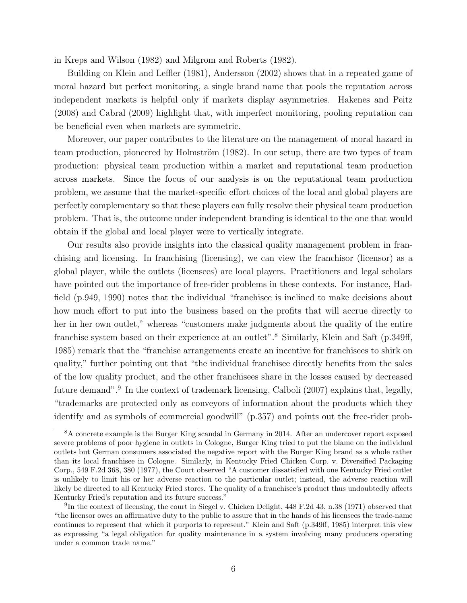in Kreps and Wilson (1982) and Milgrom and Roberts (1982).

Building on Klein and Leffler (1981), Andersson (2002) shows that in a repeated game of moral hazard but perfect monitoring, a single brand name that pools the reputation across independent markets is helpful only if markets display asymmetries. Hakenes and Peitz (2008) and Cabral (2009) highlight that, with imperfect monitoring, pooling reputation can be beneficial even when markets are symmetric.

Moreover, our paper contributes to the literature on the management of moral hazard in team production, pioneered by Holmström (1982). In our setup, there are two types of team production: physical team production within a market and reputational team production across markets. Since the focus of our analysis is on the reputational team production problem, we assume that the market-specific effort choices of the local and global players are perfectly complementary so that these players can fully resolve their physical team production problem. That is, the outcome under independent branding is identical to the one that would obtain if the global and local player were to vertically integrate.

Our results also provide insights into the classical quality management problem in franchising and licensing. In franchising (licensing), we can view the franchisor (licensor) as a global player, while the outlets (licensees) are local players. Practitioners and legal scholars have pointed out the importance of free-rider problems in these contexts. For instance, Hadfield (p.949, 1990) notes that the individual "franchisee is inclined to make decisions about how much effort to put into the business based on the profits that will accrue directly to her in her own outlet," whereas "customers make judgments about the quality of the entire franchise system based on their experience at an outlet".<sup>8</sup> Similarly, Klein and Saft (p.349ff, 1985) remark that the "franchise arrangements create an incentive for franchisees to shirk on quality," further pointing out that "the individual franchisee directly benefits from the sales of the low quality product, and the other franchisees share in the losses caused by decreased future demand".<sup>9</sup> In the context of trademark licensing, Calboli (2007) explains that, legally, "trademarks are protected only as conveyors of information about the products which they identify and as symbols of commercial goodwill" (p.357) and points out the free-rider prob-

<sup>&</sup>lt;sup>8</sup>A concrete example is the Burger King scandal in Germany in 2014. After an undercover report exposed severe problems of poor hygiene in outlets in Cologne, Burger King tried to put the blame on the individual outlets but German consumers associated the negative report with the Burger King brand as a whole rather than its local franchisee in Cologne. Similarly, in Kentucky Fried Chicken Corp. v. Diversified Packaging Corp., 549 F.2d 368, 380 (1977), the Court observed "A customer dissatisfied with one Kentucky Fried outlet is unlikely to limit his or her adverse reaction to the particular outlet; instead, the adverse reaction will likely be directed to all Kentucky Fried stores. The quality of a franchisee's product thus undoubtedly affects Kentucky Fried's reputation and its future success."

<sup>&</sup>lt;sup>9</sup>In the context of licensing, the court in Siegel v. Chicken Delight, 448 F.2d 43, n.38 (1971) observed that "the licensor owes an affirmative duty to the public to assure that in the hands of his licensees the trade-name continues to represent that which it purports to represent." Klein and Saft (p.349ff, 1985) interpret this view as expressing "a legal obligation for quality maintenance in a system involving many producers operating under a common trade name."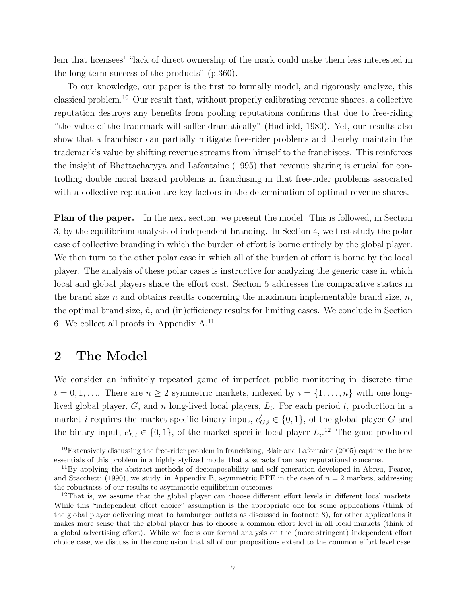lem that licensees' "lack of direct ownership of the mark could make them less interested in the long-term success of the products" (p.360).

To our knowledge, our paper is the first to formally model, and rigorously analyze, this classical problem.<sup>10</sup> Our result that, without properly calibrating revenue shares, a collective reputation destroys any benefits from pooling reputations confirms that due to free-riding "the value of the trademark will suffer dramatically" (Hadfield, 1980). Yet, our results also show that a franchisor can partially mitigate free-rider problems and thereby maintain the trademark's value by shifting revenue streams from himself to the franchisees. This reinforces the insight of Bhattacharyya and Lafontaine (1995) that revenue sharing is crucial for controlling double moral hazard problems in franchising in that free-rider problems associated with a collective reputation are key factors in the determination of optimal revenue shares.

Plan of the paper. In the next section, we present the model. This is followed, in Section 3, by the equilibrium analysis of independent branding. In Section 4, we first study the polar case of collective branding in which the burden of effort is borne entirely by the global player. We then turn to the other polar case in which all of the burden of effort is borne by the local player. The analysis of these polar cases is instructive for analyzing the generic case in which local and global players share the effort cost. Section 5 addresses the comparative statics in the brand size n and obtains results concerning the maximum implementable brand size,  $\overline{n}$ , the optimal brand size,  $\hat{n}$ , and (in)efficiency results for limiting cases. We conclude in Section 6. We collect all proofs in Appendix A.<sup>11</sup>

#### 2 The Model

We consider an infinitely repeated game of imperfect public monitoring in discrete time  $t = 0, 1, \ldots$  There are  $n \geq 2$  symmetric markets, indexed by  $i = \{1, \ldots, n\}$  with one longlived global player,  $G$ , and n long-lived local players,  $L_i$ . For each period t, production in a market *i* requires the market-specific binary input,  $e_{G,i}^t \in \{0,1\}$ , of the global player G and the binary input,  $e_{L,i}^t \in \{0,1\}$ , of the market-specific local player  $L_i$ <sup>12</sup> The good produced

 $10$ Extensively discussing the free-rider problem in franchising, Blair and Lafontaine (2005) capture the bare essentials of this problem in a highly stylized model that abstracts from any reputational concerns.

 $11\,\text{By applying the abstract methods of decomposability and self-generation developed in Abreu, Pearce,$ and Stacchetti (1990), we study, in Appendix B, asymmetric PPE in the case of  $n = 2$  markets, addressing the robustness of our results to asymmetric equilibrium outcomes.

 $12$ That is, we assume that the global player can choose different effort levels in different local markets. While this "independent effort choice" assumption is the appropriate one for some applications (think of the global player delivering meat to hamburger outlets as discussed in footnote 8), for other applications it makes more sense that the global player has to choose a common effort level in all local markets (think of a global advertising effort). While we focus our formal analysis on the (more stringent) independent effort choice case, we discuss in the conclusion that all of our propositions extend to the common effort level case.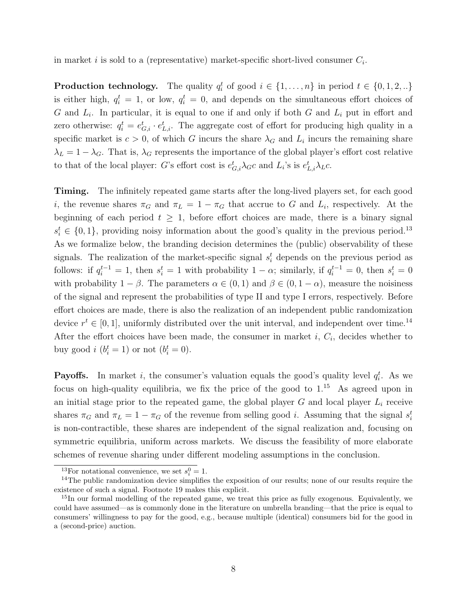in market *i* is sold to a (representative) market-specific short-lived consumer  $C_i$ .

**Production technology.** The quality  $q_i^t$  of good  $i \in \{1, ..., n\}$  in period  $t \in \{0, 1, 2, ...\}$ is either high,  $q_i^t = 1$ , or low,  $q_i^t = 0$ , and depends on the simultaneous effort choices of G and  $L_i$ . In particular, it is equal to one if and only if both G and  $L_i$  put in effort and zero otherwise:  $q_i^t = e_{G,i}^t \cdot e_{L,i}^t$ . The aggregate cost of effort for producing high quality in a specific market is  $c > 0$ , of which G incurs the share  $\lambda_G$  and  $L_i$  incurs the remaining share  $\lambda_L = 1 - \lambda_G$ . That is,  $\lambda_G$  represents the importance of the global player's effort cost relative to that of the local player: G's effort cost is  $e_{G,i}^t \lambda_G c$  and  $L_i$ 's is  $e_{L,i}^t \lambda_L c$ .

Timing. The infinitely repeated game starts after the long-lived players set, for each good *i*, the revenue shares  $\pi_G$  and  $\pi_L = 1 - \pi_G$  that accrue to G and  $L_i$ , respectively. At the beginning of each period  $t \geq 1$ , before effort choices are made, there is a binary signal  $s_i^t \in \{0, 1\}$ , providing noisy information about the good's quality in the previous period.<sup>13</sup> As we formalize below, the branding decision determines the (public) observability of these signals. The realization of the market-specific signal  $s_i^t$  depends on the previous period as follows: if  $q_i^{t-1} = 1$ , then  $s_i^t = 1$  with probability  $1 - \alpha$ ; similarly, if  $q_i^{t-1} = 0$ , then  $s_i^t = 0$ with probability  $1 - \beta$ . The parameters  $\alpha \in (0, 1)$  and  $\beta \in (0, 1 - \alpha)$ , measure the noisiness of the signal and represent the probabilities of type II and type I errors, respectively. Before effort choices are made, there is also the realization of an independent public randomization device  $r^t \in [0, 1]$ , uniformly distributed over the unit interval, and independent over time.<sup>14</sup> After the effort choices have been made, the consumer in market  $i, C_i$ , decides whether to buy good  $i$   $(b_i^t = 1)$  or not  $(b_i^t = 0)$ .

**Payoffs.** In market *i*, the consumer's valuation equals the good's quality level  $q_i^t$ . As we focus on high-quality equilibria, we fix the price of the good to  $1<sup>15</sup>$  As agreed upon in an initial stage prior to the repeated game, the global player  $G$  and local player  $L_i$  receive shares  $\pi_G$  and  $\pi_L = 1 - \pi_G$  of the revenue from selling good *i*. Assuming that the signal  $s_i^t$ is non-contractible, these shares are independent of the signal realization and, focusing on symmetric equilibria, uniform across markets. We discuss the feasibility of more elaborate schemes of revenue sharing under different modeling assumptions in the conclusion.

<sup>&</sup>lt;sup>13</sup>For notational convenience, we set  $s_i^0 = 1$ .

<sup>&</sup>lt;sup>14</sup>The public randomization device simplifies the exposition of our results; none of our results require the existence of such a signal. Footnote 19 makes this explicit.

 $15$ In our formal modelling of the repeated game, we treat this price as fully exogenous. Equivalently, we could have assumed—as is commonly done in the literature on umbrella branding—that the price is equal to consumers' willingness to pay for the good, e.g., because multiple (identical) consumers bid for the good in a (second-price) auction.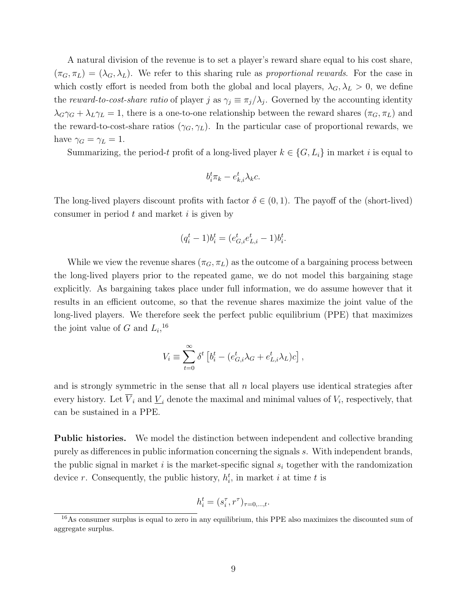A natural division of the revenue is to set a player's reward share equal to his cost share,  $(\pi_G, \pi_L) = (\lambda_G, \lambda_L)$ . We refer to this sharing rule as proportional rewards. For the case in which costly effort is needed from both the global and local players,  $\lambda_G$ ,  $\lambda_L > 0$ , we define the reward-to-cost-share ratio of player j as  $\gamma_j \equiv \pi_j/\lambda_j$ . Governed by the accounting identity  $\lambda_G \gamma_G + \lambda_L \gamma_L = 1$ , there is a one-to-one relationship between the reward shares  $(\pi_G, \pi_L)$  and the reward-to-cost-share ratios  $(\gamma_G, \gamma_L)$ . In the particular case of proportional rewards, we have  $\gamma_G = \gamma_L = 1$ .

Summarizing, the period-t profit of a long-lived player  $k \in \{G, L_i\}$  in market i is equal to

$$
b_i^t \pi_k - e_{k,i}^t \lambda_k c.
$$

The long-lived players discount profits with factor  $\delta \in (0,1)$ . The payoff of the (short-lived) consumer in period  $t$  and market  $i$  is given by

$$
(q_i^t - 1)b_i^t = (e_{G,i}^t e_{L,i}^t - 1)b_i^t.
$$

While we view the revenue shares  $(\pi_G, \pi_L)$  as the outcome of a bargaining process between the long-lived players prior to the repeated game, we do not model this bargaining stage explicitly. As bargaining takes place under full information, we do assume however that it results in an efficient outcome, so that the revenue shares maximize the joint value of the long-lived players. We therefore seek the perfect public equilibrium (PPE) that maximizes the joint value of G and  $L_i$ ,<sup>16</sup>

$$
V_i \equiv \sum_{t=0}^{\infty} \delta^t \left[ b_i^t - (e_{G,i}^t \lambda_G + e_{L,i}^t \lambda_L) c \right],
$$

and is strongly symmetric in the sense that all  $n$  local players use identical strategies after every history. Let  $V_i$  and  $\underline{V}_i$  denote the maximal and minimal values of  $V_i$ , respectively, that can be sustained in a PPE.

**Public histories.** We model the distinction between independent and collective branding purely as differences in public information concerning the signals s. With independent brands, the public signal in market i is the market-specific signal  $s_i$  together with the randomization device r. Consequently, the public history,  $h_i^t$ , in market i at time t is

$$
h_i^t = (s_i^\tau, r^\tau)_{\tau=0,\ldots,t}.
$$

<sup>16</sup>As consumer surplus is equal to zero in any equilibrium, this PPE also maximizes the discounted sum of aggregate surplus.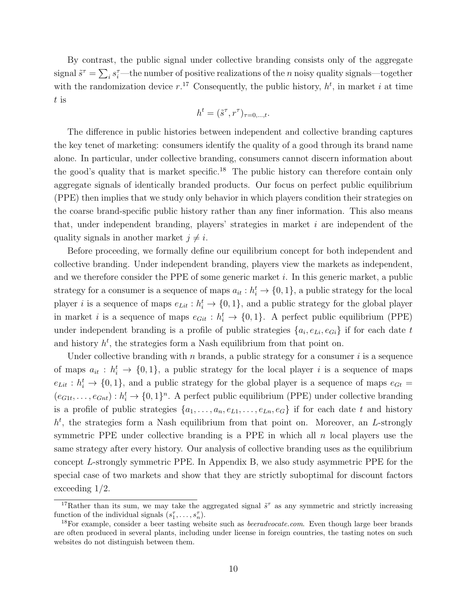By contrast, the public signal under collective branding consists only of the aggregate signal  $\tilde{s}^{\tau} = \sum_{i} s_i^{\tau}$  —the number of positive realizations of the n noisy quality signals—together with the randomization device  $r^{17}$  Consequently, the public history,  $h^t$ , in market i at time t is

$$
h^t = (\tilde{s}^\tau, r^\tau)_{\tau = 0, \dots, t}.
$$

The difference in public histories between independent and collective branding captures the key tenet of marketing: consumers identify the quality of a good through its brand name alone. In particular, under collective branding, consumers cannot discern information about the good's quality that is market specific.<sup>18</sup> The public history can therefore contain only aggregate signals of identically branded products. Our focus on perfect public equilibrium (PPE) then implies that we study only behavior in which players condition their strategies on the coarse brand-specific public history rather than any finer information. This also means that, under independent branding, players' strategies in market  $i$  are independent of the quality signals in another market  $j \neq i$ .

Before proceeding, we formally define our equilibrium concept for both independent and collective branding. Under independent branding, players view the markets as independent, and we therefore consider the PPE of some generic market  $i$ . In this generic market, a public strategy for a consumer is a sequence of maps  $a_{it}: h_i^t \to \{0,1\}$ , a public strategy for the local player *i* is a sequence of maps  $e_{Lit}: h_i^t \to \{0, 1\}$ , and a public strategy for the global player in market *i* is a sequence of maps  $e_{Git} : h_i^t \to \{0,1\}$ . A perfect public equilibrium (PPE) under independent branding is a profile of public strategies  $\{a_i, e_{Li}, e_{Gi}\}$  if for each date t and history  $h<sup>t</sup>$ , the strategies form a Nash equilibrium from that point on.

Under collective branding with  $n$  brands, a public strategy for a consumer  $i$  is a sequence of maps  $a_{it}$ :  $h_i^t \rightarrow \{0,1\}$ , a public strategy for the local player i is a sequence of maps  $e_{Lit}: h_i^t \to \{0, 1\}$ , and a public strategy for the global player is a sequence of maps  $e_{Gt}$  $(e_{G1t},...,e_{Gnt}): h_i^t \to \{0,1\}^n$ . A perfect public equilibrium (PPE) under collective branding is a profile of public strategies  $\{a_1, \ldots, a_n, e_{L1}, \ldots, e_{Ln}, e_G\}$  if for each date t and history  $h<sup>t</sup>$ , the strategies form a Nash equilibrium from that point on. Moreover, an L-strongly symmetric PPE under collective branding is a PPE in which all  $n$  local players use the same strategy after every history. Our analysis of collective branding uses as the equilibrium concept L-strongly symmetric PPE. In Appendix B, we also study asymmetric PPE for the special case of two markets and show that they are strictly suboptimal for discount factors exceeding 1/2.

<sup>&</sup>lt;sup>17</sup>Rather than its sum, we may take the aggregated signal  $\tilde{s}^{\tau}$  as any symmetric and strictly increasing function of the individual signals  $(s_1^{\tau}, \ldots, s_n^{\tau}).$ 

<sup>&</sup>lt;sup>18</sup>For example, consider a beer tasting website such as *beeradvocate.com*. Even though large beer brands are often produced in several plants, including under license in foreign countries, the tasting notes on such websites do not distinguish between them.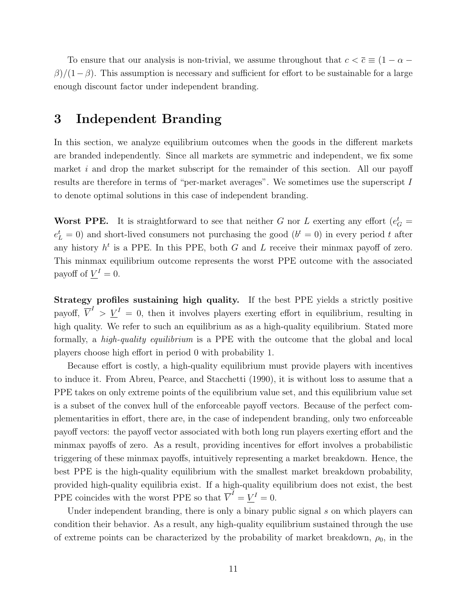To ensure that our analysis is non-trivial, we assume throughout that  $c < \overline{c} \equiv (1 - \alpha \beta$ /(1−β). This assumption is necessary and sufficient for effort to be sustainable for a large enough discount factor under independent branding.

#### 3 Independent Branding

In this section, we analyze equilibrium outcomes when the goods in the different markets are branded independently. Since all markets are symmetric and independent, we fix some market  $i$  and drop the market subscript for the remainder of this section. All our payoff results are therefore in terms of "per-market averages". We sometimes use the superscript I to denote optimal solutions in this case of independent branding.

Worst PPE. It is straightforward to see that neither G nor L exerting any effort  $(e_G^t =$  $e_L^t = 0$ ) and short-lived consumers not purchasing the good  $(b^t = 0)$  in every period t after any history  $h^t$  is a PPE. In this PPE, both G and L receive their minmax payoff of zero. This minmax equilibrium outcome represents the worst PPE outcome with the associated payoff of  $\underline{V}^I = 0$ .

Strategy profiles sustaining high quality. If the best PPE yields a strictly positive payoff,  $\overline{V}^I > \underline{V}^I = 0$ , then it involves players exerting effort in equilibrium, resulting in high quality. We refer to such an equilibrium as as a high-quality equilibrium. Stated more formally, a high-quality equilibrium is a PPE with the outcome that the global and local players choose high effort in period 0 with probability 1.

Because effort is costly, a high-quality equilibrium must provide players with incentives to induce it. From Abreu, Pearce, and Stacchetti (1990), it is without loss to assume that a PPE takes on only extreme points of the equilibrium value set, and this equilibrium value set is a subset of the convex hull of the enforceable payoff vectors. Because of the perfect complementarities in effort, there are, in the case of independent branding, only two enforceable payoff vectors: the payoff vector associated with both long run players exerting effort and the minmax payoffs of zero. As a result, providing incentives for effort involves a probabilistic triggering of these minmax payoffs, intuitively representing a market breakdown. Hence, the best PPE is the high-quality equilibrium with the smallest market breakdown probability, provided high-quality equilibria exist. If a high-quality equilibrium does not exist, the best PPE coincides with the worst PPE so that  $\overline{V}^I = \underline{V}^I = 0$ .

Under independent branding, there is only a binary public signal  $s$  on which players can condition their behavior. As a result, any high-quality equilibrium sustained through the use of extreme points can be characterized by the probability of market breakdown,  $\rho_0$ , in the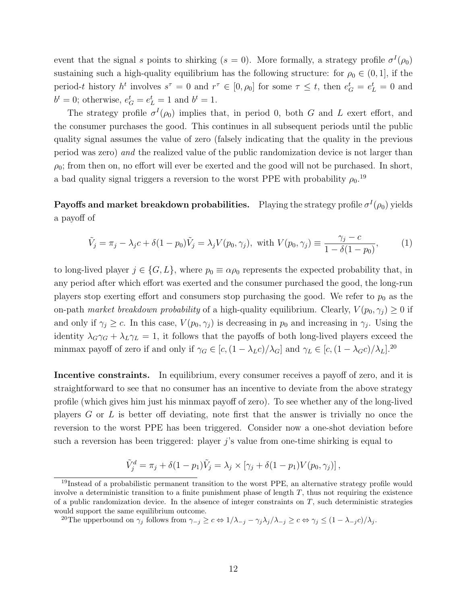event that the signal s points to shirking  $(s = 0)$ . More formally, a strategy profile  $\sigma^I(\rho_0)$ sustaining such a high-quality equilibrium has the following structure: for  $\rho_0 \in (0,1]$ , if the period-t history  $h^t$  involves  $s^{\tau} = 0$  and  $r^{\tau} \in [0, \rho_0]$  for some  $\tau \leq t$ , then  $e_G^t = e_L^t = 0$  and  $b^t = 0$ ; otherwise,  $e_G^t = e_L^t = 1$  and  $b^t = 1$ .

The strategy profile  $\sigma^I(\rho_0)$  implies that, in period 0, both G and L exert effort, and the consumer purchases the good. This continues in all subsequent periods until the public quality signal assumes the value of zero (falsely indicating that the quality in the previous period was zero) and the realized value of the public randomization device is not larger than  $\rho_0$ ; from then on, no effort will ever be exerted and the good will not be purchased. In short, a bad quality signal triggers a reversion to the worst PPE with probability  $\rho_0$ .<sup>19</sup>

**Payoffs and market breakdown probabilities.** Playing the strategy profile  $\sigma^I(\rho_0)$  yields a payoff of

$$
\tilde{V}_j = \pi_j - \lambda_j c + \delta(1 - p_0)\tilde{V}_j = \lambda_j V(p_0, \gamma_j), \text{ with } V(p_0, \gamma_j) \equiv \frac{\gamma_j - c}{1 - \delta(1 - p_0)},\tag{1}
$$

to long-lived player  $j \in \{G, L\}$ , where  $p_0 \equiv \alpha \rho_0$  represents the expected probability that, in any period after which effort was exerted and the consumer purchased the good, the long-run players stop exerting effort and consumers stop purchasing the good. We refer to  $p_0$  as the on-path market breakdown probability of a high-quality equilibrium. Clearly,  $V(p_0, \gamma_i) \geq 0$  if and only if  $\gamma_j \geq c$ . In this case,  $V(p_0, \gamma_j)$  is decreasing in  $p_0$  and increasing in  $\gamma_j$ . Using the identity  $\lambda_G \gamma_G + \lambda_L \gamma_L = 1$ , it follows that the payoffs of both long-lived players exceed the minmax payoff of zero if and only if  $\gamma_G \in [c,(1-\lambda_L c)/\lambda_G]$  and  $\gamma_L \in [c,(1-\lambda_G c)/\lambda_L]$ .<sup>20</sup>

Incentive constraints. In equilibrium, every consumer receives a payoff of zero, and it is straightforward to see that no consumer has an incentive to deviate from the above strategy profile (which gives him just his minmax payoff of zero). To see whether any of the long-lived players  $G$  or  $L$  is better off deviating, note first that the answer is trivially no once the reversion to the worst PPE has been triggered. Consider now a one-shot deviation before such a reversion has been triggered: player  $j$ 's value from one-time shirking is equal to

$$
\tilde{V}_j^d = \pi_j + \delta(1 - p_1)\tilde{V}_j = \lambda_j \times [\gamma_j + \delta(1 - p_1)V(p_0, \gamma_j)],
$$

<sup>&</sup>lt;sup>19</sup>Instead of a probabilistic permanent transition to the worst PPE, an alternative strategy profile would involve a deterministic transition to a finite punishment phase of length  $T$ , thus not requiring the existence of a public randomization device. In the absence of integer constraints on  $T$ , such deterministic strategies would support the same equilibrium outcome.

<sup>&</sup>lt;sup>20</sup>The upperbound on  $\gamma_j$  follows from  $\gamma_{-j} \ge c \Leftrightarrow 1/\lambda_{-j} - \gamma_j \lambda_j/\lambda_{-j} \ge c \Leftrightarrow \gamma_j \le (1 - \lambda_{-j} c)/\lambda_j$ .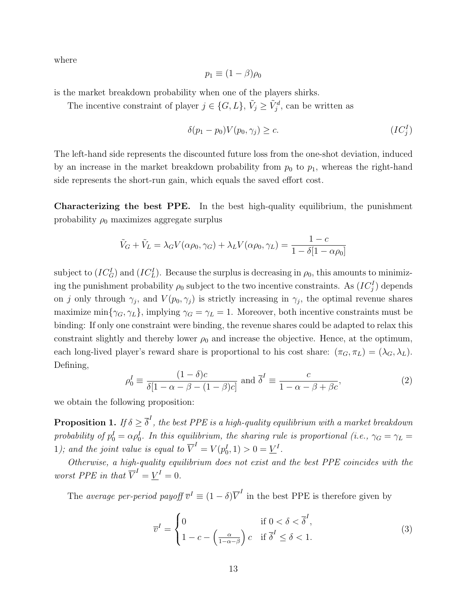where

$$
p_1 \equiv (1 - \beta)\rho_0
$$

is the market breakdown probability when one of the players shirks.

The incentive constraint of player  $j \in \{G, L\}$ ,  $\tilde{V}_j \geq \tilde{V}_j^d$ , can be written as

$$
\delta(p_1 - p_0)V(p_0, \gamma_j) \ge c. \tag{IC}^I_j
$$

The left-hand side represents the discounted future loss from the one-shot deviation, induced by an increase in the market breakdown probability from  $p_0$  to  $p_1$ , whereas the right-hand side represents the short-run gain, which equals the saved effort cost.

Characterizing the best PPE. In the best high-quality equilibrium, the punishment probability  $\rho_0$  maximizes aggregate surplus

$$
\tilde{V}_G + \tilde{V}_L = \lambda_G V(\alpha \rho_0, \gamma_G) + \lambda_L V(\alpha \rho_0, \gamma_L) = \frac{1 - c}{1 - \delta[1 - \alpha \rho_0]}
$$

subject to  $(IC_G^I)$  and  $(IC_L^I)$ . Because the surplus is decreasing in  $\rho_0$ , this amounts to minimizing the punishment probability  $\rho_0$  subject to the two incentive constraints. As  $(IC_j^I)$  depends on j only through  $\gamma_j$ , and  $V(p_0, \gamma_j)$  is strictly increasing in  $\gamma_j$ , the optimal revenue shares maximize min $\{\gamma_G, \gamma_L\}$ , implying  $\gamma_G = \gamma_L = 1$ . Moreover, both incentive constraints must be binding: If only one constraint were binding, the revenue shares could be adapted to relax this constraint slightly and thereby lower  $\rho_0$  and increase the objective. Hence, at the optimum, each long-lived player's reward share is proportional to his cost share:  $(\pi_G, \pi_L) = (\lambda_G, \lambda_L)$ . Defining,

$$
\rho_0^I \equiv \frac{(1-\delta)c}{\delta[1-\alpha-\beta-(1-\beta)c]} \text{ and } \overline{\delta}^I \equiv \frac{c}{1-\alpha-\beta+\beta c},\tag{2}
$$

we obtain the following proposition:

**Proposition 1.** If  $\delta \geq \overline{\delta}^I$ , the best PPE is a high-quality equilibrium with a market breakdown probability of  $p_0^I = \alpha \rho_0^I$ . In this equilibrium, the sharing rule is proportional (i.e.,  $\gamma_G = \gamma_L =$ 1); and the joint value is equal to  $\overline{V}^I = V(p_0^I, 1) > 0 = \underline{V}^I$ .

Otherwise, a high-quality equilibrium does not exist and the best PPE coincides with the worst PPE in that  $\overline{V}^I = \underline{V}^I = 0$ .

The *average per-period payoff*  $\overline{v}^I \equiv (1 - \delta)\overline{V}^I$  in the best PPE is therefore given by

$$
\overline{v}^{I} = \begin{cases} 0 & \text{if } 0 < \delta < \overline{\delta}^{I}, \\ 1 - c - \left(\frac{\alpha}{1 - \alpha - \beta}\right)c & \text{if } \overline{\delta}^{I} \leq \delta < 1. \end{cases} \tag{3}
$$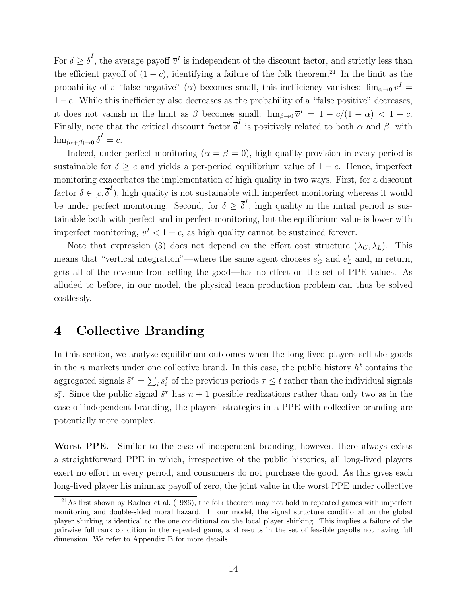For  $\delta \geq \overline{\delta}^I$ , the average payoff  $\overline{v}^I$  is independent of the discount factor, and strictly less than the efficient payoff of  $(1 - c)$ , identifying a failure of the folk theorem.<sup>21</sup> In the limit as the probability of a "false negative" ( $\alpha$ ) becomes small, this inefficiency vanishes:  $\lim_{\alpha\to 0} \overline{v}^I$  $1 - c$ . While this inefficiency also decreases as the probability of a "false positive" decreases, it does not vanish in the limit as  $\beta$  becomes small:  $\lim_{\beta \to 0} \overline{v}^I = 1 - c/(1 - \alpha) < 1 - c$ . Finally, note that the critical discount factor  $\overline{\delta}^I$  is positively related to both  $\alpha$  and  $\beta$ , with  $\lim_{(\alpha+\beta)\to 0} \overline{\delta}^I = c.$ 

Indeed, under perfect monitoring ( $\alpha = \beta = 0$ ), high quality provision in every period is sustainable for  $\delta \geq c$  and yields a per-period equilibrium value of  $1 - c$ . Hence, imperfect monitoring exacerbates the implementation of high quality in two ways. First, for a discount factor  $\delta \in [c, \overline{\delta}^I)$ , high quality is not sustainable with imperfect monitoring whereas it would be under perfect monitoring. Second, for  $\delta \geq \overline{\delta}^{I}$ , high quality in the initial period is sustainable both with perfect and imperfect monitoring, but the equilibrium value is lower with imperfect monitoring,  $\overline{v}^I < 1 - c$ , as high quality cannot be sustained forever.

Note that expression (3) does not depend on the effort cost structure  $(\lambda_G, \lambda_L)$ . This means that "vertical integration"—where the same agent chooses  $e_G^t$  and  $e_L^t$  and, in return, gets all of the revenue from selling the good—has no effect on the set of PPE values. As alluded to before, in our model, the physical team production problem can thus be solved costlessly.

#### 4 Collective Branding

In this section, we analyze equilibrium outcomes when the long-lived players sell the goods in the n markets under one collective brand. In this case, the public history  $h<sup>t</sup>$  contains the aggregated signals  $\tilde{s}^{\tau} = \sum_i s_i^{\tau}$  of the previous periods  $\tau \leq t$  rather than the individual signals  $s_i^{\tau}$ . Since the public signal  $\tilde{s}^{\tau}$  has  $n+1$  possible realizations rather than only two as in the case of independent branding, the players' strategies in a PPE with collective branding are potentially more complex.

Worst PPE. Similar to the case of independent branding, however, there always exists a straightforward PPE in which, irrespective of the public histories, all long-lived players exert no effort in every period, and consumers do not purchase the good. As this gives each long-lived player his minmax payoff of zero, the joint value in the worst PPE under collective

 $^{21}$ As first shown by Radner et al. (1986), the folk theorem may not hold in repeated games with imperfect monitoring and double-sided moral hazard. In our model, the signal structure conditional on the global player shirking is identical to the one conditional on the local player shirking. This implies a failure of the pairwise full rank condition in the repeated game, and results in the set of feasible payoffs not having full dimension. We refer to Appendix B for more details.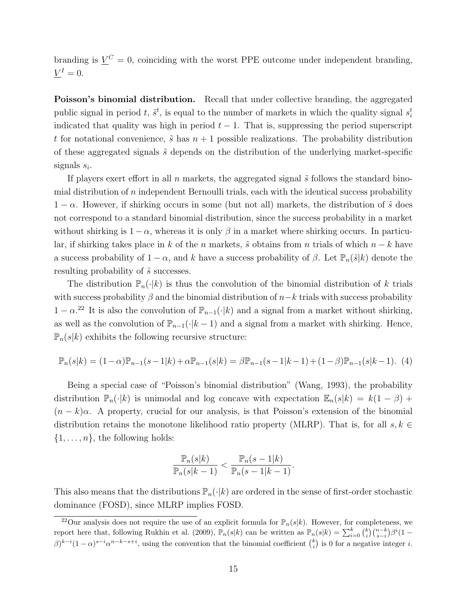branding is  $\underline{V}^C = 0$ , coinciding with the worst PPE outcome under independent branding,  $\underline{V}^I=0.$ 

Poisson's binomial distribution. Recall that under collective branding, the aggregated public signal in period t,  $\tilde{s}^t$ , is equal to the number of markets in which the quality signal  $s_i^t$ indicated that quality was high in period  $t - 1$ . That is, suppressing the period superscript t for notational convenience,  $\tilde{s}$  has  $n + 1$  possible realizations. The probability distribution of these aggregated signals  $\tilde{s}$  depends on the distribution of the underlying market-specific signals  $s_i$ .

If players exert effort in all n markets, the aggregated signal  $\tilde{s}$  follows the standard binomial distribution of  $n$  independent Bernoulli trials, each with the identical success probability  $1 - \alpha$ . However, if shirking occurs in some (but not all) markets, the distribution of  $\tilde{s}$  does not correspond to a standard binomial distribution, since the success probability in a market without shirking is  $1 - \alpha$ , whereas it is only  $\beta$  in a market where shirking occurs. In particular, if shirking takes place in k of the n markets,  $\tilde{s}$  obtains from n trials of which  $n - k$  have a success probability of  $1 - \alpha$ , and k have a success probability of  $\beta$ . Let  $\mathbb{P}_n(\tilde{s}|k)$  denote the resulting probability of  $\tilde{s}$  successes.

The distribution  $\mathbb{P}_n(\cdot|k)$  is thus the convolution of the binomial distribution of k trials with success probability  $\beta$  and the binomial distribution of  $n-k$  trials with success probability  $1 - \alpha^{22}$  It is also the convolution of  $\mathbb{P}_{n-1}(\cdot|k)$  and a signal from a market without shirking, as well as the convolution of  $\mathbb{P}_{n-1}(\cdot|k-1)$  and a signal from a market with shirking. Hence,  $\mathbb{P}_{n}(s|k)$  exhibits the following recursive structure:

$$
\mathbb{P}_n(s|k) = (1-\alpha)\mathbb{P}_{n-1}(s-1|k) + \alpha \mathbb{P}_{n-1}(s|k) = \beta \mathbb{P}_{n-1}(s-1|k-1) + (1-\beta)\mathbb{P}_{n-1}(s|k-1). \tag{4}
$$

Being a special case of "Poisson's binomial distribution" (Wang, 1993), the probability distribution  $\mathbb{P}_n(\cdot|k)$  is unimodal and log concave with expectation  $\mathbb{E}_n(s|k) = k(1-\beta)$  +  $(n - k)\alpha$ . A property, crucial for our analysis, is that Poisson's extension of the binomial distribution retains the monotone likelihood ratio property (MLRP). That is, for all  $s, k \in$  $\{1, \ldots, n\}$ , the following holds:

$$
\frac{\mathbb{P}_n(s|k)}{\mathbb{P}_n(s|k-1)} < \frac{\mathbb{P}_n(s-1|k)}{\mathbb{P}_n(s-1|k-1)}.
$$

This also means that the distributions  $\mathbb{P}_n(\cdot|k)$  are ordered in the sense of first-order stochastic dominance (FOSD), since MLRP implies FOSD.

<sup>&</sup>lt;sup>22</sup>Our analysis does not require the use of an explicit formula for  $\mathbb{P}_n(s|k)$ . However, for completeness, we report here that, following Rukhin et al. (2009),  $\mathbb{P}_n(s|k)$  can be written as  $\mathbb{P}_n(s|k) = \sum_{i=0}^k {k \choose i} {n-k \choose s-i} \beta^i (1-k)$  $(\beta)^{k-i}(1-\alpha)^{s-i}\alpha^{n-k-s+i}$ , using the convention that the binomial coefficient  $\binom{k}{i}$  is 0 for a negative integer *i*.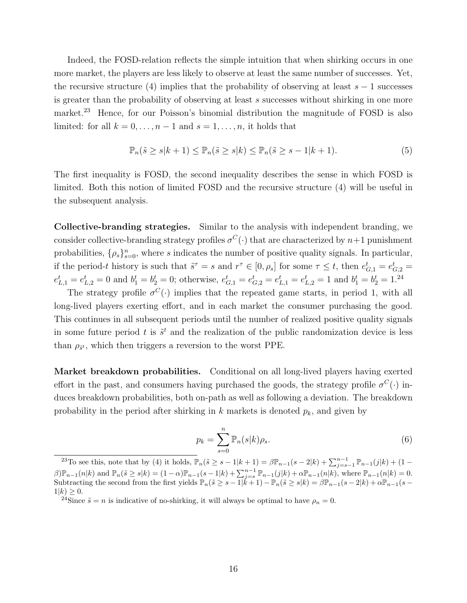Indeed, the FOSD-relation reflects the simple intuition that when shirking occurs in one more market, the players are less likely to observe at least the same number of successes. Yet, the recursive structure (4) implies that the probability of observing at least  $s - 1$  successes is greater than the probability of observing at least s successes without shirking in one more market.<sup>23</sup> Hence, for our Poisson's binomial distribution the magnitude of FOSD is also limited: for all  $k = 0, \ldots, n - 1$  and  $s = 1, \ldots, n$ , it holds that

$$
\mathbb{P}_n(\tilde{s} \ge s|k+1) \le \mathbb{P}_n(\tilde{s} \ge s|k) \le \mathbb{P}_n(\tilde{s} \ge s-1|k+1). \tag{5}
$$

The first inequality is FOSD, the second inequality describes the sense in which FOSD is limited. Both this notion of limited FOSD and the recursive structure (4) will be useful in the subsequent analysis.

Collective-branding strategies. Similar to the analysis with independent branding, we consider collective-branding strategy profiles  $\sigma^C(\cdot)$  that are characterized by  $n+1$  punishment probabilities,  $\{\rho_s\}_{s=0}^n$ , where s indicates the number of positive quality signals. In particular, if the period-t history is such that  $\tilde{s}^{\tau} = s$  and  $r^{\tau} \in [0, \rho_s]$  for some  $\tau \leq t$ , then  $e_{G,1}^t = e_{G,2}^t = t$  $e_{L,1}^t = e_{L,2}^t = 0$  and  $b_1^t = b_2^t = 0$ ; otherwise,  $e_{G,1}^t = e_{G,2}^t = e_{L,1}^t = e_{L,2}^t = 1$  and  $b_1^t = b_2^t = 1$ .<sup>24</sup>

The strategy profile  $\sigma^C(\cdot)$  implies that the repeated game starts, in period 1, with all long-lived players exerting effort, and in each market the consumer purchasing the good. This continues in all subsequent periods until the number of realized positive quality signals in some future period t is  $\tilde{s}^t$  and the realization of the public randomization device is less than  $\rho_{\tilde{s}t}$ , which then triggers a reversion to the worst PPE.

Market breakdown probabilities. Conditional on all long-lived players having exerted effort in the past, and consumers having purchased the goods, the strategy profile  $\sigma^C(\cdot)$  induces breakdown probabilities, both on-path as well as following a deviation. The breakdown probability in the period after shirking in  $k$  markets is denoted  $p_k$ , and given by

$$
p_k = \sum_{s=0}^{n} \mathbb{P}_n(s|k)\rho_s.
$$
 (6)

<sup>&</sup>lt;sup>23</sup>To see this, note that by (4) it holds,  $\mathbb{P}_n(\tilde{s} \ge s - 1|k+1) = \beta \mathbb{P}_{n-1}(s-2|k) + \sum_{j=s-1}^{n-1} \mathbb{P}_{n-1}(j|k) + (1 \beta \mathbb{P}_{n-1}(n|k)$  and  $\mathbb{P}_n(\tilde{s} \ge s|k) = (1-\alpha)\mathbb{P}_{n-1}(s-1|k) + \sum_{j=s}^{n-1} \mathbb{P}_{n-1}(j|k) + \alpha \mathbb{P}_{n-1}(n|k)$ , where  $\mathbb{P}_{n-1}(n|k) = 0$ . Subtracting the second from the first yields  $\mathbb{P}_n(\tilde{s} \geq s - 1|k+1) - \mathbb{P}_n(\tilde{s} \geq s|k) = \beta \mathbb{P}_{n-1}(s - 2|k) + \alpha \mathbb{P}_{n-1}(s - 2|k)$  $1|k| > 0.$ 

<sup>&</sup>lt;sup>24</sup>Since  $\tilde{s} = n$  is indicative of no-shirking, it will always be optimal to have  $\rho_n = 0$ .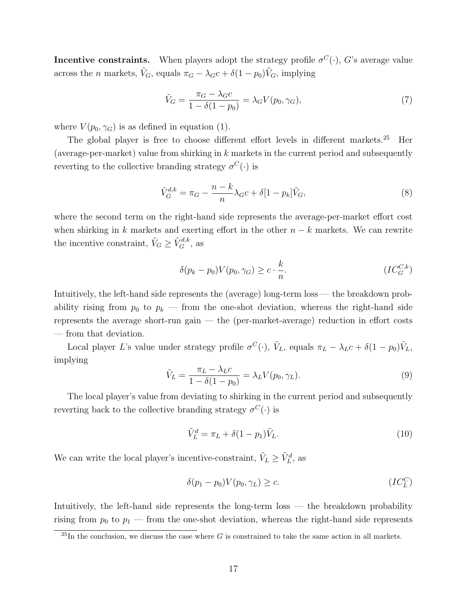**Incentive constraints.** When players adopt the strategy profile  $\sigma^C(\cdot)$ , G's average value across the *n* markets,  $\tilde{V}_G$ , equals  $\pi_G - \lambda_G c + \delta(1 - p_0)\tilde{V}_G$ , implying

$$
\tilde{V}_G = \frac{\pi_G - \lambda_G c}{1 - \delta(1 - p_0)} = \lambda_G V(p_0, \gamma_G),\tag{7}
$$

where  $V(p_0, \gamma_G)$  is as defined in equation (1).

The global player is free to choose different effort levels in different markets.<sup>25</sup> Her (average-per-market) value from shirking in  $k$  markets in the current period and subsequently reverting to the collective branding strategy  $\sigma^C(\cdot)$  is

$$
\tilde{V}_G^{d,k} = \pi_G - \frac{n-k}{n} \lambda_G c + \delta[1 - p_k] \tilde{V}_G,\tag{8}
$$

where the second term on the right-hand side represents the average-per-market effort cost when shirking in k markets and exerting effort in the other  $n - k$  markets. We can rewrite the incentive constraint,  $\tilde{V}_G \geq \tilde{V}_G^{d,k}$ , as

$$
\delta(p_k - p_0)V(p_0, \gamma_G) \ge c \cdot \frac{k}{n}.\tag{IC_G^{C,k}}
$$

Intuitively, the left-hand side represents the (average) long-term loss — the breakdown probability rising from  $p_0$  to  $p_k$  — from the one-shot deviation, whereas the right-hand side represents the average short-run gain — the (per-market-average) reduction in effort costs — from that deviation.

Local player L's value under strategy profile  $\sigma^C(\cdot)$ ,  $\tilde{V}_L$ , equals  $\pi_L - \lambda_L c + \delta(1-p_0)\tilde{V}_L$ , implying

$$
\tilde{V}_L = \frac{\pi_L - \lambda_L c}{1 - \delta(1 - p_0)} = \lambda_L V(p_0, \gamma_L). \tag{9}
$$

The local player's value from deviating to shirking in the current period and subsequently reverting back to the collective branding strategy  $\sigma^C(\cdot)$  is

$$
\tilde{V}_L^d = \pi_L + \delta(1 - p_1)\tilde{V}_L.
$$
\n(10)

We can write the local player's incentive-constraint,  $\tilde{V}_L \geq \tilde{V}_L^d$ , as

$$
\delta(p_1 - p_0)V(p_0, \gamma_L) \ge c. \tag{ICL} \tag{ICL}
$$

Intuitively, the left-hand side represents the long-term loss — the breakdown probability rising from  $p_0$  to  $p_1$  — from the one-shot deviation, whereas the right-hand side represents

 $^{25}$ In the conclusion, we discuss the case where G is constrained to take the same action in all markets.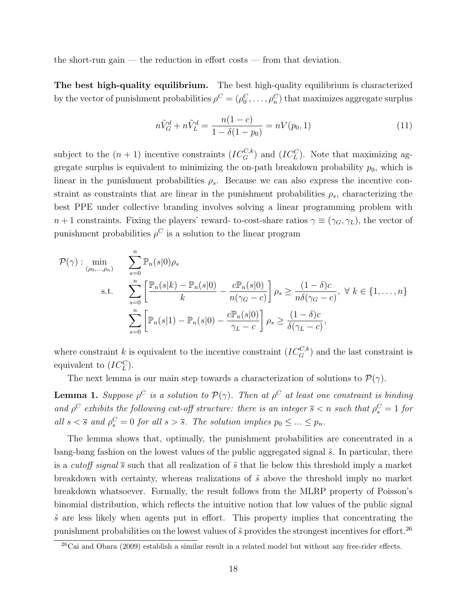the short-run gain — the reduction in effort costs — from that deviation.

**The best high-quality equilibrium.** The best high-quality equilibrium is characterized by the vector of punishment probabilities  $\rho^C = (\rho_0^C, \ldots, \rho_n^C)$  that maximizes aggregate surplus

$$
n\tilde{V}_G^d + n\tilde{V}_L^d = \frac{n(1-c)}{1-\delta(1-p_0)} = nV(p_0, 1)
$$
\n(11)

subject to the  $(n+1)$  incentive constraints  $(IC_G^{C,k})$  and  $(IC_L^C)$ . Note that maximizing aggregate surplus is equivalent to minimizing the on-path breakdown probability  $p_0$ , which is linear in the punishment probabilities  $\rho_s$ . Because we can also express the incentive constraint as constraints that are linear in the punishment probabilities  $\rho_s$ , characterizing the best PPE under collective branding involves solving a linear programming problem with  $n+1$  constraints. Fixing the players' reward- to-cost-share ratios  $\gamma \equiv (\gamma_G, \gamma_L)$ , the vector of punishment probabilities  $\rho^C$  is a solution to the linear program

$$
\mathcal{P}(\gamma) : \min_{(\rho_0, \dots, \rho_n)} \sum_{s=0}^n \mathbb{P}_n(s|0)\rho_s
$$
  
s.t. 
$$
\sum_{s=0}^n \left[ \frac{\mathbb{P}_n(s|k) - \mathbb{P}_n(s|0)}{k} - \frac{c\mathbb{P}_n(s|0)}{n(\gamma_G - c)} \right] \rho_s \ge \frac{(1-\delta)c}{n\delta(\gamma_G - c)}, \ \forall \ k \in \{1, \dots, n\}
$$

$$
\sum_{s=0}^n \left[ \mathbb{P}_n(s|1) - \mathbb{P}_n(s|0) - \frac{c\mathbb{P}_n(s|0)}{\gamma_L - c} \right] \rho_s \ge \frac{(1-\delta)c}{\delta(\gamma_L - c)},
$$

where constraint k is equivalent to the incentive constraint  $(IC_G^{C,k})$  and the last constraint is equivalent to  $(IC_{L}^{C})$ .

The next lemma is our main step towards a characterization of solutions to  $\mathcal{P}(\gamma)$ .

**Lemma 1.** Suppose  $\rho^C$  is a solution to  $\mathcal{P}(\gamma)$ . Then at  $\rho^C$  at least one constraint is binding and  $\rho^C$  exhibits the following cut-off structure: there is an integer  $\overline{s} < n$  such that  $\rho_s^C = 1$  for all  $s < \overline{s}$  and  $\rho_s^C = 0$  for all  $s > \overline{s}$ . The solution implies  $p_0 \leq ... \leq p_n$ .

The lemma shows that, optimally, the punishment probabilities are concentrated in a bang-bang fashion on the lowest values of the public aggregated signal  $\tilde{s}$ . In particular, there is a cutoff signal  $\overline{s}$  such that all realization of  $\tilde{s}$  that lie below this threshold imply a market breakdown with certainty, whereas realizations of  $\tilde{s}$  above the threshold imply no market breakdown whatsoever. Formally, the result follows from the MLRP property of Poisson's binomial distribution, which reflects the intuitive notion that low values of the public signal  $\tilde{s}$  are less likely when agents put in effort. This property implies that concentrating the punishment probabilities on the lowest values of  $\tilde{s}$  provides the strongest incentives for effort.<sup>26</sup>

 $^{26}$ Cai and Obara (2009) establish a similar result in a related model but without any free-rider effects.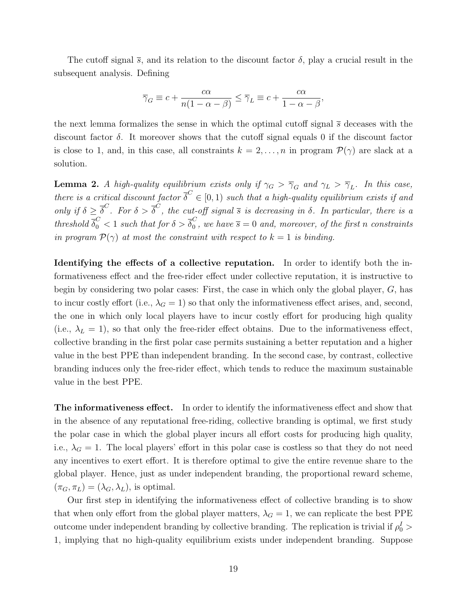The cutoff signal  $\bar{s}$ , and its relation to the discount factor  $\delta$ , play a crucial result in the subsequent analysis. Defining

$$
\overline{\gamma}_G \equiv c + \frac{c\alpha}{n(1 - \alpha - \beta)} \le \overline{\gamma}_L \equiv c + \frac{c\alpha}{1 - \alpha - \beta},
$$

the next lemma formalizes the sense in which the optimal cutoff signal  $\bar{s}$  deceases with the discount factor  $\delta$ . It moreover shows that the cutoff signal equals 0 if the discount factor is close to 1, and, in this case, all constraints  $k = 2, ..., n$  in program  $\mathcal{P}(\gamma)$  are slack at a solution.

**Lemma 2.** A high-quality equilibrium exists only if  $\gamma_G > \overline{\gamma}_G$  and  $\gamma_L > \overline{\gamma}_L$ . In this case, there is a critical discount factor  $\overline{\delta}^C \in [0,1)$  such that a high-quality equilibrium exists if and only if  $\delta \geq \overline{\delta}^C$ . For  $\delta > \overline{\delta}^C$ , the cut-off signal  $\overline{s}$  is decreasing in  $\delta$ . In particular, there is a threshold  $\overline{\delta}_0^C < 1$  such that for  $\delta > \overline{\delta}_0^C$  $\overline{0}$ , we have  $\overline{s} = 0$  and, moreover, of the first n constraints in program  $\mathcal{P}(\gamma)$  at most the constraint with respect to  $k = 1$  is binding.

Identifying the effects of a collective reputation. In order to identify both the informativeness effect and the free-rider effect under collective reputation, it is instructive to begin by considering two polar cases: First, the case in which only the global player,  $G$ , has to incur costly effort (i.e.,  $\lambda_G = 1$ ) so that only the informativeness effect arises, and, second, the one in which only local players have to incur costly effort for producing high quality (i.e.,  $\lambda_L = 1$ ), so that only the free-rider effect obtains. Due to the informativeness effect, collective branding in the first polar case permits sustaining a better reputation and a higher value in the best PPE than independent branding. In the second case, by contrast, collective branding induces only the free-rider effect, which tends to reduce the maximum sustainable value in the best PPE.

The informativeness effect. In order to identify the informativeness effect and show that in the absence of any reputational free-riding, collective branding is optimal, we first study the polar case in which the global player incurs all effort costs for producing high quality, i.e.,  $\lambda_G = 1$ . The local players' effort in this polar case is costless so that they do not need any incentives to exert effort. It is therefore optimal to give the entire revenue share to the global player. Hence, just as under independent branding, the proportional reward scheme,  $(\pi_G, \pi_L) = (\lambda_G, \lambda_L)$ , is optimal.

Our first step in identifying the informativeness effect of collective branding is to show that when only effort from the global player matters,  $\lambda_G = 1$ , we can replicate the best PPE outcome under independent branding by collective branding. The replication is trivial if  $\rho_0^I$  > 1, implying that no high-quality equilibrium exists under independent branding. Suppose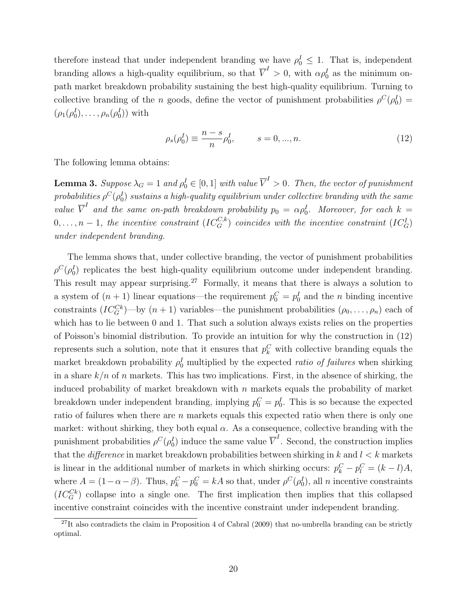therefore instead that under independent branding we have  $\rho_0^I \leq 1$ . That is, independent branding allows a high-quality equilibrium, so that  $\overline{V}^I > 0$ , with  $\alpha \rho_0^I$  as the minimum onpath market breakdown probability sustaining the best high-quality equilibrium. Turning to collective branding of the n goods, define the vector of punishment probabilities  $\rho^C(\rho_0^I)$  =  $(\rho_1(\rho_0^I), \ldots, \rho_n(\rho_0^I))$  with

$$
\rho_s(\rho_0^I) \equiv \frac{n-s}{n} \rho_0^I, \qquad s = 0, ..., n. \tag{12}
$$

The following lemma obtains:

**Lemma 3.** Suppose  $\lambda_G = 1$  and  $\rho_0^I \in [0,1]$  with value  $\overline{V}^I > 0$ . Then, the vector of punishment probabilities  $\rho^C(\rho_0^I)$  sustains a high-quality equilibrium under collective branding with the same value  $\overline{V}^I$  and the same on-path breakdown probability  $p_0 = \alpha \rho_0^I$ . Moreover, for each  $k =$  $0, \ldots, n-1$ , the incentive constraint  $(IC_G^{C,k})$  coincides with the incentive constraint  $(IC_G^I)$ under independent branding.

The lemma shows that, under collective branding, the vector of punishment probabilities  $\rho^C(\rho_0^I)$  replicates the best high-quality equilibrium outcome under independent branding. This result may appear surprising.<sup>27</sup> Formally, it means that there is always a solution to a system of  $(n+1)$  linear equations—the requirement  $p_0^C = p_0^I$  and the *n* binding incentive constraints  $(IC_G^{Ck})$ —by  $(n + 1)$  variables—the punishment probabilities  $(\rho_0, \ldots, \rho_n)$  each of which has to lie between 0 and 1. That such a solution always exists relies on the properties of Poisson's binomial distribution. To provide an intuition for why the construction in (12) represents such a solution, note that it ensures that  $p_k^C$  with collective branding equals the market breakdown probability  $\rho_0^I$  multiplied by the expected *ratio of failures* when shirking in a share  $k/n$  of n markets. This has two implications. First, in the absence of shirking, the induced probability of market breakdown with  $n$  markets equals the probability of market breakdown under independent branding, implying  $p_0^C = p_0^I$ . This is so because the expected ratio of failures when there are  $n$  markets equals this expected ratio when there is only one market: without shirking, they both equal  $\alpha$ . As a consequence, collective branding with the punishment probabilities  $\rho^C(\rho_0^I)$  induce the same value  $\overline{V}^I$ . Second, the construction implies that the *difference* in market breakdown probabilities between shirking in  $k$  and  $l < k$  markets is linear in the additional number of markets in which shirking occurs:  $p_k^C - p_l^C = (k - l)A$ , where  $A = (1 - \alpha - \beta)$ . Thus,  $p_k^C - p_0^C = kA$  so that, under  $\rho^C(\rho_0^I)$ , all n incentive constraints  $(IC_G^{Ck})$  collapse into a single one. The first implication then implies that this collapsed incentive constraint coincides with the incentive constraint under independent branding.

 $27$ It also contradicts the claim in Proposition 4 of Cabral (2009) that no-umbrella branding can be strictly optimal.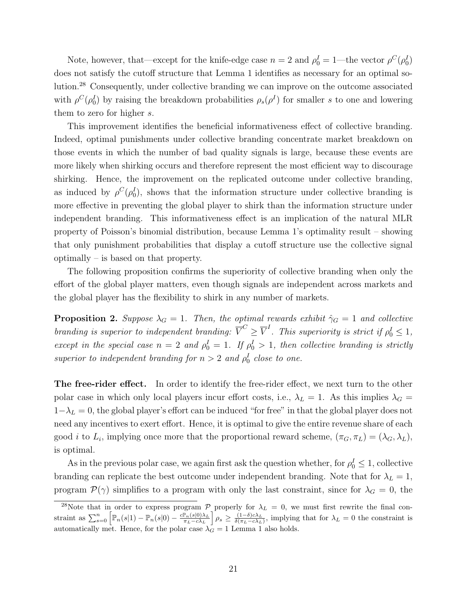Note, however, that—except for the knife-edge case  $n = 2$  and  $\rho_0^I = 1$ —the vector  $\rho^C(\rho_0^I)$ does not satisfy the cutoff structure that Lemma 1 identifies as necessary for an optimal solution.<sup>28</sup> Consequently, under collective branding we can improve on the outcome associated with  $\rho^C(\rho_0^I)$  by raising the breakdown probabilities  $\rho_s(\rho^I)$  for smaller s to one and lowering them to zero for higher s.

This improvement identifies the beneficial informativeness effect of collective branding. Indeed, optimal punishments under collective branding concentrate market breakdown on those events in which the number of bad quality signals is large, because these events are more likely when shirking occurs and therefore represent the most efficient way to discourage shirking. Hence, the improvement on the replicated outcome under collective branding, as induced by  $\rho^C(\rho_0^I)$ , shows that the information structure under collective branding is more effective in preventing the global player to shirk than the information structure under independent branding. This informativeness effect is an implication of the natural MLR property of Poisson's binomial distribution, because Lemma 1's optimality result – showing that only punishment probabilities that display a cutoff structure use the collective signal optimally – is based on that property.

The following proposition confirms the superiority of collective branding when only the effort of the global player matters, even though signals are independent across markets and the global player has the flexibility to shirk in any number of markets.

**Proposition 2.** Suppose  $\lambda_G = 1$ . Then, the optimal rewards exhibit  $\hat{\gamma}_G = 1$  and collective branding is superior to independent branding:  $\overline{V}^C \geq \overline{V}^I$ . This superiority is strict if  $\rho_0^I \leq 1$ , except in the special case  $n = 2$  and  $\rho_0^I = 1$ . If  $\rho_0^I > 1$ , then collective branding is strictly superior to independent branding for  $n > 2$  and  $\rho_0^I$  close to one.

**The free-rider effect.** In order to identify the free-rider effect, we next turn to the other polar case in which only local players incur effort costs, i.e.,  $\lambda_L = 1$ . As this implies  $\lambda_G =$  $1-\lambda_L = 0$ , the global player's effort can be induced "for free" in that the global player does not need any incentives to exert effort. Hence, it is optimal to give the entire revenue share of each good *i* to  $L_i$ , implying once more that the proportional reward scheme,  $(\pi_G, \pi_L) = (\lambda_G, \lambda_L)$ , is optimal.

As in the previous polar case, we again first ask the question whether, for  $\rho_0^I \leq 1$ , collective branding can replicate the best outcome under independent branding. Note that for  $\lambda_L = 1$ , program  $\mathcal{P}(\gamma)$  simplifies to a program with only the last constraint, since for  $\lambda_G = 0$ , the

<sup>&</sup>lt;sup>28</sup>Note that in order to express program  $P$  properly for  $\lambda_L = 0$ , we must first rewrite the final constraint as  $\sum_{s=0}^{n} \left[ \mathbb{P}_n(s|1) - \mathbb{P}_n(s|0) - \frac{c \mathbb{P}_n(s|0) \lambda_L}{\pi_L - c \lambda_L} \right]$  $\left\lbrack \frac{\mathbb{P}_{n}(s|0)\lambda_{L}}{\pi_{L}-c\lambda_{L}}\right\rbrack\rho_{s}\geq\frac{(1-\delta)c\lambda_{L}}{\delta(\pi_{L}-c\lambda_{L})}$  $\frac{(1-\delta)c\lambda_L}{\delta(\pi_L-c\lambda_L)}$ , implying that for  $\lambda_L = 0$  the constraint is automatically met. Hence, for the polar case  $\lambda_G = 1$  Lemma 1 also holds.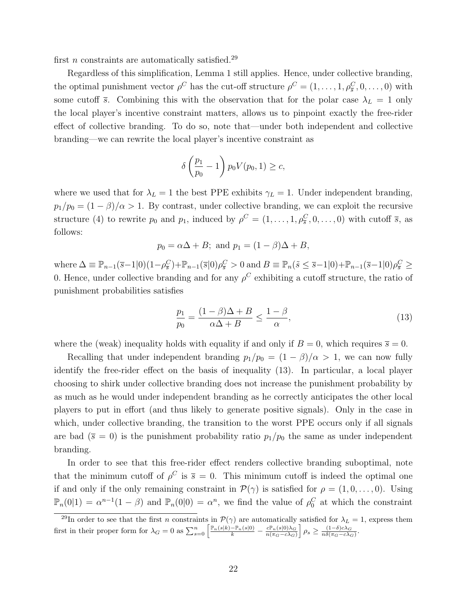first *n* constraints are automatically satisfied.<sup>29</sup>

Regardless of this simplification, Lemma 1 still applies. Hence, under collective branding, the optimal punishment vector  $\rho^C$  has the cut-off structure  $\rho^C = (1, \ldots, 1, \rho_{\overline{s}}^C, 0, \ldots, 0)$  with some cutoff  $\bar{s}$ . Combining this with the observation that for the polar case  $\lambda_L = 1$  only the local player's incentive constraint matters, allows us to pinpoint exactly the free-rider effect of collective branding. To do so, note that—under both independent and collective branding—we can rewrite the local player's incentive constraint as

$$
\delta\left(\frac{p_1}{p_0} - 1\right) p_0 V(p_0, 1) \ge c,
$$

where we used that for  $\lambda_L = 1$  the best PPE exhibits  $\gamma_L = 1$ . Under independent branding,  $p_1/p_0 = (1 - \beta)/\alpha > 1$ . By contrast, under collective branding, we can exploit the recursive structure (4) to rewrite  $p_0$  and  $p_1$ , induced by  $\rho^C = (1, \ldots, 1, \rho_{\overline{s}}^C, 0, \ldots, 0)$  with cutoff  $\overline{s}$ , as follows:

$$
p_0 = \alpha \Delta + B
$$
; and  $p_1 = (1 - \beta)\Delta + B$ ,

where  $\Delta \equiv \mathbb{P}_{n-1}(\bar{s}-1|0)(1-\rho_{\bar{s}}^C)+\mathbb{P}_{n-1}(\bar{s}|0)\rho_{\bar{s}}^C > 0$  and  $B \equiv \mathbb{P}_n(\tilde{s} \leq \bar{s}-1|0)+\mathbb{P}_{n-1}(\bar{s}-1|0)\rho_{\bar{s}}^C \geq$ 0. Hence, under collective branding and for any  $\rho^C$  exhibiting a cutoff structure, the ratio of punishment probabilities satisfies

$$
\frac{p_1}{p_0} = \frac{(1 - \beta)\Delta + B}{\alpha \Delta + B} \le \frac{1 - \beta}{\alpha},\tag{13}
$$

where the (weak) inequality holds with equality if and only if  $B = 0$ , which requires  $\overline{s} = 0$ .

Recalling that under independent branding  $p_1/p_0 = (1 - \beta)/\alpha > 1$ , we can now fully identify the free-rider effect on the basis of inequality (13). In particular, a local player choosing to shirk under collective branding does not increase the punishment probability by as much as he would under independent branding as he correctly anticipates the other local players to put in effort (and thus likely to generate positive signals). Only in the case in which, under collective branding, the transition to the worst PPE occurs only if all signals are bad  $(\bar{s} = 0)$  is the punishment probability ratio  $p_1/p_0$  the same as under independent branding.

In order to see that this free-rider effect renders collective branding suboptimal, note that the minimum cutoff of  $\rho^C$  is  $\bar{s} = 0$ . This minimum cutoff is indeed the optimal one if and only if the only remaining constraint in  $\mathcal{P}(\gamma)$  is satisfied for  $\rho = (1, 0, \ldots, 0)$ . Using  $\mathbb{P}_n(0|1) = \alpha^{n-1}(1-\beta)$  and  $\mathbb{P}_n(0|0) = \alpha^n$ , we find the value of  $\rho_0^C$  at which the constraint

<sup>&</sup>lt;sup>29</sup>In order to see that the first n constraints in  $\mathcal{P}(\gamma)$  are automatically satisfied for  $\lambda_L = 1$ , express them first in their proper form for  $\lambda_G = 0$  as  $\sum_{s=0}^n \left[ \frac{\mathbb{P}_n(s|k) - \mathbb{P}_n(s|0)}{k} - \frac{c \mathbb{P}_n(s|0) \lambda_G}{n(\pi_G - c \lambda_G)} \right]$  $\frac{c\mathbb{P}_n(s|0)\lambda_G}{n(\pi_G-c\lambda_G)}\bigg\vert \rho_s \geq \frac{(1-\delta)c\lambda_G}{n\delta(\pi_G-c\lambda_G)}$  $\frac{(1 - o)c\lambda_G}{n\delta(\pi_G - c\lambda_G)}$ .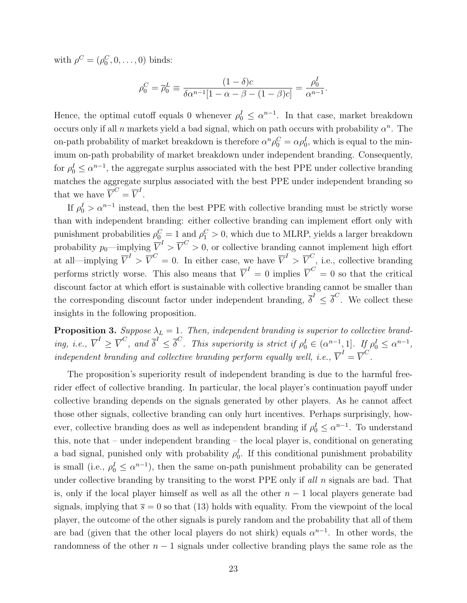with  $\rho^C = (\rho_0^C, 0, \dots, 0)$  binds:

$$
\rho_0^C = \overline{\rho}_0^L \equiv \frac{(1 - \delta)c}{\delta \alpha^{n-1} [1 - \alpha - \beta - (1 - \beta)c]} = \frac{\rho_0^I}{\alpha^{n-1}}.
$$

Hence, the optimal cutoff equals 0 whenever  $\rho_0^I \leq \alpha^{n-1}$ . In that case, market breakdown occurs only if all n markets yield a bad signal, which on path occurs with probability  $\alpha^n$ . The on-path probability of market breakdown is therefore  $\alpha^n \rho_0^C = \alpha \rho_0^I$ , which is equal to the minimum on-path probability of market breakdown under independent branding. Consequently, for  $\rho_0^I \leq \alpha^{n-1}$ , the aggregate surplus associated with the best PPE under collective branding matches the aggregate surplus associated with the best PPE under independent branding so that we have  $\overline{V}^C = \overline{V}^I$ .

If  $\rho_0^I > \alpha^{n-1}$  instead, then the best PPE with collective branding must be strictly worse than with independent branding: either collective branding can implement effort only with punishment probabilities  $\rho_0^C = 1$  and  $\rho_1^C > 0$ , which due to MLRP, yields a larger breakdown probability  $p_0$ —implying  $\overline{V}^I > \overline{V}^C > 0$ , or collective branding cannot implement high effort at all—implying  $\overline{V}^I > \overline{V}^C = 0$ . In either case, we have  $\overline{V}^I > \overline{V}^C$ , i.e., collective branding performs strictly worse. This also means that  $\overline{V}^I = 0$  implies  $\overline{V}^C = 0$  so that the critical discount factor at which effort is sustainable with collective branding cannot be smaller than the corresponding discount factor under independent branding,  $\overline{\delta}^I \leq \overline{\delta}^C$ . We collect these insights in the following proposition.

**Proposition 3.** Suppose  $\lambda_L = 1$ . Then, independent branding is superior to collective branding, i.e.,  $\overline{V}^I \geq \overline{V}^C$ , and  $\overline{\delta}^I \leq \overline{\delta}^C$ . This superiority is strict if  $\rho_0^I \in (\alpha^{n-1}, 1]$ . If  $\rho_0^I \leq \alpha^{n-1}$ , independent branding and collective branding perform equally well, i.e.,  $\overline{V}^I = \overline{V}^C$ .

The proposition's superiority result of independent branding is due to the harmful freerider effect of collective branding. In particular, the local player's continuation payoff under collective branding depends on the signals generated by other players. As he cannot affect those other signals, collective branding can only hurt incentives. Perhaps surprisingly, however, collective branding does as well as independent branding if  $\rho_0^I \leq \alpha^{n-1}$ . To understand this, note that – under independent branding – the local player is, conditional on generating a bad signal, punished only with probability  $\rho_0^I$ . If this conditional punishment probability is small (i.e.,  $\rho_0^I \leq \alpha^{n-1}$ ), then the same on-path punishment probability can be generated under collective branding by transiting to the worst PPE only if all n signals are bad. That is, only if the local player himself as well as all the other  $n-1$  local players generate bad signals, implying that  $\bar{s} = 0$  so that (13) holds with equality. From the viewpoint of the local player, the outcome of the other signals is purely random and the probability that all of them are bad (given that the other local players do not shirk) equals  $\alpha^{n-1}$ . In other words, the randomness of the other  $n-1$  signals under collective branding plays the same role as the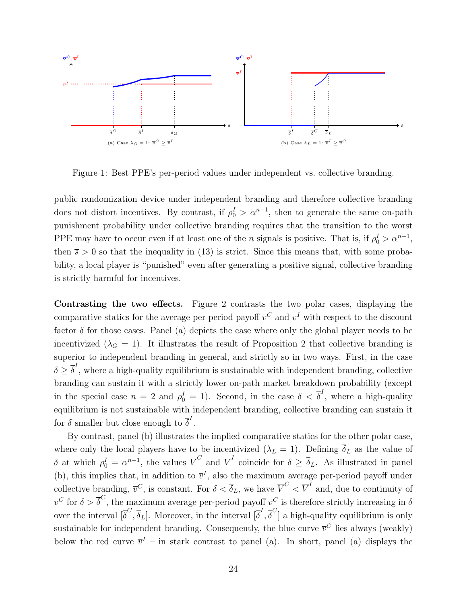

Figure 1: Best PPE's per-period values under independent vs. collective branding.

public randomization device under independent branding and therefore collective branding does not distort incentives. By contrast, if  $\rho_0^I > \alpha^{n-1}$ , then to generate the same on-path punishment probability under collective branding requires that the transition to the worst PPE may have to occur even if at least one of the *n* signals is positive. That is, if  $\rho_0^I > \alpha^{n-1}$ , then  $\bar{s} > 0$  so that the inequality in (13) is strict. Since this means that, with some probability, a local player is "punished" even after generating a positive signal, collective branding is strictly harmful for incentives.

Contrasting the two effects. Figure 2 contrasts the two polar cases, displaying the comparative statics for the average per period payoff  $\bar{v}^C$  and  $\bar{v}^I$  with respect to the discount factor  $\delta$  for those cases. Panel (a) depicts the case where only the global player needs to be incentivized ( $\lambda_G = 1$ ). It illustrates the result of Proposition 2 that collective branding is superior to independent branding in general, and strictly so in two ways. First, in the case  $\delta \geq \overline{\delta}^I$ , where a high-quality equilibrium is sustainable with independent branding, collective branding can sustain it with a strictly lower on-path market breakdown probability (except in the special case  $n = 2$  and  $\rho_0^I = 1$ ). Second, in the case  $\delta < \overline{\delta}^I$ , where a high-quality equilibrium is not sustainable with independent branding, collective branding can sustain it for  $\delta$  smaller but close enough to  $\overline{\delta}^I$ .

By contrast, panel (b) illustrates the implied comparative statics for the other polar case, where only the local players have to be incentivized  $(\lambda_L = 1)$ . Defining  $\overline{\delta}_L$  as the value of δ at which  $\rho_0^I = \alpha^{n-1}$ , the values  $\overline{V}^C$  and  $\overline{V}^I$  coincide for  $\delta \geq \overline{\delta}_L$ . As illustrated in panel (b), this implies that, in addition to  $\bar{v}^I$ , also the maximum average per-period payoff under collective branding,  $\overline{v}^C$ , is constant. For  $\delta < \overline{\delta}_L$ , we have  $\overline{V}^C < \overline{V}^I$  and, due to continuity of  $\overline{v}^C$  for  $\delta > \overline{\delta}^C$ , the maximum average per-period payoff  $\overline{v}^C$  is therefore strictly increasing in  $\delta$ over the interval  $[\bar{\delta}^C, \bar{\delta}_L]$ . Moreover, in the interval  $[\bar{\delta}^I, \bar{\delta}^C]$  a high-quality equilibrium is only sustainable for independent branding. Consequently, the blue curve  $\bar{v}^C$  lies always (weakly) below the red curve  $\bar{v}^I$  – in stark contrast to panel (a). In short, panel (a) displays the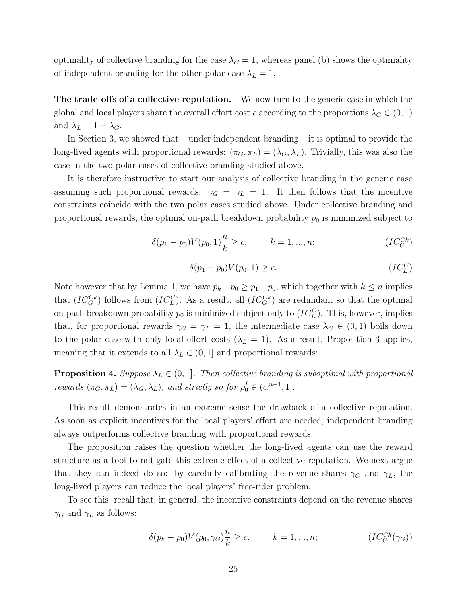optimality of collective branding for the case  $\lambda_G = 1$ , whereas panel (b) shows the optimality of independent branding for the other polar case  $\lambda_L = 1$ .

The trade-offs of a collective reputation. We now turn to the generic case in which the global and local players share the overall effort cost c according to the proportions  $\lambda_G \in (0,1)$ and  $\lambda_L = 1 - \lambda_G$ .

In Section 3, we showed that – under independent branding – it is optimal to provide the long-lived agents with proportional rewards:  $(\pi_G, \pi_L) = (\lambda_G, \lambda_L)$ . Trivially, this was also the case in the two polar cases of collective branding studied above.

It is therefore instructive to start our analysis of collective branding in the generic case assuming such proportional rewards:  $\gamma_G = \gamma_L = 1$ . It then follows that the incentive constraints coincide with the two polar cases studied above. Under collective branding and proportional rewards, the optimal on-path breakdown probability  $p_0$  is minimized subject to

$$
\delta(p_k - p_0)V(p_0, 1)\frac{n}{k} \ge c, \qquad k = 1, ..., n; \qquad (IC_G^{Ck})
$$

$$
\delta(p_1 - p_0)V(p_0, 1) \ge c. \tag{ICL} \tag{ICL}
$$

Note however that by Lemma 1, we have  $p_k - p_0 \ge p_1 - p_0$ , which together with  $k \le n$  implies that  $(IC_G^{Ck})$  follows from  $(IC_L^C)$ . As a result, all  $(IC_G^{Ck})$  are redundant so that the optimal on-path breakdown probability  $p_0$  is minimized subject only to  $(IC_L^C)$ . This, however, implies that, for proportional rewards  $\gamma_G = \gamma_L = 1$ , the intermediate case  $\lambda_G \in (0,1)$  boils down to the polar case with only local effort costs  $(\lambda_L = 1)$ . As a result, Proposition 3 applies, meaning that it extends to all  $\lambda_L \in (0,1]$  and proportional rewards:

**Proposition 4.** Suppose  $\lambda_L \in (0,1]$ . Then collective branding is suboptimal with proportional rewards  $(\pi_G, \pi_L) = (\lambda_G, \lambda_L)$ , and strictly so for  $\rho_0^I \in (\alpha^{n-1}, 1]$ .

This result demonstrates in an extreme sense the drawback of a collective reputation. As soon as explicit incentives for the local players' effort are needed, independent branding always outperforms collective branding with proportional rewards.

The proposition raises the question whether the long-lived agents can use the reward structure as a tool to mitigate this extreme effect of a collective reputation. We next argue that they can indeed do so: by carefully calibrating the revenue shares  $\gamma_G$  and  $\gamma_L$ , the long-lived players can reduce the local players' free-rider problem.

To see this, recall that, in general, the incentive constraints depend on the revenue shares  $\gamma_G$  and  $\gamma_L$  as follows:

$$
\delta(p_k - p_0)V(p_0, \gamma_G)\frac{n}{k} \ge c, \qquad k = 1, ..., n; \qquad (IC_G^{Ck}(\gamma_G))
$$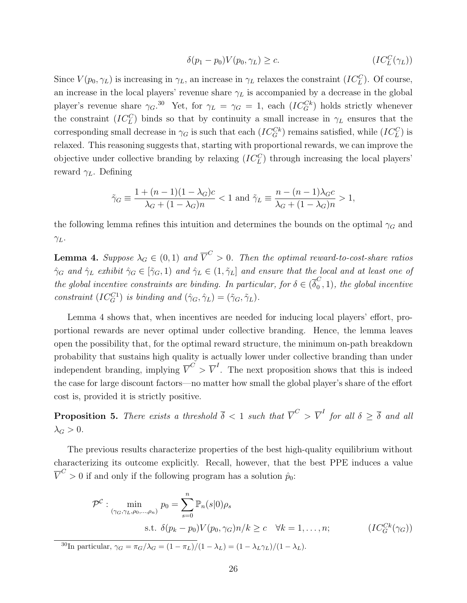$$
\delta(p_1 - p_0)V(p_0, \gamma_L) \ge c. \qquad (IC_L^C(\gamma_L))
$$

Since  $V(p_0, \gamma_L)$  is increasing in  $\gamma_L$ , an increase in  $\gamma_L$  relaxes the constraint  $(IC_L^C)$ . Of course, an increase in the local players' revenue share  $\gamma_L$  is accompanied by a decrease in the global player's revenue share  $\gamma_G$ .<sup>30</sup> Yet, for  $\gamma_L = \gamma_G = 1$ , each  $(IC_G^{Ck})$  holds strictly whenever the constraint  $(IC_L^C)$  binds so that by continuity a small increase in  $\gamma_L$  ensures that the corresponding small decrease in  $\gamma_G$  is such that each  $(IC_G^{Ck})$  remains satisfied, while  $(IC_L^C)$  is relaxed. This reasoning suggests that, starting with proportional rewards, we can improve the objective under collective branding by relaxing  $(IC<sub>L</sub><sup>C</sup>)$  through increasing the local players' reward  $\gamma_L$ . Defining

$$
\tilde{\gamma}_G \equiv \frac{1 + (n-1)(1 - \lambda_G)c}{\lambda_G + (1 - \lambda_G)n} < 1 \text{ and } \tilde{\gamma}_L \equiv \frac{n - (n-1)\lambda_G c}{\lambda_G + (1 - \lambda_G)n} > 1,
$$

the following lemma refines this intuition and determines the bounds on the optimal  $\gamma_G$  and  $\gamma_L$ .

**Lemma 4.** Suppose  $\lambda_G \in (0,1)$  and  $\overline{V}^C > 0$ . Then the optimal reward-to-cost-share ratios  $\hat{\gamma}_G$  and  $\hat{\gamma}_L$  exhibit  $\hat{\gamma}_G \in [\tilde{\gamma}_G, 1)$  and  $\hat{\gamma}_L \in (1, \tilde{\gamma}_L]$  and ensure that the local and at least one of the global incentive constraints are binding. In particular, for  $\delta \in (\overline{\delta}_0^C)$  $\binom{0}{0}, 1$ , the global incentive constraint  $(IC_G^{C1})$  is binding and  $(\hat{\gamma}_G, \hat{\gamma}_L) = (\tilde{\gamma}_G, \tilde{\gamma}_L)$ .

Lemma 4 shows that, when incentives are needed for inducing local players' effort, proportional rewards are never optimal under collective branding. Hence, the lemma leaves open the possibility that, for the optimal reward structure, the minimum on-path breakdown probability that sustains high quality is actually lower under collective branding than under independent branding, implying  $\overline{V}^C > \overline{V}^I$ . The next proposition shows that this is indeed the case for large discount factors—no matter how small the global player's share of the effort cost is, provided it is strictly positive.

**Proposition 5.** There exists a threshold  $\overline{\delta} < 1$  such that  $\overline{V}^C > \overline{V}^I$  for all  $\delta \geq \overline{\delta}$  and all  $\lambda_G > 0$ .

The previous results characterize properties of the best high-quality equilibrium without characterizing its outcome explicitly. Recall, however, that the best PPE induces a value  $\overline{V}^C > 0$  if and only if the following program has a solution  $\hat{p}_0$ :

$$
\mathcal{P}^{\mathcal{C}}: \min_{(\gamma_G, \gamma_L, \rho_0, \dots, \rho_n)} p_0 = \sum_{s=0}^n \mathbb{P}_n(s|0)\rho_s
$$
  
s.t.  $\delta(p_k - p_0)V(p_0, \gamma_G)n/k \ge c \quad \forall k = 1, \dots, n;$   $(IC_G^{Ck}(\gamma_G))$ 

<sup>30</sup>In particular,  $\gamma_G = \pi_G/\lambda_G = (1 - \pi_L)/(1 - \lambda_L) = (1 - \lambda_L \gamma_L)/(1 - \lambda_L)$ .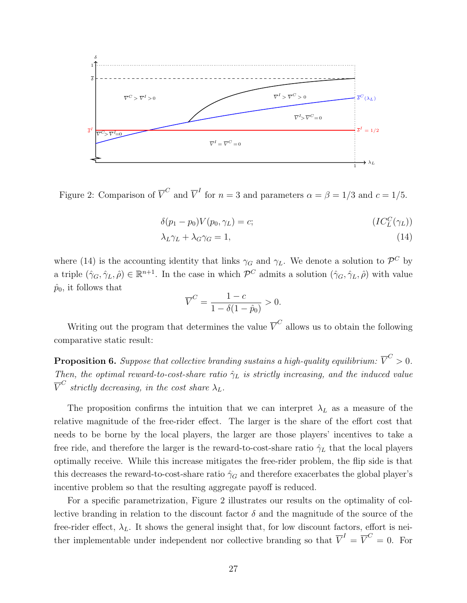

Figure 2: Comparison of  $\overline{V}^C$  and  $\overline{V}^I$  for  $n=3$  and parameters  $\alpha = \beta = 1/3$  and  $c = 1/5$ .

$$
\delta(p_1 - p_0)V(p_0, \gamma_L) = c; \qquad (IC_L^C(\gamma_L))
$$

$$
\lambda_L \gamma_L + \lambda_G \gamma_G = 1,\tag{14}
$$

where (14) is the accounting identity that links  $\gamma_G$  and  $\gamma_L$ . We denote a solution to  $\mathcal{P}^C$  by a triple  $(\hat{\gamma}_G, \hat{\gamma}_L, \hat{\rho}) \in \mathbb{R}^{n+1}$ . In the case in which  $\mathcal{P}^C$  admits a solution  $(\hat{\gamma}_G, \hat{\gamma}_L, \hat{\rho})$  with value  $\hat{p}_0$ , it follows that

$$
\overline{V}^C = \frac{1 - c}{1 - \delta(1 - \hat{p}_0)} > 0.
$$

Writing out the program that determines the value  $\overline{V}^C$  allows us to obtain the following comparative static result:

**Proposition 6.** Suppose that collective branding sustains a high-quality equilibrium:  $\overline{V}^C > 0$ . Then, the optimal reward-to-cost-share ratio  $\hat{\gamma}_L$  is strictly increasing, and the induced value  ${\overline V}^C$  strictly decreasing, in the cost share  $\lambda_L$ .

The proposition confirms the intuition that we can interpret  $\lambda_L$  as a measure of the relative magnitude of the free-rider effect. The larger is the share of the effort cost that needs to be borne by the local players, the larger are those players' incentives to take a free ride, and therefore the larger is the reward-to-cost-share ratio  $\hat{\gamma}_L$  that the local players optimally receive. While this increase mitigates the free-rider problem, the flip side is that this decreases the reward-to-cost-share ratio  $\hat{\gamma}_G$  and therefore exacerbates the global player's incentive problem so that the resulting aggregate payoff is reduced.

For a specific parametrization, Figure 2 illustrates our results on the optimality of collective branding in relation to the discount factor  $\delta$  and the magnitude of the source of the free-rider effect,  $\lambda_L$ . It shows the general insight that, for low discount factors, effort is neither implementable under independent nor collective branding so that  $\overline{V}^I = \overline{V}^C = 0$ . For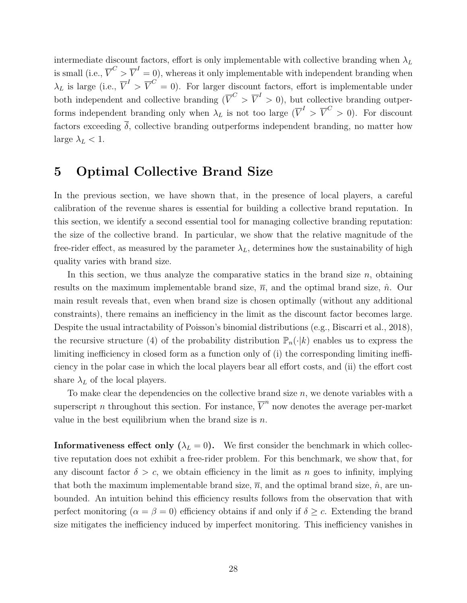intermediate discount factors, effort is only implementable with collective branding when  $\lambda_L$ is small (i.e.,  $\overline{V}^C > \overline{V}^I = 0$ ), whereas it only implementable with independent branding when  $\lambda_L$  is large (i.e.,  $\overline{V}^I > \overline{V}^C = 0$ ). For larger discount factors, effort is implementable under both independent and collective branding ( $\overline{V}^C > \overline{V}^I > 0$ ), but collective branding outperforms independent branding only when  $\lambda_L$  is not too large  $(\overline{V}^I > \overline{V}^C > 0)$ . For discount factors exceeding  $\overline{\delta}$ , collective branding outperforms independent branding, no matter how large  $\lambda_L < 1$ .

#### 5 Optimal Collective Brand Size

In the previous section, we have shown that, in the presence of local players, a careful calibration of the revenue shares is essential for building a collective brand reputation. In this section, we identify a second essential tool for managing collective branding reputation: the size of the collective brand. In particular, we show that the relative magnitude of the free-rider effect, as measured by the parameter  $\lambda_L$ , determines how the sustainability of high quality varies with brand size.

In this section, we thus analyze the comparative statics in the brand size  $n$ , obtaining results on the maximum implementable brand size,  $\bar{n}$ , and the optimal brand size,  $\hat{n}$ . Our main result reveals that, even when brand size is chosen optimally (without any additional constraints), there remains an inefficiency in the limit as the discount factor becomes large. Despite the usual intractability of Poisson's binomial distributions (e.g., Biscarri et al., 2018), the recursive structure (4) of the probability distribution  $\mathbb{P}_n(\cdot|k)$  enables us to express the limiting inefficiency in closed form as a function only of (i) the corresponding limiting inefficiency in the polar case in which the local players bear all effort costs, and (ii) the effort cost share  $\lambda_L$  of the local players.

To make clear the dependencies on the collective brand size  $n$ , we denote variables with a superscript *n* throughout this section. For instance,  $\overline{V}^n$  now denotes the average per-market value in the best equilibrium when the brand size is  $n$ .

**Informativeness effect only**  $(\lambda_L = 0)$ . We first consider the benchmark in which collective reputation does not exhibit a free-rider problem. For this benchmark, we show that, for any discount factor  $\delta > c$ , we obtain efficiency in the limit as n goes to infinity, implying that both the maximum implementable brand size,  $\bar{n}$ , and the optimal brand size,  $\hat{n}$ , are unbounded. An intuition behind this efficiency results follows from the observation that with perfect monitoring  $(\alpha = \beta = 0)$  efficiency obtains if and only if  $\delta \geq c$ . Extending the brand size mitigates the inefficiency induced by imperfect monitoring. This inefficiency vanishes in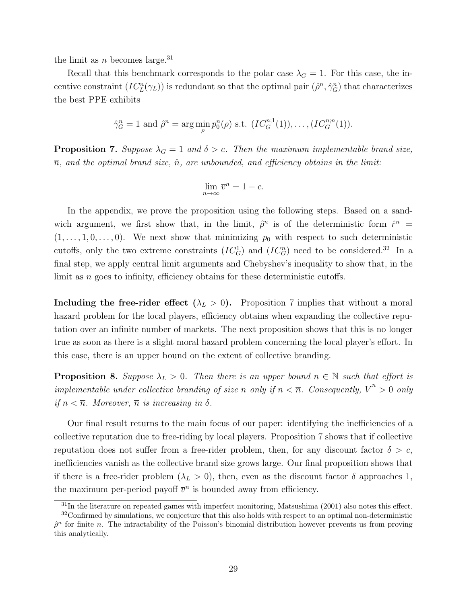the limit as *n* becomes large.<sup>31</sup>

Recall that this benchmark corresponds to the polar case  $\lambda_G = 1$ . For this case, the incentive constraint  $(IC_L^n(\gamma_L))$  is redundant so that the optimal pair  $(\hat{\rho}^n, \hat{\gamma}_G^n)$  that characterizes the best PPE exhibits

$$
\hat{\gamma}_G^n = 1
$$
 and  $\hat{\rho}^n = \arg \min_{\rho} p_0^n(\rho)$  s.t.  $(IC_G^{n;1}(1)), \dots, (IC_G^{n;n}(1)).$ 

**Proposition 7.** Suppose  $\lambda_G = 1$  and  $\delta > c$ . Then the maximum implementable brand size,  $\overline{n}$ , and the optimal brand size,  $\hat{n}$ , are unbounded, and efficiency obtains in the limit:

$$
\lim_{n \to \infty} \overline{v}^n = 1 - c.
$$

In the appendix, we prove the proposition using the following steps. Based on a sandwich argument, we first show that, in the limit,  $\hat{\rho}^n$  is of the deterministic form  $\hat{r}^n$  =  $(1, \ldots, 1, 0, \ldots, 0)$ . We next show that minimizing  $p_0$  with respect to such deterministic cutoffs, only the two extreme constraints  $(IC_G^1)$  and  $(IC_G^n)$  need to be considered.<sup>32</sup> In a final step, we apply central limit arguments and Chebyshev's inequality to show that, in the limit as *n* goes to infinity, efficiency obtains for these deterministic cutoffs.

**Including the free-rider effect**  $(\lambda_L > 0)$ . Proposition 7 implies that without a moral hazard problem for the local players, efficiency obtains when expanding the collective reputation over an infinite number of markets. The next proposition shows that this is no longer true as soon as there is a slight moral hazard problem concerning the local player's effort. In this case, there is an upper bound on the extent of collective branding.

**Proposition 8.** Suppose  $\lambda_L > 0$ . Then there is an upper bound  $\overline{n} \in \mathbb{N}$  such that effort is implementable under collective branding of size n only if  $n < \overline{n}$ . Consequently,  $\overline{V}^n > 0$  only if  $n < \overline{n}$ . Moreover,  $\overline{n}$  is increasing in  $\delta$ .

Our final result returns to the main focus of our paper: identifying the inefficiencies of a collective reputation due to free-riding by local players. Proposition 7 shows that if collective reputation does not suffer from a free-rider problem, then, for any discount factor  $\delta > c$ , inefficiencies vanish as the collective brand size grows large. Our final proposition shows that if there is a free-rider problem  $(\lambda_L > 0)$ , then, even as the discount factor  $\delta$  approaches 1, the maximum per-period payoff  $\bar{v}^n$  is bounded away from efficiency.

 $31$ In the literature on repeated games with imperfect monitoring, Matsushima (2001) also notes this effect.  $32$ Confirmed by simulations, we conjecture that this also holds with respect to an optimal non-deterministic

 $\hat{\rho}^n$  for finite n. The intractability of the Poisson's binomial distribution however prevents us from proving this analytically.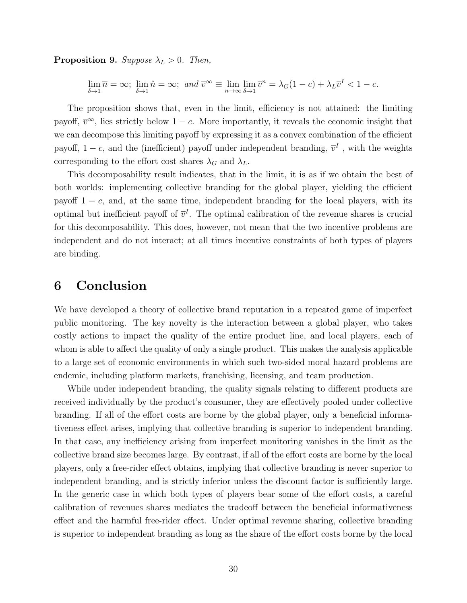**Proposition 9.** Suppose  $\lambda_L > 0$ . Then,

$$
\lim_{\delta \to 1} \overline{n} = \infty; \ \lim_{\delta \to 1} \hat{n} = \infty; \ and \ \overline{v}^{\infty} \equiv \lim_{n \to \infty} \lim_{\delta \to 1} \overline{v}^n = \lambda_G (1 - c) + \lambda_L \overline{v}^I < 1 - c.
$$

The proposition shows that, even in the limit, efficiency is not attained: the limiting payoff,  $\overline{v}^{\infty}$ , lies strictly below 1 – c. More importantly, it reveals the economic insight that we can decompose this limiting payoff by expressing it as a convex combination of the efficient payoff, 1 – c, and the (inefficient) payoff under independent branding,  $\bar{v}^I$ , with the weights corresponding to the effort cost shares  $\lambda_G$  and  $\lambda_L$ .

This decomposability result indicates, that in the limit, it is as if we obtain the best of both worlds: implementing collective branding for the global player, yielding the efficient payoff  $1 - c$ , and, at the same time, independent branding for the local players, with its optimal but inefficient payoff of  $\bar{v}^I$ . The optimal calibration of the revenue shares is crucial for this decomposability. This does, however, not mean that the two incentive problems are independent and do not interact; at all times incentive constraints of both types of players are binding.

#### 6 Conclusion

We have developed a theory of collective brand reputation in a repeated game of imperfect public monitoring. The key novelty is the interaction between a global player, who takes costly actions to impact the quality of the entire product line, and local players, each of whom is able to affect the quality of only a single product. This makes the analysis applicable to a large set of economic environments in which such two-sided moral hazard problems are endemic, including platform markets, franchising, licensing, and team production.

While under independent branding, the quality signals relating to different products are received individually by the product's consumer, they are effectively pooled under collective branding. If all of the effort costs are borne by the global player, only a beneficial informativeness effect arises, implying that collective branding is superior to independent branding. In that case, any inefficiency arising from imperfect monitoring vanishes in the limit as the collective brand size becomes large. By contrast, if all of the effort costs are borne by the local players, only a free-rider effect obtains, implying that collective branding is never superior to independent branding, and is strictly inferior unless the discount factor is sufficiently large. In the generic case in which both types of players bear some of the effort costs, a careful calibration of revenues shares mediates the tradeoff between the beneficial informativeness effect and the harmful free-rider effect. Under optimal revenue sharing, collective branding is superior to independent branding as long as the share of the effort costs borne by the local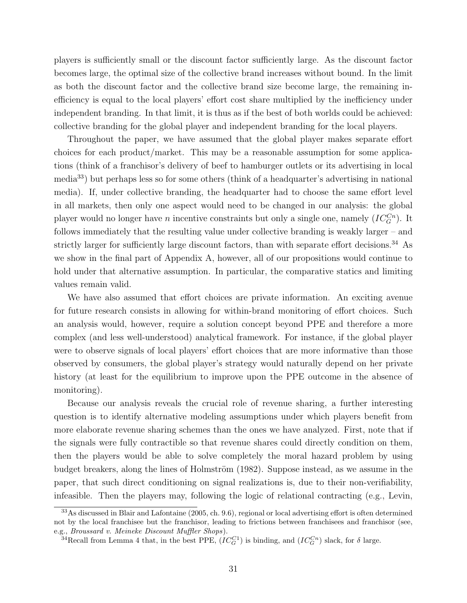players is sufficiently small or the discount factor sufficiently large. As the discount factor becomes large, the optimal size of the collective brand increases without bound. In the limit as both the discount factor and the collective brand size become large, the remaining inefficiency is equal to the local players' effort cost share multiplied by the inefficiency under independent branding. In that limit, it is thus as if the best of both worlds could be achieved: collective branding for the global player and independent branding for the local players.

Throughout the paper, we have assumed that the global player makes separate effort choices for each product/market. This may be a reasonable assumption for some applications (think of a franchisor's delivery of beef to hamburger outlets or its advertising in local media<sup>33</sup>) but perhaps less so for some others (think of a headquarter's advertising in national media). If, under collective branding, the headquarter had to choose the same effort level in all markets, then only one aspect would need to be changed in our analysis: the global player would no longer have *n* incentive constraints but only a single one, namely  $(IC_G^{Cn})$ . It follows immediately that the resulting value under collective branding is weakly larger – and strictly larger for sufficiently large discount factors, than with separate effort decisions.<sup>34</sup> As we show in the final part of Appendix A, however, all of our propositions would continue to hold under that alternative assumption. In particular, the comparative statics and limiting values remain valid.

We have also assumed that effort choices are private information. An exciting avenue for future research consists in allowing for within-brand monitoring of effort choices. Such an analysis would, however, require a solution concept beyond PPE and therefore a more complex (and less well-understood) analytical framework. For instance, if the global player were to observe signals of local players' effort choices that are more informative than those observed by consumers, the global player's strategy would naturally depend on her private history (at least for the equilibrium to improve upon the PPE outcome in the absence of monitoring).

Because our analysis reveals the crucial role of revenue sharing, a further interesting question is to identify alternative modeling assumptions under which players benefit from more elaborate revenue sharing schemes than the ones we have analyzed. First, note that if the signals were fully contractible so that revenue shares could directly condition on them, then the players would be able to solve completely the moral hazard problem by using budget breakers, along the lines of Holmström (1982). Suppose instead, as we assume in the paper, that such direct conditioning on signal realizations is, due to their non-verifiability, infeasible. Then the players may, following the logic of relational contracting (e.g., Levin,

<sup>&</sup>lt;sup>33</sup>As discussed in Blair and Lafontaine (2005, ch. 9.6), regional or local advertising effort is often determined not by the local franchisee but the franchisor, leading to frictions between franchisees and franchisor (see, e.g., Broussard v. Meineke Discount Muffler Shops).

<sup>&</sup>lt;sup>34</sup>Recall from Lemma 4 that, in the best PPE,  $(IC_G^{C_1})$  is binding, and  $(IC_G^{C_n})$  slack, for  $\delta$  large.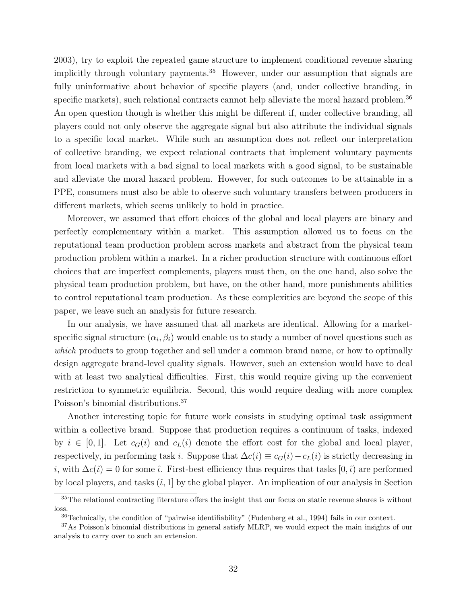2003), try to exploit the repeated game structure to implement conditional revenue sharing implicitly through voluntary payments.<sup>35</sup> However, under our assumption that signals are fully uninformative about behavior of specific players (and, under collective branding, in specific markets), such relational contracts cannot help alleviate the moral hazard problem.<sup>36</sup> An open question though is whether this might be different if, under collective branding, all players could not only observe the aggregate signal but also attribute the individual signals to a specific local market. While such an assumption does not reflect our interpretation of collective branding, we expect relational contracts that implement voluntary payments from local markets with a bad signal to local markets with a good signal, to be sustainable and alleviate the moral hazard problem. However, for such outcomes to be attainable in a PPE, consumers must also be able to observe such voluntary transfers between producers in different markets, which seems unlikely to hold in practice.

Moreover, we assumed that effort choices of the global and local players are binary and perfectly complementary within a market. This assumption allowed us to focus on the reputational team production problem across markets and abstract from the physical team production problem within a market. In a richer production structure with continuous effort choices that are imperfect complements, players must then, on the one hand, also solve the physical team production problem, but have, on the other hand, more punishments abilities to control reputational team production. As these complexities are beyond the scope of this paper, we leave such an analysis for future research.

In our analysis, we have assumed that all markets are identical. Allowing for a marketspecific signal structure  $(\alpha_i, \beta_i)$  would enable us to study a number of novel questions such as which products to group together and sell under a common brand name, or how to optimally design aggregate brand-level quality signals. However, such an extension would have to deal with at least two analytical difficulties. First, this would require giving up the convenient restriction to symmetric equilibria. Second, this would require dealing with more complex Poisson's binomial distributions.<sup>37</sup>

Another interesting topic for future work consists in studying optimal task assignment within a collective brand. Suppose that production requires a continuum of tasks, indexed by  $i \in [0,1]$ . Let  $c_G(i)$  and  $c_L(i)$  denote the effort cost for the global and local player, respectively, in performing task *i*. Suppose that  $\Delta c(i) \equiv c_G(i) - c_L(i)$  is strictly decreasing in i, with  $\Delta c(\hat{i}) = 0$  for some  $\hat{i}$ . First-best efficiency thus requires that tasks  $[0, \hat{i})$  are performed by local players, and tasks  $(\hat{\iota}, 1]$  by the global player. An implication of our analysis in Section

<sup>&</sup>lt;sup>35</sup>The relational contracting literature offers the insight that our focus on static revenue shares is without loss.

 $36$ Technically, the condition of "pairwise identifiability" (Fudenberg et al., 1994) fails in our context.

<sup>&</sup>lt;sup>37</sup>As Poisson's binomial distributions in general satisfy MLRP, we would expect the main insights of our analysis to carry over to such an extension.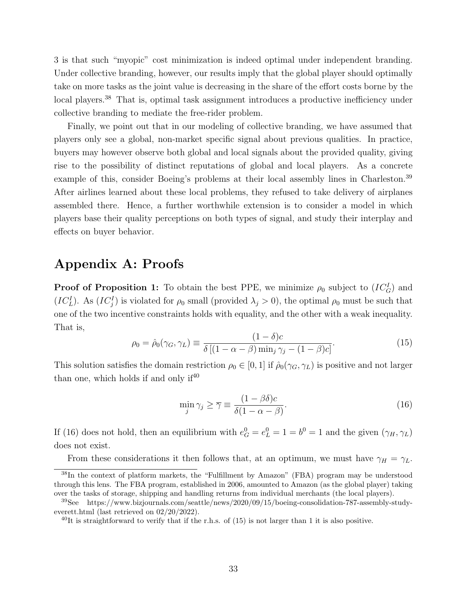3 is that such "myopic" cost minimization is indeed optimal under independent branding. Under collective branding, however, our results imply that the global player should optimally take on more tasks as the joint value is decreasing in the share of the effort costs borne by the local players.<sup>38</sup> That is, optimal task assignment introduces a productive inefficiency under collective branding to mediate the free-rider problem.

Finally, we point out that in our modeling of collective branding, we have assumed that players only see a global, non-market specific signal about previous qualities. In practice, buyers may however observe both global and local signals about the provided quality, giving rise to the possibility of distinct reputations of global and local players. As a concrete example of this, consider Boeing's problems at their local assembly lines in Charleston.<sup>39</sup> After airlines learned about these local problems, they refused to take delivery of airplanes assembled there. Hence, a further worthwhile extension is to consider a model in which players base their quality perceptions on both types of signal, and study their interplay and effects on buyer behavior.

#### Appendix A: Proofs

**Proof of Proposition 1:** To obtain the best PPE, we minimize  $\rho_0$  subject to  $(IC_G^I)$  and  $(IC<sub>L</sub><sup>I</sup>)$ . As  $(IC<sub>j</sub><sup>I</sup>)$  is violated for  $\rho_0$  small (provided  $\lambda_j > 0$ ), the optimal  $\rho_0$  must be such that one of the two incentive constraints holds with equality, and the other with a weak inequality. That is,

$$
\rho_0 = \hat{\rho}_0(\gamma_G, \gamma_L) \equiv \frac{(1 - \delta)c}{\delta \left[ (1 - \alpha - \beta) \min_j \gamma_j - (1 - \beta)c \right]}.
$$
\n(15)

This solution satisfies the domain restriction  $\rho_0 \in [0,1]$  if  $\hat{\rho}_0(\gamma_G, \gamma_L)$  is positive and not larger than one, which holds if and only  $if<sup>40</sup>$ 

$$
\min_{j} \gamma_{j} \ge \overline{\gamma} \equiv \frac{(1 - \beta \delta)c}{\delta(1 - \alpha - \beta)}.\tag{16}
$$

If (16) does not hold, then an equilibrium with  $e_G^0 = e_L^0 = 1 = b^0 = 1$  and the given  $(\gamma_H, \gamma_L)$ does not exist.

From these considerations it then follows that, at an optimum, we must have  $\gamma_H = \gamma_L$ .

<sup>38</sup>In the context of platform markets, the "Fulfillment by Amazon" (FBA) program may be understood through this lens. The FBA program, established in 2006, amounted to Amazon (as the global player) taking over the tasks of storage, shipping and handling returns from individual merchants (the local players).

<sup>39</sup>See https://www.bizjournals.com/seattle/news/2020/09/15/boeing-consolidation-787-assembly-studyeverett.html (last retrieved on 02/20/2022).

 $^{40}$ It is straightforward to verify that if the r.h.s. of (15) is not larger than 1 it is also positive.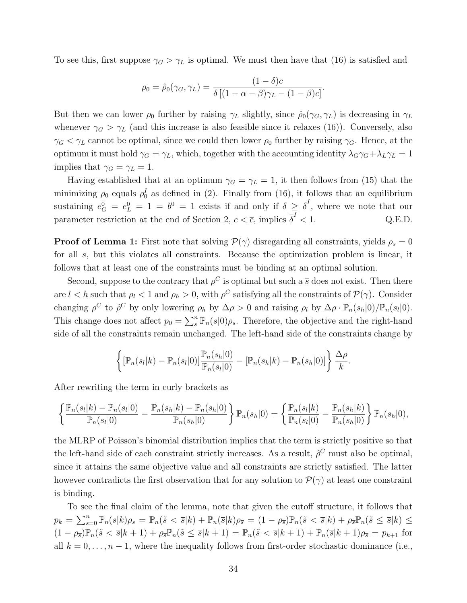To see this, first suppose  $\gamma_G > \gamma_L$  is optimal. We must then have that (16) is satisfied and

$$
\rho_0 = \hat{\rho}_0(\gamma_G, \gamma_L) = \frac{(1 - \delta)c}{\delta [(1 - \alpha - \beta)\gamma_L - (1 - \beta)c]}.
$$

But then we can lower  $\rho_0$  further by raising  $\gamma_L$  slightly, since  $\rho_0(\gamma_G, \gamma_L)$  is decreasing in  $\gamma_L$ whenever  $\gamma_G > \gamma_L$  (and this increase is also feasible since it relaxes (16)). Conversely, also  $\gamma_G < \gamma_L$  cannot be optimal, since we could then lower  $\rho_0$  further by raising  $\gamma_G$ . Hence, at the optimum it must hold  $\gamma_G = \gamma_L$ , which, together with the accounting identity  $\lambda_G \gamma_G + \lambda_L \gamma_L = 1$ implies that  $\gamma_G = \gamma_L = 1$ .

Having established that at an optimum  $\gamma_G = \gamma_L = 1$ , it then follows from (15) that the minimizing  $\rho_0$  equals  $\rho_0^I$  as defined in (2). Finally from (16), it follows that an equilibrium sustaining  $e_G^0 = e_L^0 = 1 = b^0 = 1$  exists if and only if  $\delta \geq \overline{\delta}^I$ , where we note that our parameter restriction at the end of Section 2,  $c < \overline{c}$ , implies  $\overline{\delta}^I < 1$ . Q.E.D.

**Proof of Lemma 1:** First note that solving  $P(\gamma)$  disregarding all constraints, yields  $\rho_s = 0$ for all s, but this violates all constraints. Because the optimization problem is linear, it follows that at least one of the constraints must be binding at an optimal solution.

Second, suppose to the contrary that  $\rho^C$  is optimal but such a  $\bar{s}$  does not exist. Then there are  $l < h$  such that  $\rho_l < 1$  and  $\rho_h > 0$ , with  $\rho^C$  satisfying all the constraints of  $\mathcal{P}(\gamma)$ . Consider changing  $\rho^C$  to  $\hat{\rho}^C$  by only lowering  $\rho_h$  by  $\Delta \rho > 0$  and raising  $\rho_l$  by  $\Delta \rho \cdot \mathbb{P}_n(s_h|0)/\mathbb{P}_n(s_l|0)$ . This change does not affect  $p_0 = \sum_s^n \mathbb{P}_n(s|0)\rho_s$ . Therefore, the objective and the right-hand side of all the constraints remain unchanged. The left-hand side of the constraints change by

$$
\left\{ [\mathbb{P}_n(s_l|k) - \mathbb{P}_n(s_l|0)] \frac{\mathbb{P}_n(s_h|0)}{\mathbb{P}_n(s_l|0)} - [\mathbb{P}_n(s_h|k) - \mathbb{P}_n(s_h|0)] \right\} \frac{\Delta \rho}{k}.
$$

After rewriting the term in curly brackets as

$$
\left\{\frac{\mathbb{P}_n(s_l|k) - \mathbb{P}_n(s_l|0)}{\mathbb{P}_n(s_l|0)} - \frac{\mathbb{P}_n(s_h|k) - \mathbb{P}_n(s_h|0)}{\mathbb{P}_n(s_h|0)}\right\} \mathbb{P}_n(s_h|0) = \left\{\frac{\mathbb{P}_n(s_l|k)}{\mathbb{P}_n(s_l|0)} - \frac{\mathbb{P}_n(s_h|k)}{\mathbb{P}_n(s_h|0)}\right\} \mathbb{P}_n(s_h|0),
$$

the MLRP of Poisson's binomial distribution implies that the term is strictly positive so that the left-hand side of each constraint strictly increases. As a result,  $\hat{\rho}^C$  must also be optimal, since it attains the same objective value and all constraints are strictly satisfied. The latter however contradicts the first observation that for any solution to  $\mathcal{P}(\gamma)$  at least one constraint is binding.

To see the final claim of the lemma, note that given the cutoff structure, it follows that  $p_k = \sum_{s=0}^n \mathbb{P}_n(s|k)\rho_s = \mathbb{P}_n(\tilde{s} < \bar{s}|k) + \mathbb{P}_n(\bar{s}|k)\rho_{\bar{s}} = (1 - \rho_{\bar{s}})\mathbb{P}_n(\tilde{s} < \bar{s}|k) + \rho_{\bar{s}}\mathbb{P}_n(\tilde{s} \leq \bar{s}|k) \leq$  $(1 - \rho_{\overline{s}}) \mathbb{P}_n(\tilde{s} < \overline{s}|k+1) + \rho_{\overline{s}} \mathbb{P}_n(\tilde{s} \le \overline{s}|k+1) = \mathbb{P}_n(\tilde{s} < \overline{s}|k+1) + \mathbb{P}_n(\overline{s}|k+1)\rho_{\overline{s}} = p_{k+1}$  for all  $k = 0, \ldots, n - 1$ , where the inequality follows from first-order stochastic dominance (i.e.,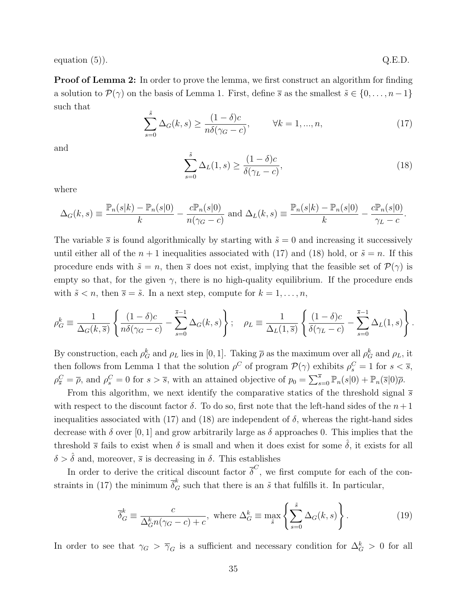equation  $(5)$ ). Q.E.D.

**Proof of Lemma 2:** In order to prove the lemma, we first construct an algorithm for finding a solution to  $\mathcal{P}(\gamma)$  on the basis of Lemma 1. First, define  $\overline{s}$  as the smallest  $\tilde{s} \in \{0, \ldots, n-1\}$ such that

$$
\sum_{s=0}^{\tilde{s}} \Delta_G(k, s) \ge \frac{(1-\delta)c}{n\delta(\gamma_G - c)}, \qquad \forall k = 1, ..., n,
$$
\n(17)

and

$$
\sum_{s=0}^{\tilde{s}} \Delta_L(1, s) \ge \frac{(1 - \delta)c}{\delta(\gamma_L - c)},\tag{18}
$$

where

$$
\Delta_G(k,s) \equiv \frac{\mathbb{P}_n(s|k) - \mathbb{P}_n(s|0)}{k} - \frac{c\mathbb{P}_n(s|0)}{n(\gamma_G - c)} \text{ and } \Delta_L(k,s) \equiv \frac{\mathbb{P}_n(s|k) - \mathbb{P}_n(s|0)}{k} - \frac{c\mathbb{P}_n(s|0)}{\gamma_L - c}.
$$

The variable  $\bar{s}$  is found algorithmically by starting with  $\tilde{s} = 0$  and increasing it successively until either all of the  $n + 1$  inequalities associated with (17) and (18) hold, or  $\tilde{s} = n$ . If this procedure ends with  $\tilde{s} = n$ , then  $\bar{s}$  does not exist, implying that the feasible set of  $\mathcal{P}(\gamma)$  is empty so that, for the given  $\gamma$ , there is no high-quality equilibrium. If the procedure ends with  $\tilde{s} < n$ , then  $\overline{s} = \tilde{s}$ . In a next step, compute for  $k = 1, \ldots, n$ ,

$$
\rho_G^k \equiv \frac{1}{\Delta_G(k,\overline{s})} \left\{ \frac{(1-\delta)c}{n\delta(\gamma_G - c)} - \sum_{s=0}^{\overline{s}-1} \Delta_G(k,s) \right\}; \quad \rho_L \equiv \frac{1}{\Delta_L(1,\overline{s})} \left\{ \frac{(1-\delta)c}{\delta(\gamma_L - c)} - \sum_{s=0}^{\overline{s}-1} \Delta_L(1,s) \right\}.
$$

By construction, each  $\rho_G^k$  and  $\rho_L$  lies in [0, 1]. Taking  $\bar{\rho}$  as the maximum over all  $\rho_G^k$  and  $\rho_L$ , it then follows from Lemma 1 that the solution  $\rho^C$  of program  $\mathcal{P}(\gamma)$  exhibits  $\rho_s^C = 1$  for  $s < \overline{s}$ ,  $\rho_{\overline{s}}^C = \overline{\rho}$ , and  $\rho_s^C = 0$  for  $s > \overline{s}$ , with an attained objective of  $p_0 = \sum_{s=0}^{\overline{s}} \mathbb{P}_n(s|0) + \mathbb{P}_n(\overline{s}|0)\overline{\rho}$ .

From this algorithm, we next identify the comparative statics of the threshold signal  $\bar{s}$ with respect to the discount factor  $\delta$ . To do so, first note that the left-hand sides of the  $n+1$ inequalities associated with (17) and (18) are independent of  $\delta$ , whereas the right-hand sides decrease with  $\delta$  over [0, 1] and grow arbitrarily large as  $\delta$  approaches 0. This implies that the threshold  $\bar{s}$  fails to exist when  $\delta$  is small and when it does exist for some  $\hat{\delta}$ , it exists for all  $\delta > \hat{\delta}$  and, moreover,  $\bar{s}$  is decreasing in  $\delta$ . This establishes

In order to derive the critical discount factor  $\overline{\delta}^C$ , we first compute for each of the constraints in (17) the minimum  $\overline{\delta}_G^k$  such that there is an  $\tilde{s}$  that fulfills it. In particular,

$$
\overline{\delta}_G^k \equiv \frac{c}{\Delta_G^k n (\gamma_G - c) + c}, \text{ where } \Delta_G^k \equiv \max_{\tilde{s}} \left\{ \sum_{s=0}^{\tilde{s}} \Delta_G(k, s) \right\}. \tag{19}
$$

In order to see that  $\gamma_G > \overline{\gamma}_G$  is a sufficient and necessary condition for  $\Delta_G^k > 0$  for all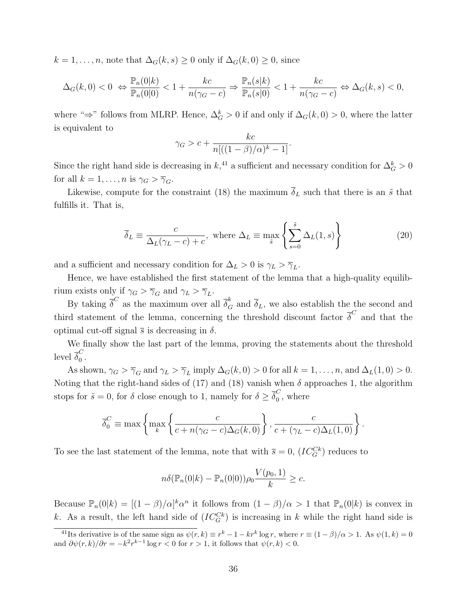$k = 1, \ldots, n$ , note that  $\Delta_G(k, s) \geq 0$  only if  $\Delta_G(k, 0) \geq 0$ , since

$$
\Delta_G(k,0) < 0 \iff \frac{\mathbb{P}_n(0|k)}{\mathbb{P}_n(0|0)} < 1 + \frac{kc}{n(\gamma_G - c)} \Rightarrow \frac{\mathbb{P}_n(s|k)}{\mathbb{P}_n(s|0)} < 1 + \frac{kc}{n(\gamma_G - c)} \iff \Delta_G(k,s) < 0,
$$

where " $\Rightarrow$ " follows from MLRP. Hence,  $\Delta_G^k > 0$  if and only if  $\Delta_G(k,0) > 0$ , where the latter is equivalent to

$$
\gamma_G > c + \frac{kc}{n[((1-\beta)/\alpha)^k - 1]}.
$$

Since the right hand side is decreasing in  $k, 4^1$  a sufficient and necessary condition for  $\Delta_G^k > 0$ for all  $k = 1, \ldots, n$  is  $\gamma_G > \overline{\gamma}_G$ .

Likewise, compute for the constraint (18) the maximum  $\overline{\delta}_L$  such that there is an  $\tilde{s}$  that fulfills it. That is,

$$
\overline{\delta}_L \equiv \frac{c}{\Delta_L(\gamma_L - c) + c}, \text{ where } \Delta_L \equiv \max_{\tilde{s}} \left\{ \sum_{s=0}^{\tilde{s}} \Delta_L(1, s) \right\} \tag{20}
$$

and a sufficient and necessary condition for  $\Delta_L > 0$  is  $\gamma_L > \overline{\gamma}_L$ .

Hence, we have established the first statement of the lemma that a high-quality equilibrium exists only if  $\gamma_G > \overline{\gamma}_G$  and  $\gamma_L > \overline{\gamma}_L$ .

By taking  $\overline{\delta}^C$  as the maximum over all  $\overline{\delta}_G^k$  and  $\overline{\delta}_L$ , we also establish the the second and third statement of the lemma, concerning the threshold discount factor  $\overline{\delta}^C$  and that the optimal cut-off signal  $\bar{s}$  is decreasing in  $\delta$ .

We finally show the last part of the lemma, proving the statements about the threshold level  $\overline{\delta}_0^C$  $\frac{0}{0}$ .

As shown,  $\gamma_G > \overline{\gamma}_G$  and  $\gamma_L > \overline{\gamma}_L$  imply  $\Delta_G(k, 0) > 0$  for all  $k = 1, \ldots, n$ , and  $\Delta_L(1, 0) > 0$ . Noting that the right-hand sides of (17) and (18) vanish when  $\delta$  approaches 1, the algorithm stops for  $\tilde{s} = 0$ , for  $\delta$  close enough to 1, namely for  $\delta \geq \overline{\delta}_0^C$  $\frac{0}{0}$ , where

$$
\overline{\delta}_0^C \equiv \max \left\{ \max_k \left\{ \frac{c}{c + n(\gamma_G - c)\Delta_G(k, 0)} \right\}, \frac{c}{c + (\gamma_L - c)\Delta_L(1, 0)} \right\}.
$$

To see the last statement of the lemma, note that with  $\bar{s} = 0$ ,  $(IC_G^{Ck})$  reduces to

$$
n\delta(\mathbb{P}_n(0|k) - \mathbb{P}_n(0|0))\rho_0 \frac{V(p_0, 1)}{k} \ge c.
$$

Because  $\mathbb{P}_n(0|k) = [(1 - \beta)/\alpha]^k \alpha^n$  it follows from  $(1 - \beta)/\alpha > 1$  that  $\mathbb{P}_n(0|k)$  is convex in k. As a result, the left hand side of  $(IC_G^{Ck})$  is increasing in k while the right hand side is

<sup>&</sup>lt;sup>41</sup>Its derivative is of the same sign as  $\psi(r, k) \equiv r^k - 1 - kr^k \log r$ , where  $r \equiv (1 - \beta)/\alpha > 1$ . As  $\psi(1, k) = 0$ and  $\frac{\partial \psi(r,k)}{\partial r} = -k^2 r^{k-1} \log r < 0$  for  $r > 1$ , it follows that  $\psi(r, k) < 0$ .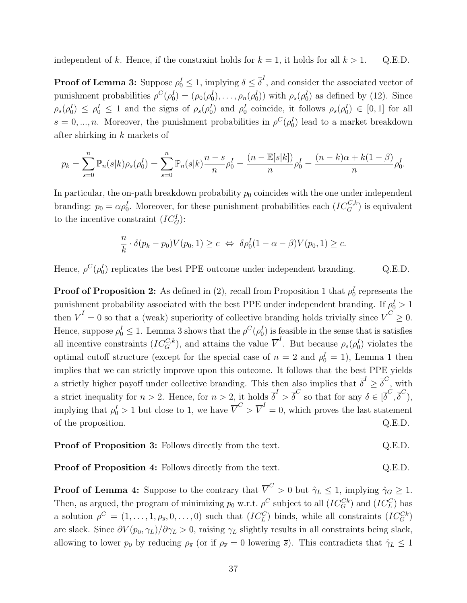independent of k. Hence, if the constraint holds for  $k = 1$ , it holds for all  $k > 1$ . Q.E.D.

**Proof of Lemma 3:** Suppose  $\rho_0^I \leq 1$ , implying  $\delta \leq \overline{\delta}^I$ , and consider the associated vector of punishment probabilities  $\rho^C(\rho_0^I) = (\rho_0(\rho_0^I), \dots, \rho_n(\rho_0^I))$  with  $\rho_s(\rho_0^I)$  as defined by (12). Since  $\rho_s(\rho_0^I) \leq \rho_0^I \leq 1$  and the signs of  $\rho_s(\rho_0^I)$  and  $\rho_0^I$  coincide, it follows  $\rho_s(\rho_0^I) \in [0,1]$  for all  $s = 0, ..., n$ . Moreover, the punishment probabilities in  $\rho^C(\rho_0^I)$  lead to a market breakdown after shirking in k markets of

$$
p_k = \sum_{s=0}^n \mathbb{P}_n(s|k)\rho_s(\rho_0^I) = \sum_{s=0}^n \mathbb{P}_n(s|k)\frac{n-s}{n}\rho_0^I = \frac{(n-\mathbb{E}[s|k])}{n}\rho_0^I = \frac{(n-k)\alpha + k(1-\beta)}{n}\rho_0^I.
$$

In particular, the on-path breakdown probability  $p_0$  coincides with the one under independent branding:  $p_0 = \alpha \rho_0^I$ . Moreover, for these punishment probabilities each  $(IC_G^{C,k})$  is equivalent to the incentive constraint  $(IC_G^I)$ :

$$
\frac{n}{k} \cdot \delta(p_k - p_0)V(p_0, 1) \ge c \iff \delta \rho_0^I (1 - \alpha - \beta)V(p_0, 1) \ge c.
$$

Hence,  $\rho^C(\rho_0^I)$  replicates the best PPE outcome under independent branding. Q.E.D.

**Proof of Proposition 2:** As defined in (2), recall from Proposition 1 that  $\rho_0^I$  represents the punishment probability associated with the best PPE under independent branding. If  $\rho_0^I > 1$ then  $\overline{V}^I = 0$  so that a (weak) superiority of collective branding holds trivially since  $\overline{V}^C \geq 0$ . Hence, suppose  $\rho_0^I \leq 1$ . Lemma 3 shows that the  $\rho^C(\rho_0^I)$  is feasible in the sense that is satisfies all incentive constraints  $(IC_G^{C,k})$ , and attains the value  $\overline{V}^I$ . But because  $\rho_s(\rho_0^I)$  violates the optimal cutoff structure (except for the special case of  $n = 2$  and  $\rho_0^I = 1$ ), Lemma 1 then implies that we can strictly improve upon this outcome. It follows that the best PPE yields a strictly higher payoff under collective branding. This then also implies that  $\overline{\delta}^I \geq \overline{\delta}^C$ , with a strict inequality for  $n > 2$ . Hence, for  $n > 2$ , it holds  $\overline{\delta}^I > \overline{\delta}^C$  so that for any  $\delta \in [\overline{\delta}^C, \overline{\delta}^C)$ , implying that  $\rho_0^I > 1$  but close to 1, we have  $\overline{V}^C > \overline{V}^I = 0$ , which proves the last statement of the proposition.  $Q.E.D.$ 

**Proof of Proposition 3:** Follows directly from the text.  $Q.E.D.$ 

Proof of Proposition 4: Follows directly from the text.  $Q.E.D.$ 

**Proof of Lemma 4:** Suppose to the contrary that  $\overline{V}^C > 0$  but  $\hat{\gamma}_L \leq 1$ , implying  $\hat{\gamma}_G \geq 1$ . Then, as argued, the program of minimizing  $p_0$  w.r.t.  $\rho^C$  subject to all  $(IC_G^{Ck})$  and  $(IC_L^C)$  has a solution  $\rho^C = (1, \ldots, 1, \rho_{\overline{s}}, 0, \ldots, 0)$  such that  $(IC_{L}^{C})$  binds, while all constraints  $(IC_{G}^{Ck})$ are slack. Since  $\partial V(p_0, \gamma_L)/\partial \gamma_L > 0$ , raising  $\gamma_L$  slightly results in all constraints being slack, allowing to lower  $p_0$  by reducing  $\rho_{\overline{s}}$  (or if  $\rho_{\overline{s}} = 0$  lowering  $\overline{s}$ ). This contradicts that  $\hat{\gamma}_L \leq 1$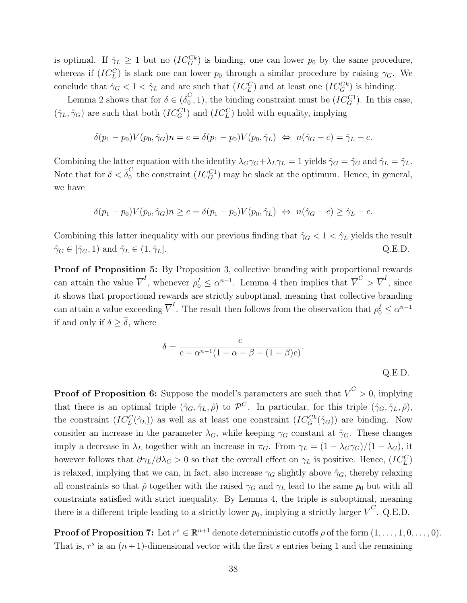is optimal. If  $\hat{\gamma}_L \geq 1$  but no  $(IC_G^{Ck})$  is binding, one can lower  $p_0$  by the same procedure, whereas if  $(IC<sub>L</sub><sup>C</sup>)$  is slack one can lower  $p_0$  through a similar procedure by raising  $\gamma_G$ . We conclude that  $\hat{\gamma}_G < 1 < \hat{\gamma}_L$  and are such that  $(IC_L^C)$  and at least one  $(IC_G^{Ck})$  is binding.

Lemma 2 shows that for  $\delta \in (\overline{\delta}_0^C)$  $\binom{0}{0}$ , 1), the binding constraint must be  $(IC_G^{C_1})$ . In this case,  $(\hat{\gamma}_L, \hat{\gamma}_G)$  are such that both  $(IC_G^{C_1})$  and  $(IC_L^{C})$  hold with equality, implying

$$
\delta(p_1 - p_0)V(p_0, \hat{\gamma}_G)n = c = \delta(p_1 - p_0)V(p_0, \hat{\gamma}_L) \iff n(\hat{\gamma}_G - c) = \hat{\gamma}_L - c.
$$

Combining the latter equation with the identity  $\lambda_G \gamma_G + \lambda_L \gamma_L = 1$  yields  $\hat{\gamma}_G = \tilde{\gamma}_G$  and  $\hat{\gamma}_L = \tilde{\gamma}_L$ . Note that for  $\delta < \overline{\delta}_0^C$  $\frac{1}{0}$  the constraint  $(IC_G^{C_1})$  may be slack at the optimum. Hence, in general, we have

$$
\delta(p_1 - p_0)V(p_0, \hat{\gamma}_G)n \ge c = \delta(p_1 - p_0)V(p_0, \hat{\gamma}_L) \iff n(\hat{\gamma}_G - c) \ge \hat{\gamma}_L - c.
$$

Combining this latter inequality with our previous finding that  $\hat{\gamma}_G < 1 < \hat{\gamma}_L$  yields the result  $\hat{\gamma}_G \in [\tilde{\gamma}_G, 1]$  and  $\hat{\gamma}_L \in (1, \tilde{\gamma}_L].$  Q.E.D.

Proof of Proposition 5: By Proposition 3, collective branding with proportional rewards can attain the value  $\overline{V}^I$ , whenever  $\rho_0^I \leq \alpha^{n-1}$ . Lemma 4 then implies that  $\overline{V}^C > \overline{V}^I$ , since it shows that proportional rewards are strictly suboptimal, meaning that collective branding can attain a value exceeding  $\overline{V}^I$ . The result then follows from the observation that  $\rho_0^I \leq \alpha^{n-1}$ if and only if  $\delta \geq \overline{\delta}$ , where

$$
\overline{\delta} = \frac{c}{c + \alpha^{n-1}(1 - \alpha - \beta - (1 - \beta)c)}.
$$
 Q.E.D.

**Proof of Proposition 6:** Suppose the model's parameters are such that  $\overline{V}^C > 0$ , implying that there is an optimal triple  $(\hat{\gamma}_G, \hat{\gamma}_L, \hat{\rho})$  to  $\mathcal{P}^C$ . In particular, for this triple  $(\hat{\gamma}_G, \hat{\gamma}_L, \hat{\rho})$ , the constraint  $(IC_{L}^{C}(\hat{\gamma}_{L}))$  as well as at least one constraint  $(IC_{G}^{Ck}(\hat{\gamma}_{G}))$  are binding. Now consider an increase in the parameter  $\lambda_G$ , while keeping  $\gamma_G$  constant at  $\hat{\gamma}_G$ . These changes imply a decrease in  $\lambda_L$  together with an increase in  $\pi_G$ . From  $\gamma_L = (1 - \lambda_G \gamma_G)/(1 - \lambda_G)$ , it however follows that  $\partial \gamma_L/\partial \lambda_G > 0$  so that the overall effect on  $\gamma_L$  is positive. Hence,  $(IC_L^C)$ is relaxed, implying that we can, in fact, also increase  $\gamma_G$  slightly above  $\hat{\gamma}_G$ , thereby relaxing all constraints so that  $\hat{\rho}$  together with the raised  $\gamma_G$  and  $\gamma_L$  lead to the same  $p_0$  but with all constraints satisfied with strict inequality. By Lemma 4, the triple is suboptimal, meaning there is a different triple leading to a strictly lower  $p_0$ , implying a strictly larger  $\overline{V}^C$ . Q.E.D.

**Proof of Proposition 7:** Let  $r^s \in \mathbb{R}^{n+1}$  denote deterministic cutoffs  $\rho$  of the form  $(1, \ldots, 1, 0, \ldots, 0)$ . That is,  $r^s$  is an  $(n+1)$ -dimensional vector with the first s entries being 1 and the remaining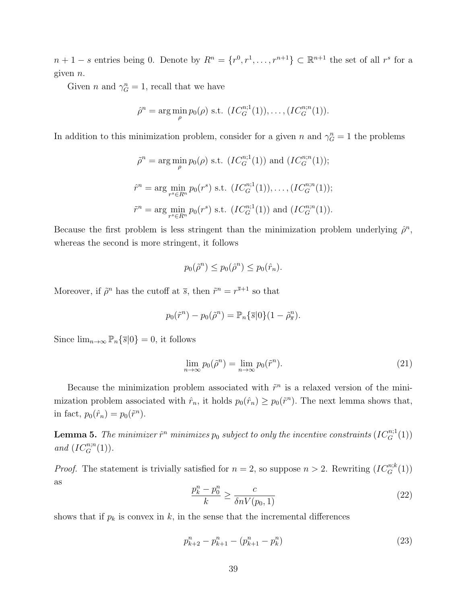$n+1-s$  entries being 0. Denote by  $R^n = \{r^0, r^1, \ldots, r^{n+1}\} \subset \mathbb{R}^{n+1}$  the set of all  $r^s$  for a given  $n$ .

Given *n* and  $\gamma_G^n = 1$ , recall that we have

$$
\hat{\rho}^n = \arg\min_{\rho} p_0(\rho) \text{ s.t. } (IC_G^{n;1}(1)), \dots, (IC_G^{n;n}(1)).
$$

In addition to this minimization problem, consider for a given n and  $\gamma_G^n = 1$  the problems

$$
\tilde{\rho}^n = \arg \min_{\rho} p_0(\rho) \text{ s.t. } (IC_G^{n;1}(1)) \text{ and } (IC_G^{n;n}(1));
$$
  

$$
\hat{r}^n = \arg \min_{r^s \in R^n} p_0(r^s) \text{ s.t. } (IC_G^{n;1}(1)), \dots, (IC_G^{n;n}(1));
$$
  

$$
\tilde{r}^n = \arg \min_{r^s \in R^n} p_0(r^s) \text{ s.t. } (IC_G^{n;1}(1)) \text{ and } (IC_G^{n;n}(1)).
$$

Because the first problem is less stringent than the minimization problem underlying  $\hat{\rho}^n$ , whereas the second is more stringent, it follows

$$
p_0(\tilde{\rho}^n) \le p_0(\hat{\rho}^n) \le p_0(\hat{r}_n).
$$

Moreover, if  $\tilde{\rho}^n$  has the cutoff at  $\bar{s}$ , then  $\tilde{r}^n = r^{\bar{s}+1}$  so that

$$
p_0(\tilde{r}^n) - p_0(\tilde{\rho}^n) = \mathbb{P}_n\{\overline{s}|0\}(1 - \tilde{\rho}_{\overline{s}}^n).
$$

Since  $\lim_{n\to\infty} \mathbb{P}_n\{\overline{s}|0\} = 0$ , it follows

$$
\lim_{n \to \infty} p_0(\tilde{\rho}^n) = \lim_{n \to \infty} p_0(\tilde{r}^n).
$$
\n(21)

Because the minimization problem associated with  $\tilde{r}^n$  is a relaxed version of the minimization problem associated with  $\hat{r}_n$ , it holds  $p_0(\hat{r}_n) \geq p_0(\tilde{r}^n)$ . The next lemma shows that, in fact,  $p_0(\hat{r}_n) = p_0(\tilde{r}^n)$ .

**Lemma 5.** The minimizer  $\hat{r}^n$  minimizes  $p_0$  subject to only the incentive constraints  $(IC_G^{n;1}(1))$ and  $(IC_G^{n;n}(1))$ .

*Proof.* The statement is trivially satisfied for  $n = 2$ , so suppose  $n > 2$ . Rewriting  $(IC_G^{n;k}(1))$ as

$$
\frac{p_k^n - p_0^n}{k} \ge \frac{c}{\delta n V(p_0, 1)}\tag{22}
$$

shows that if  $p_k$  is convex in k, in the sense that the incremental differences

$$
p_{k+2}^n - p_{k+1}^n - (p_{k+1}^n - p_k^n) \tag{23}
$$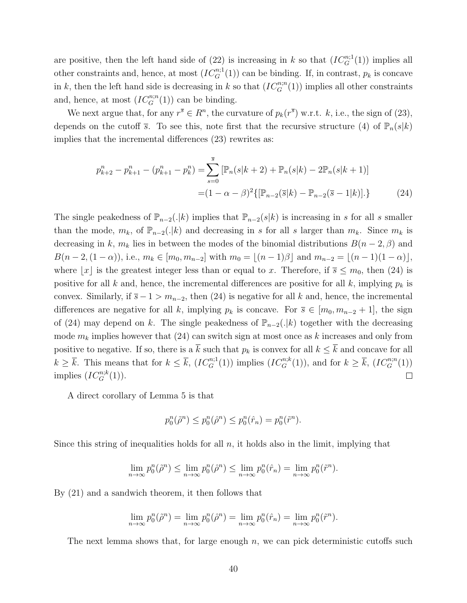are positive, then the left hand side of (22) is increasing in k so that  $(IC_G^{n,1}(1))$  implies all other constraints and, hence, at most  $(IC_G^{n;1}(1))$  can be binding. If, in contrast,  $p_k$  is concave in k, then the left hand side is decreasing in k so that  $(IC_G^{n;n}(1))$  implies all other constraints and, hence, at most  $(IC_G^{n;n}(1))$  can be binding.

We next argue that, for any  $r^{\overline{s}} \in R^n$ , the curvature of  $p_k(r^{\overline{s}})$  w.r.t. k, i.e., the sign of (23), depends on the cutoff  $\bar{s}$ . To see this, note first that the recursive structure (4) of  $\mathbb{P}_n(s|k)$ implies that the incremental differences (23) rewrites as:

$$
p_{k+2}^n - p_{k+1}^n - (p_{k+1}^n - p_k^n) = \sum_{s=0}^{\bar{s}} \left[ \mathbb{P}_n(s|k+2) + \mathbb{P}_n(s|k) - 2\mathbb{P}_n(s|k+1) \right]
$$

$$
= (1 - \alpha - \beta)^2 \{ \left[ \mathbb{P}_{n-2}(\bar{s}|k) - \mathbb{P}_{n-2}(\bar{s} - 1|k) \right]. \}
$$
(24)

The single peakedness of  $\mathbb{P}_{n-2}(|k)$  implies that  $\mathbb{P}_{n-2}(s|k)$  is increasing in s for all s smaller than the mode,  $m_k$ , of  $\mathbb{P}_{n-2}(|k)$  and decreasing in s for all s larger than  $m_k$ . Since  $m_k$  is decreasing in k,  $m_k$  lies in between the modes of the binomial distributions  $B(n-2, \beta)$  and  $B(n-2,(1-\alpha))$ , i.e.,  $m_k \in [m_0, m_{n-2}]$  with  $m_0 = \lfloor (n-1)\beta \rfloor$  and  $m_{n-2} = \lfloor (n-1)(1-\alpha) \rfloor$ , where  $\lfloor x \rfloor$  is the greatest integer less than or equal to x. Therefore, if  $\overline{s} \leq m_0$ , then (24) is positive for all k and, hence, the incremental differences are positive for all k, implying  $p_k$  is convex. Similarly, if  $\overline{s} - 1 > m_{n-2}$ , then (24) is negative for all k and, hence, the incremental differences are negative for all k, implying  $p_k$  is concave. For  $\overline{s} \in [m_0, m_{n-2} + 1]$ , the sign of (24) may depend on k. The single peakedness of  $\mathbb{P}_{n-2}(|k)$  together with the decreasing mode  $m_k$  implies however that (24) can switch sign at most once as k increases and only from positive to negative. If so, there is a  $\bar{k}$  such that  $p_k$  is convex for all  $k \leq \bar{k}$  and concave for all  $k \geq \overline{k}$ . This means that for  $k \leq \overline{k}$ ,  $(IC_G^{n;1}(1))$  implies  $(IC_G^{n;k}(1))$ , and for  $k \geq \overline{k}$ ,  $(IC_G^{n;n}(1))$ implies  $(IC_G^{n;k}(1))$ .  $\Box$ 

A direct corollary of Lemma 5 is that

$$
p_0^n(\tilde{\rho}^n) \le p_0^n(\hat{\rho}^n) \le p_0^n(\hat{r}_n) = p_0^n(\tilde{r}^n).
$$

Since this string of inequalities holds for all  $n$ , it holds also in the limit, implying that

$$
\lim_{n \to \infty} p_0^n(\tilde{\rho}^n) \le \lim_{n \to \infty} p_0^n(\hat{\rho}^n) \le \lim_{n \to \infty} p_0^n(\hat{r}_n) = \lim_{n \to \infty} p_0^n(\tilde{r}^n).
$$

By (21) and a sandwich theorem, it then follows that

$$
\lim_{n \to \infty} p_0^n(\tilde{\rho}^n) = \lim_{n \to \infty} p_0^n(\hat{\rho}^n) = \lim_{n \to \infty} p_0^n(\hat{r}_n) = \lim_{n \to \infty} p_0^n(\tilde{r}^n).
$$

The next lemma shows that, for large enough  $n$ , we can pick deterministic cutoffs such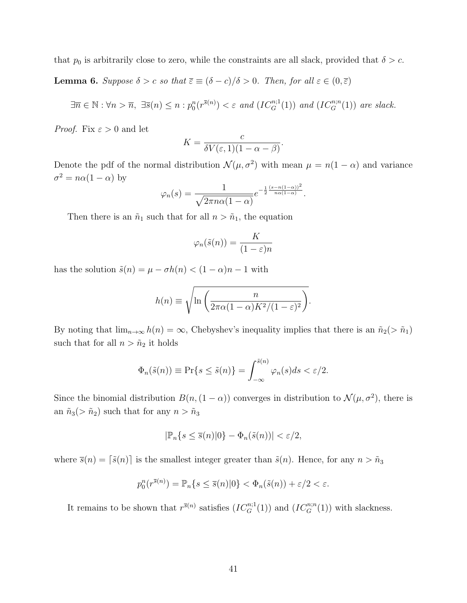that  $p_0$  is arbitrarily close to zero, while the constraints are all slack, provided that  $\delta > c$ .

**Lemma 6.** Suppose  $\delta > c$  so that  $\overline{\varepsilon} \equiv (\delta - c)/\delta > 0$ . Then, for all  $\varepsilon \in (0, \overline{\varepsilon})$ 

$$
\exists \overline{n} \in \mathbb{N} : \forall n > \overline{n}, \ \exists \overline{s}(n) \le n : p_0^n(r^{\overline{s}(n)}) < \varepsilon \ and \ (IC_G^{n;1}(1)) \ and \ (IC_G^{n;n}(1)) \ are \ slack.
$$

*Proof.* Fix  $\varepsilon > 0$  and let

$$
K = \frac{c}{\delta V(\varepsilon, 1)(1 - \alpha - \beta)}.
$$

Denote the pdf of the normal distribution  $\mathcal{N}(\mu, \sigma^2)$  with mean  $\mu = n(1 - \alpha)$  and variance  $\sigma^2 = n\alpha(1-\alpha)$  by

$$
\varphi_n(s) = \frac{1}{\sqrt{2\pi n\alpha(1-\alpha)}}e^{-\frac{1}{2}\frac{(s-n(1-\alpha))^2}{n\alpha(1-\alpha)}}.
$$

Then there is an  $\tilde{n}_1$  such that for all  $n > \tilde{n}_1$ , the equation

$$
\varphi_n(\tilde{s}(n)) = \frac{K}{(1 - \varepsilon)n}
$$

has the solution  $\tilde{s}(n) = \mu - \sigma h(n) < (1 - \alpha)n - 1$  with

$$
h(n) \equiv \sqrt{\ln\left(\frac{n}{2\pi\alpha(1-\alpha)K^2/(1-\varepsilon)^2}\right)}.
$$

By noting that  $\lim_{n\to\infty} h(n) = \infty$ , Chebyshev's inequality implies that there is an  $\tilde{n}_2(>\tilde{n}_1)$ such that for all  $n > \tilde{n}_2$  it holds

$$
\Phi_n(\tilde{s}(n)) \equiv \Pr\{s \le \tilde{s}(n)\} = \int_{-\infty}^{\tilde{s}(n)} \varphi_n(s)ds < \varepsilon/2.
$$

Since the binomial distribution  $B(n,(1-\alpha))$  converges in distribution to  $\mathcal{N}(\mu,\sigma^2)$ , there is an  $\tilde{n}_3(>\tilde{n}_2)$  such that for any  $n > \tilde{n}_3$ 

$$
|\mathbb{P}_n\{s\leq \overline{s}(n)|0\}-\Phi_n(\tilde{s}(n))|<\varepsilon/2,
$$

where  $\bar{s}(n) = [\tilde{s}(n)]$  is the smallest integer greater than  $\tilde{s}(n)$ . Hence, for any  $n > \tilde{n}_3$ 

$$
p_0^n(r^{\overline{s}(n)}) = \mathbb{P}_n\{s \le \overline{s}(n)|0\} < \Phi_n(\tilde{s}(n)) + \varepsilon/2 < \varepsilon.
$$

It remains to be shown that  $r^{\bar{s}(n)}$  satisfies  $(IC_G^{n;1}(1))$  and  $(IC_G^{n;n}(1))$  with slackness.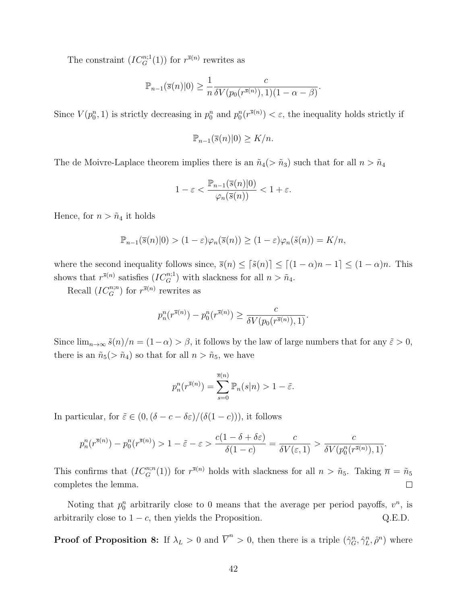The constraint  $(IC_G^{n;1}(1))$  for  $r^{\bar{s}(n)}$  rewrites as

$$
\mathbb{P}_{n-1}(\overline{s}(n)|0) \ge \frac{1}{n} \frac{c}{\delta V(p_0(r^{\overline{s}(n)}), 1)(1-\alpha-\beta)}.
$$

Since  $V(p_0^n, 1)$  is strictly decreasing in  $p_0^n$  and  $p_0^n(r^{\overline{s}(n)}) < \varepsilon$ , the inequality holds strictly if

$$
\mathbb{P}_{n-1}(\overline{s}(n)|0) \ge K/n.
$$

The de Moivre-Laplace theorem implies there is an  $\tilde{n}_4(>\tilde{n}_3)$  such that for all  $n > \tilde{n}_4$ 

$$
1 - \varepsilon < \frac{\mathbb{P}_{n-1}(\overline{s}(n)|0)}{\varphi_n(\overline{s}(n))} < 1 + \varepsilon.
$$

Hence, for  $n > \tilde{n}_4$  it holds

$$
\mathbb{P}_{n-1}(\overline{s}(n)|0) > (1-\varepsilon)\varphi_n(\overline{s}(n)) \ge (1-\varepsilon)\varphi_n(\widetilde{s}(n)) = K/n,
$$

where the second inequality follows since,  $\bar{s}(n) \leq \lceil \tilde{s}(n) \rceil \leq \lceil (1 - \alpha)n - 1 \rceil \leq (1 - \alpha)n$ . This shows that  $r^{\bar{s}(n)}$  satisfies  $(IC_G^{n,1})$  with slackness for all  $n > \tilde{n}_4$ .

Recall  $(IC_G^{n;n})$  for  $r^{\bar{s}(n)}$  rewrites as

$$
p_n^n(r^{\overline{s}(n)}) - p_0^n(r^{\overline{s}(n)}) \ge \frac{c}{\delta V(p_0(r^{\overline{s}(n)}), 1)}.
$$

Since  $\lim_{n\to\infty} \tilde{s}(n)/n = (1-\alpha) > \beta$ , it follows by the law of large numbers that for any  $\tilde{\varepsilon} > 0$ , there is an  $\tilde{n}_5(>\tilde{n}_4)$  so that for all  $n > \tilde{n}_5$ , we have

$$
p_n^n(r^{\overline{s}(n)}) = \sum_{s=0}^{\overline{s}(n)} \mathbb{P}_n(s|n) > 1 - \tilde{\varepsilon}.
$$

In particular, for  $\tilde{\varepsilon} \in (0,(\delta - c - \delta \varepsilon)/(\delta(1 - c)))$ , it follows

$$
p_n^n(r^{\overline{s}(n)}) - p_0^n(r^{\overline{s}(n)}) > 1 - \tilde{\varepsilon} - \varepsilon > \frac{c(1 - \delta + \delta \varepsilon)}{\delta(1 - c)} = \frac{c}{\delta V(\varepsilon, 1)} > \frac{c}{\delta V(p_0^n(r^{\overline{s}(n)}), 1)}.
$$

This confirms that  $(IC_G^{n;n}(1))$  for  $r^{\bar{s}(n)}$  holds with slackness for all  $n > \tilde{n}_5$ . Taking  $\bar{n} = \tilde{n}_5$ completes the lemma.  $\Box$ 

Noting that  $p_0^n$  arbitrarily close to 0 means that the average per period payoffs,  $v^n$ , is arbitrarily close to  $1 - c$ , then yields the Proposition. Q.E.D.

**Proof of Proposition 8:** If  $\lambda_L > 0$  and  $\overline{V}^n > 0$ , then there is a triple  $(\hat{\gamma}_G^n, \hat{\gamma}_L^n, \hat{\rho}^n)$  where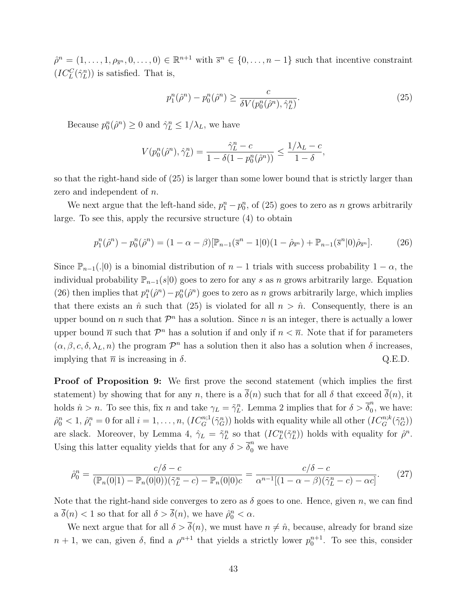$\hat{\rho}^n = (1, \ldots, 1, \rho_{\bar{s}^n}, 0, \ldots, 0) \in \mathbb{R}^{n+1}$  with  $\bar{s}^n \in \{0, \ldots, n-1\}$  such that incentive constraint  $(IC_L^C(\hat{\gamma}_L^n))$  is satisfied. That is,

$$
p_1^n(\hat{\rho}^n) - p_0^n(\hat{\rho}^n) \ge \frac{c}{\delta V(p_0^n(\hat{\rho}^n), \hat{\gamma}_L^n)}.
$$
\n(25)

Because  $p_0^n(\hat{\rho}^n) \ge 0$  and  $\hat{\gamma}_L^n \le 1/\lambda_L$ , we have

$$
V(p_0^n(\hat{\rho}^n), \hat{\gamma}_L^n) = \frac{\hat{\gamma}_L^n - c}{1 - \delta(1 - p_0^n(\hat{\rho}^n))} \le \frac{1/\lambda_L - c}{1 - \delta},
$$

so that the right-hand side of (25) is larger than some lower bound that is strictly larger than zero and independent of n.

We next argue that the left-hand side,  $p_1^n - p_0^n$ , of (25) goes to zero as n grows arbitrarily large. To see this, apply the recursive structure (4) to obtain

$$
p_1^n(\hat{\rho}^n) - p_0^n(\hat{\rho}^n) = (1 - \alpha - \beta) [\mathbb{P}_{n-1}(\overline{s}^n - 1|0)(1 - \hat{\rho}_{\overline{s}^n}) + \mathbb{P}_{n-1}(\overline{s}^n|0)\hat{\rho}_{\overline{s}^n}].
$$
 (26)

Since  $\mathbb{P}_{n-1}(.|0)$  is a binomial distribution of  $n-1$  trials with success probability  $1-\alpha$ , the individual probability  $\mathbb{P}_{n-1}(s|0)$  goes to zero for any s as n grows arbitrarily large. Equation (26) then implies that  $p_1^n(\hat{\rho}^n) - p_0^n(\hat{\rho}^n)$  goes to zero as n grows arbitrarily large, which implies that there exists an  $\hat{n}$  such that (25) is violated for all  $n > \hat{n}$ . Consequently, there is an upper bound on n such that  $\mathcal{P}^n$  has a solution. Since n is an integer, there is actually a lower upper bound  $\bar{n}$  such that  $\mathcal{P}^n$  has a solution if and only if  $n < \bar{n}$ . Note that if for parameters  $(\alpha, \beta, c, \delta, \lambda_L, n)$  the program  $\mathcal{P}^n$  has a solution then it also has a solution when  $\delta$  increases, implying that  $\bar{n}$  is increasing in  $\delta$ .  $Q.E.D.$ 

**Proof of Proposition 9:** We first prove the second statement (which implies the first statement) by showing that for any n, there is a  $\overline{\delta}(n)$  such that for all  $\delta$  that exceed  $\overline{\delta}(n)$ , it holds  $\hat{n} > n$ . To see this, fix n and take  $\gamma_L = \tilde{\gamma}_L^n$ . Lemma 2 implies that for  $\delta > \overline{\delta}_0^n$  $\int_{0}^{n}$ , we have:  $\hat{\rho}_0^n < 1, \, \hat{\rho}_i^n = 0$  for all  $i = 1, \ldots, n, (IC_G^{n;1}(\tilde{\gamma}_G^n))$  holds with equality while all other  $(IC_G^{n;k}(\tilde{\gamma}_G^n))$ are slack. Moreover, by Lemma 4,  $\hat{\gamma}_L = \tilde{\gamma}_L^n$  so that  $(IC_L^n(\tilde{\gamma}_L^n))$  holds with equality for  $\hat{\rho}^n$ . Using this latter equality yields that for any  $\delta > \overline{\delta}_0^n$  we have

$$
\hat{\rho}_0^n = \frac{c/\delta - c}{(\mathbb{P}_n(0|1) - \mathbb{P}_n(0|0))(\tilde{\gamma}_L^n - c) - \mathbb{P}_n(0|0)c} = \frac{c/\delta - c}{\alpha^{n-1}[(1 - \alpha - \beta)(\tilde{\gamma}_L^n - c) - \alpha c]}.
$$
(27)

Note that the right-hand side converges to zero as  $\delta$  goes to one. Hence, given n, we can find  $a \overline{\delta}(n) < 1$  so that for all  $\delta > \overline{\delta}(n)$ , we have  $\hat{\rho}_0^n < \alpha$ .

We next argue that for all  $\delta > \overline{\delta}(n)$ , we must have  $n \neq \hat{n}$ , because, already for brand size  $n+1$ , we can, given  $\delta$ , find a  $\rho^{n+1}$  that yields a strictly lower  $p_0^{n+1}$ . To see this, consider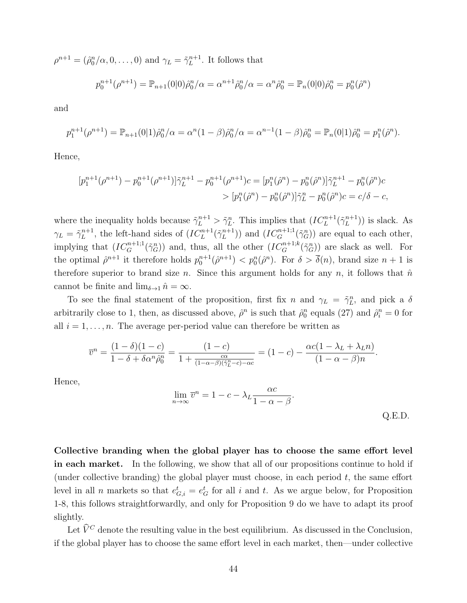$\rho^{n+1} = (\hat{\rho}_0^n/\alpha, 0, \dots, 0)$  and  $\gamma_L = \tilde{\gamma}_L^{n+1}$  $L^{n+1}$ . It follows that

$$
p_0^{n+1}(\rho^{n+1}) = \mathbb{P}_{n+1}(0|0)\hat{\rho}_0^n/\alpha = \alpha^{n+1}\hat{\rho}_0^n/\alpha = \alpha^n\hat{\rho}_0^n = \mathbb{P}_n(0|0)\hat{\rho}_0^n = p_0^n(\hat{\rho}^n)
$$

and

$$
p_1^{n+1}(\rho^{n+1}) = \mathbb{P}_{n+1}(0|1)\hat{\rho}_0^n/\alpha = \alpha^n(1-\beta)\hat{\rho}_0^n/\alpha = \alpha^{n-1}(1-\beta)\hat{\rho}_0^n = \mathbb{P}_n(0|1)\hat{\rho}_0^n = p_1^n(\hat{\rho}^n).
$$

Hence,

$$
[p_1^{n+1}(\rho^{n+1}) - p_0^{n+1}(\rho^{n+1})]\tilde{\gamma}_L^{n+1} - p_0^{n+1}(\rho^{n+1})c = [p_1^n(\hat{\rho}^n) - p_0^n(\hat{\rho}^n)]\tilde{\gamma}_L^{n+1} - p_0^n(\hat{\rho}^n)c
$$
  
> 
$$
[p_1^n(\hat{\rho}^n) - p_0^n(\hat{\rho}^n)]\tilde{\gamma}_L^n - p_0^n(\hat{\rho}^n)c = c/\delta - c,
$$

where the inequality holds because  $\tilde{\gamma}_L^{n+1} > \tilde{\gamma}_L^n$ . This implies that  $(IC_L^{n+1}(\tilde{\gamma}_L^{n+1}))$  $_{L}^{n+1}$ ) is slack. As  $\gamma_L=\tilde{\gamma}_L^{n+1}$  $L^{n+1}$ , the left-hand sides of  $(IC_L^{n+1}(\tilde{\gamma}_L^{n+1}))$  $(L_L^{n+1})$  and  $(IC_G^{n+1;1}(\tilde{\gamma}_G^n))$  are equal to each other, implying that  $(IC_G^{n+1,1}(\tilde{\gamma}_G^n))$  and, thus, all the other  $(IC_G^{n+1,k}(\tilde{\gamma}_G^n))$  are slack as well. For the optimal  $\hat{\rho}^{n+1}$  it therefore holds  $p_0^{n+1}(\hat{\rho}^{n+1}) < p_0^n(\hat{\rho}^n)$ . For  $\delta > \overline{\delta}(n)$ , brand size  $n+1$  is therefore superior to brand size n. Since this argument holds for any n, it follows that  $\hat{n}$ cannot be finite and  $\lim_{\delta \to 1} \hat{n} = \infty$ .

To see the final statement of the proposition, first fix n and  $\gamma_L = \tilde{\gamma}_L^n$ , and pick a  $\delta$ arbitrarily close to 1, then, as discussed above,  $\hat{\rho}^n$  is such that  $\hat{\rho}_0^n$  equals (27) and  $\hat{\rho}_i^n = 0$  for all  $i = 1, \ldots, n$ . The average per-period value can therefore be written as

$$
\overline{v}^n = \frac{(1-\delta)(1-c)}{1-\delta+\delta\alpha^n\hat{\rho}_0^n} = \frac{(1-c)}{1+\frac{c\alpha}{(1-\alpha-\beta)(\tilde{\gamma}_L^n-c)-\alpha c}} = (1-c) - \frac{\alpha c(1-\lambda_L+\lambda_L n)}{(1-\alpha-\beta)n}.
$$

Hence,

$$
\lim_{n \to \infty} \overline{v}^n = 1 - c - \lambda_L \frac{\alpha c}{1 - \alpha - \beta}.
$$
 Q.E.D.

Collective branding when the global player has to choose the same effort level in each market. In the following, we show that all of our propositions continue to hold if (under collective branding) the global player must choose, in each period  $t$ , the same effort level in all n markets so that  $e_{G,i}^t = e_G^t$  for all i and t. As we argue below, for Proposition 1-8, this follows straightforwardly, and only for Proposition 9 do we have to adapt its proof slightly.

Let  $\widehat{V}^C$  denote the resulting value in the best equilibrium. As discussed in the Conclusion, if the global player has to choose the same effort level in each market, then—under collective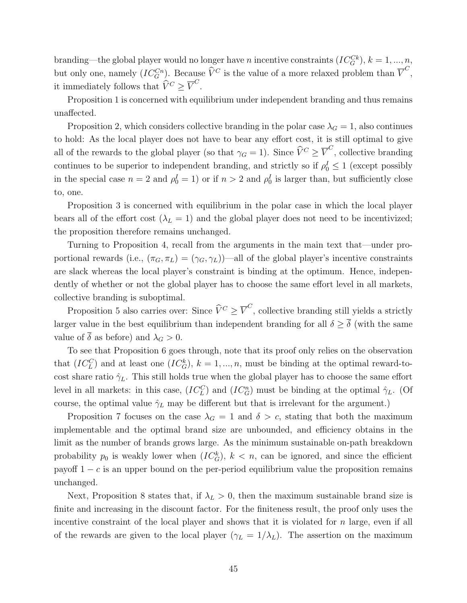branding—the global player would no longer have n incentive constraints  $(IC_G^{Ck}), k = 1, ..., n$ , but only one, namely  $(IC_G^{Cn})$ . Because  $\widehat{V}^C$  is the value of a more relaxed problem than  $\overline{V}^C$ , it immediately follows that  $\widehat{V}^C \geq \overline{V}^C$ .

Proposition 1 is concerned with equilibrium under independent branding and thus remains unaffected.

Proposition 2, which considers collective branding in the polar case  $\lambda_G = 1$ , also continues to hold: As the local player does not have to bear any effort cost, it is still optimal to give all of the rewards to the global player (so that  $\gamma_G = 1$ ). Since  $\hat{V}^C \geq \overline{V}^C$ , collective branding continues to be superior to independent branding, and strictly so if  $\rho_0^I \leq 1$  (except possibly in the special case  $n = 2$  and  $\rho_0^I = 1$  or if  $n > 2$  and  $\rho_0^I$  is larger than, but sufficiently close to, one.

Proposition 3 is concerned with equilibrium in the polar case in which the local player bears all of the effort cost  $(\lambda_L = 1)$  and the global player does not need to be incentivized; the proposition therefore remains unchanged.

Turning to Proposition 4, recall from the arguments in the main text that—under proportional rewards (i.e.,  $(\pi_G, \pi_L) = (\gamma_G, \gamma_L)$ )—all of the global player's incentive constraints are slack whereas the local player's constraint is binding at the optimum. Hence, independently of whether or not the global player has to choose the same effort level in all markets, collective branding is suboptimal.

Proposition 5 also carries over: Since  $\hat{V}^C \geq \overline{V}^C$ , collective branding still yields a strictly larger value in the best equilibrium than independent branding for all  $\delta \geq \overline{\delta}$  (with the same value of  $\delta$  as before) and  $\lambda_G > 0$ .

To see that Proposition 6 goes through, note that its proof only relies on the observation that  $(IC_{L}^{C})$  and at least one  $(IC_{G}^{k}), k = 1, ..., n$ , must be binding at the optimal reward-tocost share ratio  $\hat{\gamma}_L$ . This still holds true when the global player has to choose the same effort level in all markets: in this case,  $(IC_L^C)$  and  $(IC_G^n)$  must be binding at the optimal  $\hat{\gamma}_L$ . (Of course, the optimal value  $\hat{\gamma}_L$  may be different but that is irrelevant for the argument.)

Proposition 7 focuses on the case  $\lambda_G = 1$  and  $\delta > c$ , stating that both the maximum implementable and the optimal brand size are unbounded, and efficiency obtains in the limit as the number of brands grows large. As the minimum sustainable on-path breakdown probability  $p_0$  is weakly lower when  $(IC_G^k)$ ,  $k < n$ , can be ignored, and since the efficient payoff  $1 - c$  is an upper bound on the per-period equilibrium value the proposition remains unchanged.

Next, Proposition 8 states that, if  $\lambda_L > 0$ , then the maximum sustainable brand size is finite and increasing in the discount factor. For the finiteness result, the proof only uses the incentive constraint of the local player and shows that it is violated for  $n$  large, even if all of the rewards are given to the local player  $(\gamma_L = 1/\lambda_L)$ . The assertion on the maximum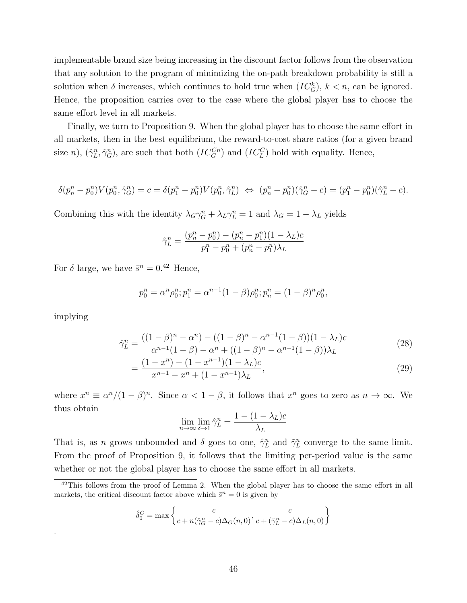implementable brand size being increasing in the discount factor follows from the observation that any solution to the program of minimizing the on-path breakdown probability is still a solution when  $\delta$  increases, which continues to hold true when  $(IC_G^k)$ ,  $k < n$ , can be ignored. Hence, the proposition carries over to the case where the global player has to choose the same effort level in all markets.

Finally, we turn to Proposition 9. When the global player has to choose the same effort in all markets, then in the best equilibrium, the reward-to-cost share ratios (for a given brand size n),  $(\hat{\gamma}_L^n, \hat{\gamma}_G^n)$ , are such that both  $(IC_G^{C_n})$  and  $(IC_L^C)$  hold with equality. Hence,

$$
\delta(p_n^n - p_0^n)V(p_0^n, \hat{\gamma}_G^n) = c = \delta(p_1^n - p_0^n)V(p_0^n, \hat{\gamma}_L^n) \iff (p_n^n - p_0^n)(\hat{\gamma}_G^n - c) = (p_1^n - p_0^n)(\hat{\gamma}_L^n - c).
$$

Combining this with the identity  $\lambda_G \gamma_G^n + \lambda_L \gamma_L^n = 1$  and  $\lambda_G = 1 - \lambda_L$  yields

$$
\hat{\gamma}_L^n = \frac{(p_n^n - p_0^n) - (p_n^n - p_1^n)(1 - \lambda_L)c}{p_1^n - p_0^n + (p_n^n - p_1^n)\lambda_L}
$$

For  $\delta$  large, we have  $\bar{s}^n = 0.42$  Hence,

$$
p_0^n = \alpha^n \rho_0^n; p_1^n = \alpha^{n-1} (1 - \beta) \rho_0^n; p_n^n = (1 - \beta)^n \rho_0^n,
$$

implying

.

$$
\hat{\gamma}_L^n = \frac{((1-\beta)^n - \alpha^n) - ((1-\beta)^n - \alpha^{n-1}(1-\beta))(1-\lambda_L)c}{\alpha^{n-1}(1-\beta) - \alpha^n + ((1-\beta)^n - \alpha^{n-1}(1-\beta))\lambda_L}
$$
(28)

$$
=\frac{(1-x^n)-(1-x^{n-1})(1-\lambda_L)c}{x^{n-1}-x^n+(1-x^{n-1})\lambda_L},\tag{29}
$$

where  $x^n \equiv \alpha^n/(1-\beta)^n$ . Since  $\alpha < 1-\beta$ , it follows that  $x^n$  goes to zero as  $n \to \infty$ . We thus obtain

$$
\lim_{n \to \infty} \lim_{\delta \to 1} \hat{\gamma}_L^n = \frac{1 - (1 - \lambda_L)c}{\lambda_L}
$$

That is, as n grows unbounded and  $\delta$  goes to one,  $\hat{\gamma}_L^n$  and  $\tilde{\gamma}_L^n$  converge to the same limit. From the proof of Proposition 9, it follows that the limiting per-period value is the same whether or not the global player has to choose the same effort in all markets.

$$
\hat{\delta}_0^C = \max \left\{ \frac{c}{c + n(\hat{\gamma}_G^n - c)\Delta_G(n, 0)}, \frac{c}{c + (\hat{\gamma}_L^n - c)\Delta_L(n, 0)} \right\}
$$

<sup>&</sup>lt;sup>42</sup>This follows from the proof of Lemma 2. When the global player has to choose the same effort in all markets, the critical discount factor above which  $\bar{s}^n = 0$  is given by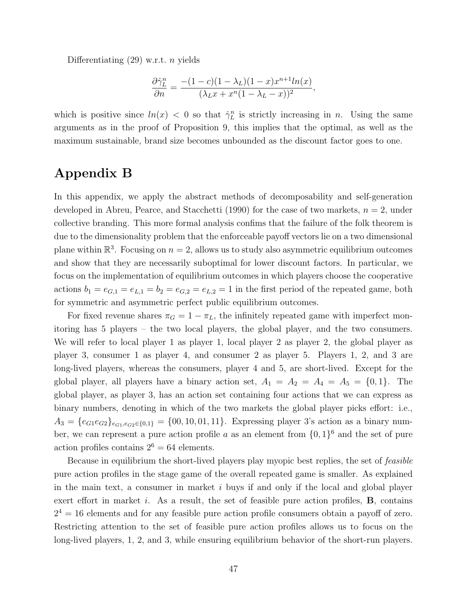Differentiating  $(29)$  w.r.t. *n* yields

$$
\frac{\partial \hat{\gamma}_L^n}{\partial n} = \frac{-(1-c)(1-\lambda_L)(1-x)x^{n+1}ln(x)}{(\lambda_L x + x^n(1-\lambda_L-x))^2},
$$

which is positive since  $ln(x) < 0$  so that  $\hat{\gamma}_L^n$  is strictly increasing in n. Using the same arguments as in the proof of Proposition 9, this implies that the optimal, as well as the maximum sustainable, brand size becomes unbounded as the discount factor goes to one.

### Appendix B

In this appendix, we apply the abstract methods of decomposability and self-generation developed in Abreu, Pearce, and Stacchetti (1990) for the case of two markets,  $n = 2$ , under collective branding. This more formal analysis confims that the failure of the folk theorem is due to the dimensionality problem that the enforceable payoff vectors lie on a two dimensional plane within  $\mathbb{R}^3$ . Focusing on  $n=2$ , allows us to study also asymmetric equilibrium outcomes and show that they are necessarily suboptimal for lower discount factors. In particular, we focus on the implementation of equilibrium outcomes in which players choose the cooperative actions  $b_1 = e_{G,1} = e_{L,1} = b_2 = e_{G,2} = e_{L,2} = 1$  in the first period of the repeated game, both for symmetric and asymmetric perfect public equilibrium outcomes.

For fixed revenue shares  $\pi_G = 1 - \pi_L$ , the infinitely repeated game with imperfect monitoring has 5 players – the two local players, the global player, and the two consumers. We will refer to local player 1 as player 1, local player 2 as player 2, the global player as player 3, consumer 1 as player 4, and consumer 2 as player 5. Players 1, 2, and 3 are long-lived players, whereas the consumers, player 4 and 5, are short-lived. Except for the global player, all players have a binary action set,  $A_1 = A_2 = A_4 = A_5 = \{0, 1\}$ . The global player, as player 3, has an action set containing four actions that we can express as binary numbers, denoting in which of the two markets the global player picks effort: i.e.,  $A_3 = \{e_{G1}e_{G2}\}_{e_{G1}, e_{G2} \in \{0,1\}} = \{00, 10, 01, 11\}.$  Expressing player 3's action as a binary number, we can represent a pure action profile a as an element from  $\{0,1\}^6$  and the set of pure action profiles contains  $2^6 = 64$  elements.

Because in equilibrium the short-lived players play myopic best replies, the set of feasible pure action profiles in the stage game of the overall repeated game is smaller. As explained in the main text, a consumer in market i buys if and only if the local and global player exert effort in market i. As a result, the set of feasible pure action profiles,  $\bf{B}$ , contains  $2<sup>4</sup> = 16$  elements and for any feasible pure action profile consumers obtain a payoff of zero. Restricting attention to the set of feasible pure action profiles allows us to focus on the long-lived players, 1, 2, and 3, while ensuring equilibrium behavior of the short-run players.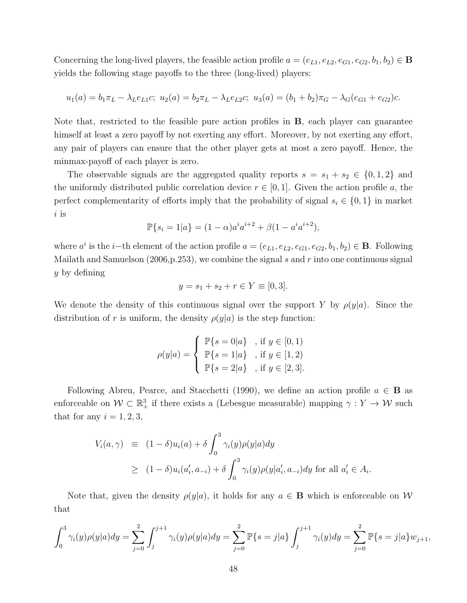Concerning the long-lived players, the feasible action profile  $a = (e_{L1}, e_{L2}, e_{G1}, e_{G2}, b_1, b_2) \in \mathbf{B}$ yields the following stage payoffs to the three (long-lived) players:

$$
u_1(a) = b_1 \pi_L - \lambda_L e_{L1} c; \ u_2(a) = b_2 \pi_L - \lambda_L e_{L2} c; \ u_3(a) = (b_1 + b_2) \pi_G - \lambda_G (e_{G1} + e_{G2}) c.
$$

Note that, restricted to the feasible pure action profiles in B, each player can guarantee himself at least a zero payoff by not exerting any effort. Moreover, by not exerting any effort, any pair of players can ensure that the other player gets at most a zero payoff. Hence, the minmax-payoff of each player is zero.

The observable signals are the aggregated quality reports  $s = s_1 + s_2 \in \{0, 1, 2\}$  and the uniformly distributed public correlation device  $r \in [0, 1]$ . Given the action profile a, the perfect complementarity of efforts imply that the probability of signal  $s_i \in \{0,1\}$  in market i is

$$
\mathbb{P}\{s_i = 1|a\} = (1 - \alpha)a^i a^{i+2} + \beta(1 - a^i a^{i+2}),
$$

where  $a^i$  is the *i*-th element of the action profile  $a = (e_{L1}, e_{L2}, e_{G1}, e_{G2}, b_1, b_2) \in \mathbf{B}$ . Following Mailath and Samuelson  $(2006, p.253)$ , we combine the signal s and r into one continuous signal y by defining

$$
y = s_1 + s_2 + r \in Y \equiv [0, 3].
$$

We denote the density of this continuous signal over the support Y by  $\rho(y|a)$ . Since the distribution of r is uniform, the density  $\rho(y|a)$  is the step function:

$$
\rho(y|a) = \begin{cases} \mathbb{P}\{s=0|a\} & \text{, if } y \in [0,1) \\ \mathbb{P}\{s=1|a\} & \text{, if } y \in [1,2) \\ \mathbb{P}\{s=2|a\} & \text{, if } y \in [2,3]. \end{cases}
$$

Following Abreu, Pearce, and Stacchetti (1990), we define an action profile  $a \in \mathbf{B}$  as enforceable on  $W \subset \mathbb{R}^3_+$  if there exists a (Lebesgue measurable) mapping  $\gamma: Y \to W$  such that for any  $i = 1, 2, 3$ ,

$$
V_i(a, \gamma) \equiv (1 - \delta)u_i(a) + \delta \int_0^3 \gamma_i(y)\rho(y|a)dy
$$
  
\n
$$
\geq (1 - \delta)u_i(a'_i, a_{-i}) + \delta \int_0^3 \gamma_i(y)\rho(y|a'_i, a_{-i})dy \text{ for all } a'_i \in A_i.
$$

Note that, given the density  $\rho(y|a)$ , it holds for any  $a \in \mathbf{B}$  which is enforceable on W that

$$
\int_0^3 \gamma_i(y)\rho(y|a)dy = \sum_{j=0}^2 \int_j^{j+1} \gamma_i(y)\rho(y|a)dy = \sum_{j=0}^2 \mathbb{P}\{s=j|a\} \int_j^{j+1} \gamma_i(y)dy = \sum_{j=0}^2 \mathbb{P}\{s=j|a\}w_{j+1},
$$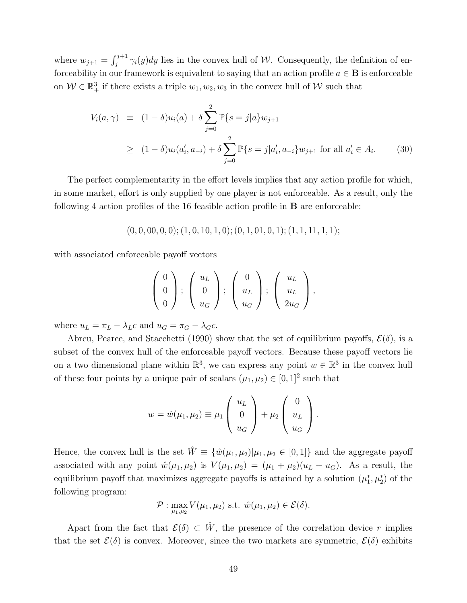where  $w_{j+1} = \int_j^{j+1} \gamma_i(y) dy$  lies in the convex hull of W. Consequently, the definition of enforceability in our framework is equivalent to saying that an action profile  $a \in \mathbf{B}$  is enforceable on  $W \in \mathbb{R}^3_+$  if there exists a triple  $w_1, w_2, w_3$  in the convex hull of W such that

$$
V_i(a, \gamma) \equiv (1 - \delta)u_i(a) + \delta \sum_{j=0}^2 \mathbb{P}\{s = j|a\}w_{j+1}
$$
  
\n
$$
\geq (1 - \delta)u_i(a'_i, a_{-i}) + \delta \sum_{j=0}^2 \mathbb{P}\{s = j|a'_i, a_{-i}\}w_{j+1} \text{ for all } a'_i \in A_i. \tag{30}
$$

The perfect complementarity in the effort levels implies that any action profile for which, in some market, effort is only supplied by one player is not enforceable. As a result, only the following 4 action profiles of the 16 feasible action profile in B are enforceable:

 $(0, 0, 00, 0, 0); (1, 0, 10, 1, 0); (0, 1, 01, 0, 1); (1, 1, 11, 1, 1);$ 

with associated enforceable payoff vectors

$$
\left(\begin{array}{c}0\\0\\0\end{array}\right); \quad \left(\begin{array}{c}u_L\\0\\u_G\end{array}\right); \quad \left(\begin{array}{c}0\\u_L\\u_G\end{array}\right); \quad \left(\begin{array}{c}u_L\\u_L\\2u_G\end{array}\right),
$$

where  $u_L = \pi_L - \lambda_L c$  and  $u_G = \pi_G - \lambda_G c$ .

Abreu, Pearce, and Stacchetti (1990) show that the set of equilibrium payoffs,  $\mathcal{E}(\delta)$ , is a subset of the convex hull of the enforceable payoff vectors. Because these payoff vectors lie on a two dimensional plane within  $\mathbb{R}^3$ , we can express any point  $w \in \mathbb{R}^3$  in the convex hull of these four points by a unique pair of scalars  $(\mu_1, \mu_2) \in [0, 1]^2$  such that

$$
w = \hat{w}(\mu_1, \mu_2) \equiv \mu_1 \begin{pmatrix} u_L \\ 0 \\ u_G \end{pmatrix} + \mu_2 \begin{pmatrix} 0 \\ u_L \\ u_G \end{pmatrix}.
$$

Hence, the convex hull is the set  $\hat{W} \equiv {\hat{w}(\mu_1, \mu_2)|\mu_1, \mu_2 \in [0, 1]}$  and the aggregate payoff associated with any point  $\hat{w}(\mu_1, \mu_2)$  is  $V(\mu_1, \mu_2) = (\mu_1 + \mu_2)(u_L + u_G)$ . As a result, the equilibrium payoff that maximizes aggregate payoffs is attained by a solution  $(\mu_1^*, \mu_2^*)$  of the following program:

$$
\mathcal{P} : \max_{\mu_1,\mu_2} V(\mu_1,\mu_2) \text{ s.t. } \hat{w}(\mu_1,\mu_2) \in \mathcal{E}(\delta).
$$

Apart from the fact that  $\mathcal{E}(\delta) \subset \hat{W}$ , the presence of the correlation device r implies that the set  $\mathcal{E}(\delta)$  is convex. Moreover, since the two markets are symmetric,  $\mathcal{E}(\delta)$  exhibits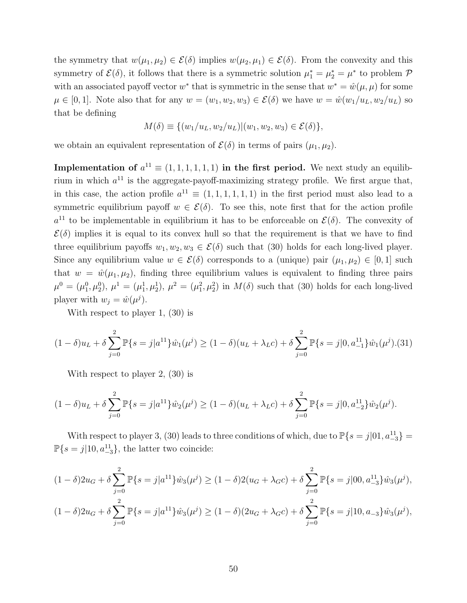the symmetry that  $w(\mu_1, \mu_2) \in \mathcal{E}(\delta)$  implies  $w(\mu_2, \mu_1) \in \mathcal{E}(\delta)$ . From the convexity and this symmetry of  $\mathcal{E}(\delta)$ , it follows that there is a symmetric solution  $\mu_1^* = \mu_2^* = \mu^*$  to problem  $\mathcal{P}$ with an associated payoff vector w<sup>\*</sup> that is symmetric in the sense that  $w^* = \hat{w}(\mu, \mu)$  for some  $\mu \in [0, 1]$ . Note also that for any  $w = (w_1, w_2, w_3) \in \mathcal{E}(\delta)$  we have  $w = \hat{w}(w_1/u_L, w_2/u_L)$  so that be defining

$$
M(\delta) \equiv \{ (w_1/u_L, w_2/u_L) | (w_1, w_2, w_3) \in \mathcal{E}(\delta) \},
$$

we obtain an equivalent representation of  $\mathcal{E}(\delta)$  in terms of pairs  $(\mu_1, \mu_2)$ .

**Implementation of**  $a^{11} \equiv (1, 1, 1, 1, 1, 1)$  in the first period. We next study an equilibrium in which  $a^{11}$  is the aggregate-payoff-maximizing strategy profile. We first argue that, in this case, the action profile  $a^{11} \equiv (1,1,1,1,1,1)$  in the first period must also lead to a symmetric equilibrium payoff  $w \in \mathcal{E}(\delta)$ . To see this, note first that for the action profile  $a^{11}$  to be implementable in equilibrium it has to be enforceable on  $\mathcal{E}(\delta)$ . The convexity of  $\mathcal{E}(\delta)$  implies it is equal to its convex hull so that the requirement is that we have to find three equilibrium payoffs  $w_1, w_2, w_3 \in \mathcal{E}(\delta)$  such that (30) holds for each long-lived player. Since any equilibrium value  $w \in \mathcal{E}(\delta)$  corresponds to a (unique) pair  $(\mu_1, \mu_2) \in [0, 1]$  such that  $w = \hat{w}(\mu_1, \mu_2)$ , finding three equilibrium values is equivalent to finding three pairs  $\mu^0 = (\mu_1^0, \mu_2^0), \mu^1 = (\mu_1^1, \mu_2^1), \mu^2 = (\mu_1^2, \mu_2^2)$  in  $M(\delta)$  such that (30) holds for each long-lived player with  $w_j = \hat{w}(\mu^j)$ .

With respect to player 1, (30) is

$$
(1 - \delta)u_L + \delta \sum_{j=0}^2 \mathbb{P}\{s = j | a^{11}\}\hat{w}_1(\mu^j) \ge (1 - \delta)(u_L + \lambda_L c) + \delta \sum_{j=0}^2 \mathbb{P}\{s = j | 0, a_{-1}^{11}\}\hat{w}_1(\mu^j). (31)
$$

With respect to player 2, (30) is

$$
(1 - \delta)u_L + \delta \sum_{j=0}^2 \mathbb{P}\{s = j | a^{11}\}\hat{w}_2(\mu^j) \ge (1 - \delta)(u_L + \lambda_L c) + \delta \sum_{j=0}^2 \mathbb{P}\{s = j | 0, a_{-2}^{11}\}\hat{w}_2(\mu^j).
$$

With respect to player 3, (30) leads to three conditions of which, due to  $\mathbb{P}\{s=j|01,a_{-3}^{11}\}=$  $\mathbb{P}\{s=j|10,a_{-3}^{11}\}$ , the latter two coincide:

$$
(1 - \delta)2u_G + \delta \sum_{j=0}^2 \mathbb{P}\{s = j|a^{11}\}\hat{w}_3(\mu^j) \ge (1 - \delta)2(u_G + \lambda_G c) + \delta \sum_{j=0}^2 \mathbb{P}\{s = j|00, a_{-3}^{11}\}\hat{w}_3(\mu^j),
$$
  

$$
(1 - \delta)2u_G + \delta \sum_{j=0}^2 \mathbb{P}\{s = j|a^{11}\}\hat{w}_3(\mu^j) \ge (1 - \delta)(2u_G + \lambda_G c) + \delta \sum_{j=0}^2 \mathbb{P}\{s = j|10, a_{-3}\}\hat{w}_3(\mu^j),
$$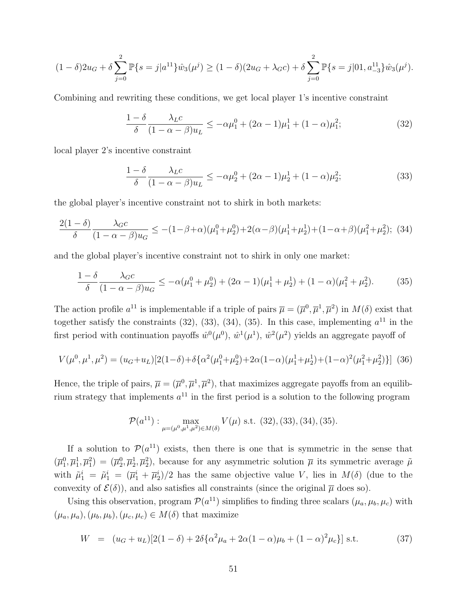$$
(1 - \delta)2u_G + \delta \sum_{j=0}^2 \mathbb{P}\{s = j|a^{11}\}\hat{w}_3(\mu^j) \ge (1 - \delta)(2u_G + \lambda_G c) + \delta \sum_{j=0}^2 \mathbb{P}\{s = j|01, a_{-3}^{11}\}\hat{w}_3(\mu^j).
$$

Combining and rewriting these conditions, we get local player 1's incentive constraint

$$
\frac{1-\delta}{\delta} \frac{\lambda_L c}{(1-\alpha-\beta)u_L} \le -\alpha \mu_1^0 + (2\alpha-1)\mu_1^1 + (1-\alpha)\mu_1^2; \tag{32}
$$

local player 2's incentive constraint

$$
\frac{1-\delta}{\delta} \frac{\lambda_L c}{(1-\alpha-\beta)u_L} \le -\alpha \mu_2^0 + (2\alpha-1)\mu_2^1 + (1-\alpha)\mu_2^2; \tag{33}
$$

the global player's incentive constraint not to shirk in both markets:

$$
\frac{2(1-\delta)}{\delta} \frac{\lambda_{G}c}{(1-\alpha-\beta)u_{G}} \le -(1-\beta+\alpha)(\mu_{1}^{0}+\mu_{2}^{0}) + 2(\alpha-\beta)(\mu_{1}^{1}+\mu_{2}^{1}) + (1-\alpha+\beta)(\mu_{1}^{2}+\mu_{2}^{2});
$$
 (34)

and the global player's incentive constraint not to shirk in only one market:

$$
\frac{1-\delta}{\delta} \frac{\lambda_G c}{(1-\alpha-\beta)u_G} \le -\alpha(\mu_1^0 + \mu_2^0) + (2\alpha - 1)(\mu_1^1 + \mu_2^1) + (1-\alpha)(\mu_1^2 + \mu_2^2). \tag{35}
$$

The action profile  $a^{11}$  is implementable if a triple of pairs  $\overline{\mu} = (\overline{\mu}^0, \overline{\mu}^1, \overline{\mu}^2)$  in  $M(\delta)$  exist that together satisfy the constraints  $(32)$ ,  $(33)$ ,  $(34)$ ,  $(35)$ . In this case, implementing  $a^{11}$  in the first period with continuation payoffs  $\hat{w}^0(\mu^0)$ ,  $\hat{w}^1(\mu^1)$ ,  $\hat{w}^2(\mu^2)$  yields an aggregate payoff of

$$
V(\mu^0, \mu^1, \mu^2) = (u_G + u_L)[2(1-\delta) + \delta \{\alpha^2(\mu_1^0 + \mu_2^0) + 2\alpha(1-\alpha)(\mu_1^1 + \mu_2^1) + (1-\alpha)^2(\mu_1^2 + \mu_2^2)\}] \tag{36}
$$

Hence, the triple of pairs,  $\bar{\mu} = (\bar{\mu}^0, \bar{\mu}^1, \bar{\mu}^2)$ , that maximizes aggregate payoffs from an equilibrium strategy that implements  $a^{11}$  in the first period is a solution to the following program

$$
\mathcal{P}(a^{11}): \max_{\mu=(\mu^0,\mu^1,\mu^2)\in M(\delta)} V(\mu) \text{ s.t. } (32), (33), (34), (35).
$$

If a solution to  $\mathcal{P}(a^{11})$  exists, then there is one that is symmetric in the sense that  $(\overline{\mu}_1^0, \overline{\mu}_1^1, \overline{\mu}_1^2) = (\overline{\mu}_2^0, \overline{\mu}_2^1, \overline{\mu}_2^2)$ , because for any asymmetric solution  $\overline{\mu}$  its symmetric average  $\tilde{\mu}$ with  $\tilde{\mu}_1^i = \tilde{\mu}_1^i + \overline{\mu}_2^i/2$  has the same objective value V, lies in  $M(\delta)$  (due to the convexity of  $\mathcal{E}(\delta)$ ), and also satisfies all constraints (since the original  $\overline{\mu}$  does so).

Using this observation, program  $\mathcal{P}(a^{11})$  simplifies to finding three scalars  $(\mu_a, \mu_b, \mu_c)$  with  $(\mu_a, \mu_a), (\mu_b, \mu_b), (\mu_c, \mu_c) \in M(\delta)$  that maximize

$$
W = (u_G + u_L)[2(1 - \delta) + 2\delta \{\alpha^2 \mu_a + 2\alpha (1 - \alpha) \mu_b + (1 - \alpha)^2 \mu_c\}] \text{ s.t.}
$$
 (37)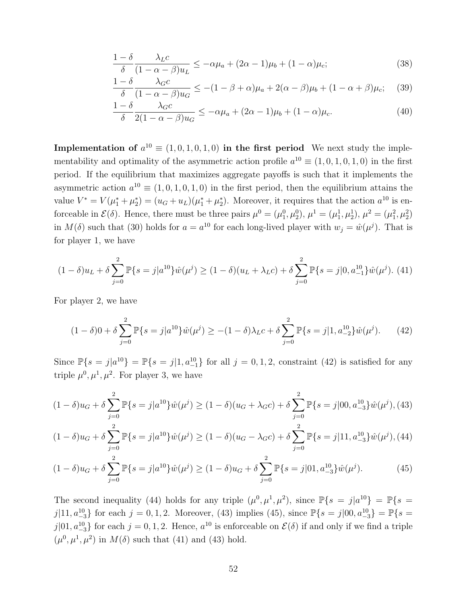$$
\frac{1-\delta}{\delta} \frac{\lambda_L c}{(1-\alpha-\beta)u_L} \le -\alpha \mu_a + (2\alpha-1)\mu_b + (1-\alpha)\mu_c; \tag{38}
$$

$$
\frac{1-\delta}{\delta} \frac{\lambda_G c}{(1-\alpha-\beta)u_G} \le -(1-\beta+\alpha)\mu_a + 2(\alpha-\beta)\mu_b + (1-\alpha+\beta)\mu_c; \quad (39)
$$

$$
\frac{1-\delta}{\delta} \frac{\lambda_G c}{2(1-\alpha-\beta)u_G} \le -\alpha \mu_a + (2\alpha-1)\mu_b + (1-\alpha)\mu_c. \tag{40}
$$

**Implementation of**  $a^{10} \equiv (1, 0, 1, 0, 1, 0)$  in the first period We next study the implementability and optimality of the asymmetric action profile  $a^{10} \equiv (1, 0, 1, 0, 1, 0)$  in the first period. If the equilibrium that maximizes aggregate payoffs is such that it implements the asymmetric action  $a^{10} \equiv (1, 0, 1, 0, 1, 0)$  in the first period, then the equilibrium attains the value  $V^* = V(\mu_1^* + \mu_2^*) = (u_G + u_L)(\mu_1^* + \mu_2^*)$ . Moreover, it requires that the action  $a^{10}$  is enforceable in  $\mathcal{E}(\delta)$ . Hence, there must be three pairs  $\mu^0 = (\mu_1^0, \mu_2^0), \mu^1 = (\mu_1^1, \mu_2^1), \mu^2 = (\mu_1^2, \mu_2^2)$ in  $M(\delta)$  such that (30) holds for  $a = a^{10}$  for each long-lived player with  $w_j = \hat{w}(\mu^j)$ . That is for player 1, we have

$$
(1 - \delta)u_L + \delta \sum_{j=0}^2 \mathbb{P}\{s = j|a^{10}\}\hat{w}(\mu^j) \ge (1 - \delta)(u_L + \lambda_L c) + \delta \sum_{j=0}^2 \mathbb{P}\{s = j|0, a_{-1}^{10}\}\hat{w}(\mu^j). (41)
$$

For player 2, we have

$$
(1 - \delta)0 + \delta \sum_{j=0}^{2} \mathbb{P}\{s = j | a^{10}\} \hat{w}(\mu^{j}) \ge -(1 - \delta)\lambda_{L}c + \delta \sum_{j=0}^{2} \mathbb{P}\{s = j | 1, a_{-2}^{10}\} \hat{w}(\mu^{j}). \tag{42}
$$

Since  $\mathbb{P}\{s = j | a^{10}\} = \mathbb{P}\{s = j | 1, a_{-1}^{10}\}\$  for all  $j = 0, 1, 2$ , constraint (42) is satisfied for any triple  $\mu^0, \mu^1, \mu^2$ . For player 3, we have

$$
(1 - \delta)u_G + \delta \sum_{j=0}^2 \mathbb{P}\{s = j | a^{10}\}\hat{w}(\mu^j) \ge (1 - \delta)(u_G + \lambda_G c) + \delta \sum_{j=0}^2 \mathbb{P}\{s = j | 00, a_{-3}^{10}\}\hat{w}(\mu^j),
$$
(43)

$$
(1 - \delta)u_G + \delta \sum_{j=0}^2 \mathbb{P}\{s = j | a^{10}\}\hat{w}(\mu^j) \ge (1 - \delta)(u_G - \lambda_G c) + \delta \sum_{j=0}^2 \mathbb{P}\{s = j | 11, a_{-3}^{10}\}\hat{w}(\mu^j), (44)
$$

$$
(1 - \delta)u_G + \delta \sum_{j=0}^2 \mathbb{P}\{s = j|a^{10}\}\hat{w}(\mu^j) \ge (1 - \delta)u_G + \delta \sum_{j=0}^2 \mathbb{P}\{s = j|01, a_{-3}^{10}\}\hat{w}(\mu^j). \tag{45}
$$

The second inequality (44) holds for any triple  $(\mu^0, \mu^1, \mu^2)$ , since  $\mathbb{P}\{s = j | a^{10}\} = \mathbb{P}\{s = j | c^{10}\}$ j|11,  $a_{-3}^{10}$ } for each j = 0, 1, 2. Moreover, (43) implies (45), since  $\mathbb{P}\{s = j|00, a_{-3}^{10}\} = \mathbb{P}\{s = j|00, a_{-3}^{10}\}$  $j|01, a_{-3}^{10}\}$  for each  $j = 0, 1, 2$ . Hence,  $a^{10}$  is enforceable on  $\mathcal{E}(\delta)$  if and only if we find a triple  $(\mu^0, \mu^1, \mu^2)$  in  $M(\delta)$  such that (41) and (43) hold.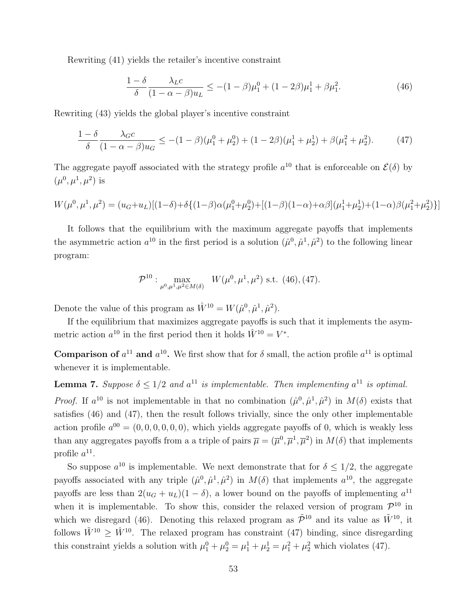Rewriting (41) yields the retailer's incentive constraint

$$
\frac{1-\delta}{\delta} \frac{\lambda_L c}{(1-\alpha-\beta)u_L} \le -(1-\beta)\mu_1^0 + (1-2\beta)\mu_1^1 + \beta\mu_1^2.
$$
 (46)

Rewriting (43) yields the global player's incentive constraint

$$
\frac{1-\delta}{\delta} \frac{\lambda_G c}{(1-\alpha-\beta)u_G} \le -(1-\beta)(\mu_1^0 + \mu_2^0) + (1-2\beta)(\mu_1^1 + \mu_2^1) + \beta(\mu_1^2 + \mu_2^2). \tag{47}
$$

The aggregate payoff associated with the strategy profile  $a^{10}$  that is enforceable on  $\mathcal{E}(\delta)$  by  $(\mu^0, \mu^1, \mu^2)$  is

$$
W(\mu^0, \mu^1, \mu^2) = (u_G + u_L)[(1-\delta) + \delta \{(1-\beta)\alpha(\mu_1^0 + \mu_2^0) + [(1-\beta)(1-\alpha) + \alpha\beta](\mu_1^1 + \mu_2^1) + (1-\alpha)\beta(\mu_1^2 + \mu_2^2)\}]
$$

It follows that the equilibrium with the maximum aggregate payoffs that implements the asymmetric action  $a^{10}$  in the first period is a solution  $(\hat{\mu}^0, \hat{\mu}^1, \hat{\mu}^2)$  to the following linear program:

$$
\mathcal{P}^{10}: \max_{\mu^0,\mu^1,\mu^2 \in M(\delta)} W(\mu^0,\mu^1,\mu^2) \text{ s.t. } (46), (47).
$$

Denote the value of this program as  $\hat{W}^{10} = W(\hat{\mu}^0, \hat{\mu}^1, \hat{\mu}^2)$ .

If the equilibrium that maximizes aggregate payoffs is such that it implements the asymmetric action  $a^{10}$  in the first period then it holds  $\hat{W}^{10} = V^*$ .

**Comparison of**  $a^{11}$  and  $a^{10}$ . We first show that for  $\delta$  small, the action profile  $a^{11}$  is optimal whenever it is implementable.

**Lemma 7.** Suppose  $\delta \leq 1/2$  and  $a^{11}$  is implementable. Then implementing  $a^{11}$  is optimal.

*Proof.* If  $a^{10}$  is not implementable in that no combination  $(\hat{\mu}^0, \hat{\mu}^1, \hat{\mu}^2)$  in  $M(\delta)$  exists that satisfies (46) and (47), then the result follows trivially, since the only other implementable action profile  $a^{00} = (0, 0, 0, 0, 0, 0)$ , which yields aggregate payoffs of 0, which is weakly less than any aggregates payoffs from a a triple of pairs  $\overline{\mu} = (\overline{\mu}^0, \overline{\mu}^1, \overline{\mu}^2)$  in  $M(\delta)$  that implements profile  $a^{11}$ .

So suppose  $a^{10}$  is implementable. We next demonstrate that for  $\delta \leq 1/2$ , the aggregate payoffs associated with any triple  $(\hat{\mu}^0, \hat{\mu}^1, \hat{\mu}^2)$  in  $M(\delta)$  that implements  $a^{10}$ , the aggregate payoffs are less than  $2(u_G + u_L)(1 - \delta)$ , a lower bound on the payoffs of implementing  $a^{11}$ when it is implementable. To show this, consider the relaxed version of program  $\mathcal{P}^{10}$  in which we disregard (46). Denoting this relaxed program as  $\tilde{\mathcal{P}}^{10}$  and its value as  $\tilde{W}^{10}$ , it follows  $\tilde{W}^{10} \geq \hat{W}^{10}$ . The relaxed program has constraint (47) binding, since disregarding this constraint yields a solution with  $\mu_1^0 + \mu_2^0 = \mu_1^1 + \mu_2^1 = \mu_1^2 + \mu_2^2$  which violates (47).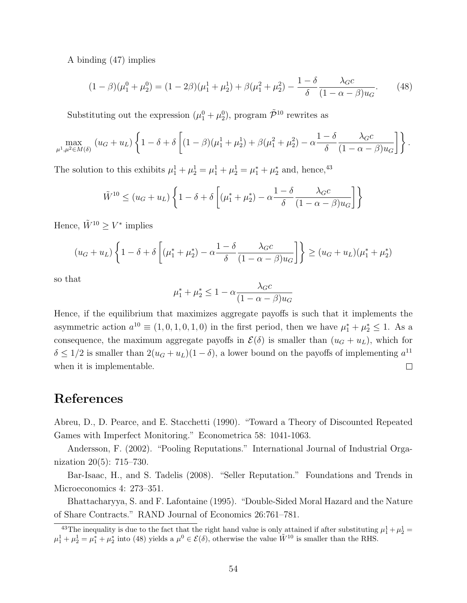A binding (47) implies

$$
(1 - \beta)(\mu_1^0 + \mu_2^0) = (1 - 2\beta)(\mu_1^1 + \mu_2^1) + \beta(\mu_1^2 + \mu_2^2) - \frac{1 - \delta}{\delta} \frac{\lambda_G c}{(1 - \alpha - \beta)u_G}.
$$
 (48)

Substituting out the expression  $(\mu_1^0 + \mu_2^0)$ , program  $\tilde{\mathcal{P}}^{10}$  rewrites as

$$
\max_{\mu^1, \mu^2 \in M(\delta)} (u_G + u_L) \left\{ 1 - \delta + \delta \left[ (1 - \beta)(\mu_1^1 + \mu_2^1) + \beta(\mu_1^2 + \mu_2^2) - \alpha \frac{1 - \delta}{\delta} \frac{\lambda_G c}{(1 - \alpha - \beta)u_G} \right] \right\}.
$$

The solution to this exhibits  $\mu_1^1 + \mu_2^1 = \mu_1^1 + \mu_2^1 = \mu_1^* + \mu_2^*$  and, hence,<sup>43</sup>

$$
\tilde{W}^{10} \le (u_G + u_L) \left\{ 1 - \delta + \delta \left[ (\mu_1^* + \mu_2^*) - \alpha \frac{1 - \delta}{\delta} \frac{\lambda_G c}{(1 - \alpha - \beta) u_G} \right] \right\}
$$

Hence,  $\tilde{W}^{10} \geq V^*$  implies

$$
(u_G + u_L) \left\{ 1 - \delta + \delta \left[ (\mu_1^* + \mu_2^*) - \alpha \frac{1 - \delta}{\delta} \frac{\lambda_G c}{(1 - \alpha - \beta)u_G} \right] \right\} \ge (u_G + u_L)(\mu_1^* + \mu_2^*)
$$

so that

$$
\mu_1^* + \mu_2^* \le 1 - \alpha \frac{\lambda_G c}{(1 - \alpha - \beta)u_G}
$$

Hence, if the equilibrium that maximizes aggregate payoffs is such that it implements the asymmetric action  $a^{10} \equiv (1, 0, 1, 0, 1, 0)$  in the first period, then we have  $\mu_1^* + \mu_2^* \leq 1$ . As a consequence, the maximum aggregate payoffs in  $\mathcal{E}(\delta)$  is smaller than  $(u_G + u_L)$ , which for  $\delta \leq 1/2$  is smaller than  $2(u_G + u_L)(1 - \delta)$ , a lower bound on the payoffs of implementing  $a^{11}$ when it is implementable.  $\Box$ 

#### References

Abreu, D., D. Pearce, and E. Stacchetti (1990). "Toward a Theory of Discounted Repeated Games with Imperfect Monitoring." Econometrica 58: 1041-1063.

Andersson, F. (2002). "Pooling Reputations." International Journal of Industrial Organization 20(5): 715–730.

Bar-Isaac, H., and S. Tadelis (2008). "Seller Reputation." Foundations and Trends in Microeconomics 4: 273–351.

Bhattacharyya, S. and F. Lafontaine (1995). "Double-Sided Moral Hazard and the Nature of Share Contracts." RAND Journal of Economics 26:761–781.

<sup>&</sup>lt;sup>43</sup>The inequality is due to the fact that the right hand value is only attained if after substituting  $\mu_1^1 + \mu_2^1 =$  $\mu_1^1 + \mu_2^1 = \mu_1^* + \mu_2^*$  into (48) yields a  $\mu^0 \in \mathcal{E}(\delta)$ , otherwise the value  $\tilde{W}^{10}$  is smaller than the RHS.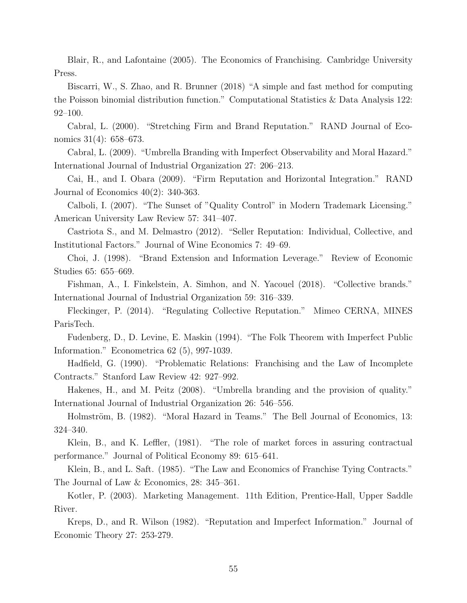Blair, R., and Lafontaine (2005). The Economics of Franchising. Cambridge University Press.

Biscarri, W., S. Zhao, and R. Brunner (2018) "A simple and fast method for computing the Poisson binomial distribution function." Computational Statistics & Data Analysis 122: 92–100.

Cabral, L. (2000). "Stretching Firm and Brand Reputation." RAND Journal of Economics 31(4): 658–673.

Cabral, L. (2009). "Umbrella Branding with Imperfect Observability and Moral Hazard." International Journal of Industrial Organization 27: 206–213.

Cai, H., and I. Obara (2009). "Firm Reputation and Horizontal Integration." RAND Journal of Economics 40(2): 340-363.

Calboli, I. (2007). "The Sunset of "Quality Control" in Modern Trademark Licensing." American University Law Review 57: 341–407.

Castriota S., and M. Delmastro (2012). "Seller Reputation: Individual, Collective, and Institutional Factors." Journal of Wine Economics 7: 49–69.

Choi, J. (1998). "Brand Extension and Information Leverage." Review of Economic Studies 65: 655–669.

Fishman, A., I. Finkelstein, A. Simhon, and N. Yacouel (2018). "Collective brands." International Journal of Industrial Organization 59: 316–339.

Fleckinger, P. (2014). "Regulating Collective Reputation." Mimeo CERNA, MINES ParisTech.

Fudenberg, D., D. Levine, E. Maskin (1994). "The Folk Theorem with Imperfect Public Information." Econometrica 62 (5), 997-1039.

Hadfield, G. (1990). "Problematic Relations: Franchising and the Law of Incomplete Contracts." Stanford Law Review 42: 927–992.

Hakenes, H., and M. Peitz (2008). "Umbrella branding and the provision of quality." International Journal of Industrial Organization 26: 546–556.

Holmström, B. (1982). "Moral Hazard in Teams." The Bell Journal of Economics, 13: 324–340.

Klein, B., and K. Leffler, (1981). "The role of market forces in assuring contractual performance." Journal of Political Economy 89: 615–641.

Klein, B., and L. Saft. (1985). "The Law and Economics of Franchise Tying Contracts." The Journal of Law & Economics, 28: 345–361.

Kotler, P. (2003). Marketing Management. 11th Edition, Prentice-Hall, Upper Saddle River.

Kreps, D., and R. Wilson (1982). "Reputation and Imperfect Information." Journal of Economic Theory 27: 253-279.